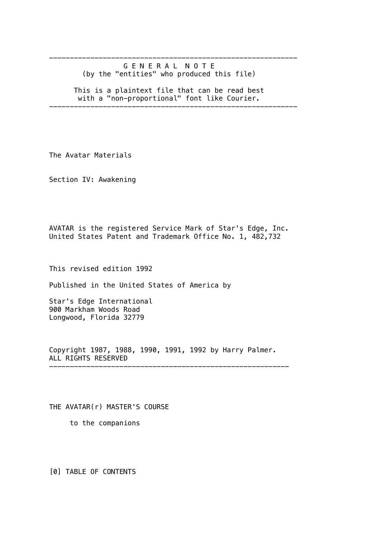------------------------------------------------------------ G E N E R A L N O T E (by the "entities" who produced this file)

 This is a plaintext file that can be read best with a "non-proportional" font like Courier.

------------------------------------------------------------

The Avatar Materials

Section IV: Awakening

AVATAR is the registered Service Mark of Star's Edge, Inc. United States Patent and Trademark Office No. 1, 482,732

This revised edition 1992

Published in the United States of America by

Star's Edge International 900 Markham Woods Road Longwood, Florida 32779

Copyright 1987, 1988, 1990, 1991, 1992 by Harry Palmer. ALL RIGHTS RESERVED ----------------------------------------------------------

THE AVATAR(r) MASTER'S COURSE

to the companions

[0] TABLE OF CONTENTS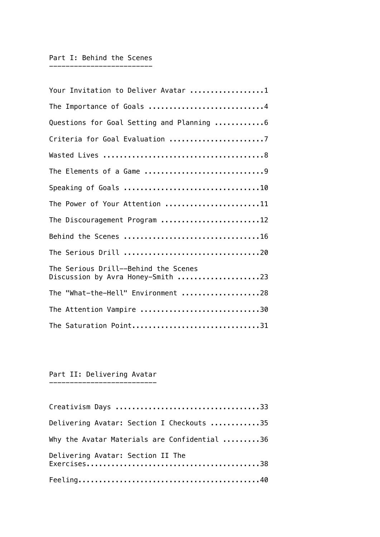### Part I: Behind the Scenes -------------------------

| Your Invitation to Deliver Avatar 1                                       |
|---------------------------------------------------------------------------|
| The Importance of Goals 4                                                 |
| Questions for Goal Setting and Planning 6                                 |
| Criteria for Goal Evaluation 7                                            |
|                                                                           |
|                                                                           |
|                                                                           |
| The Power of Your Attention 11                                            |
| The Discouragement Program 12                                             |
|                                                                           |
|                                                                           |
| The Serious Drill--Behind the Scenes<br>Discussion by Avra Honey-Smith 23 |
| The "What-the-Hell" Environment 28                                        |
| The Attention Vampire 30                                                  |
| The Saturation Point31                                                    |

### Part II: Delivering Avatar --------------------------

| Delivering Avatar: Section I Checkouts 35    |
|----------------------------------------------|
| Why the Avatar Materials are Confidential 36 |
| Delivering Avatar: Section II The            |
|                                              |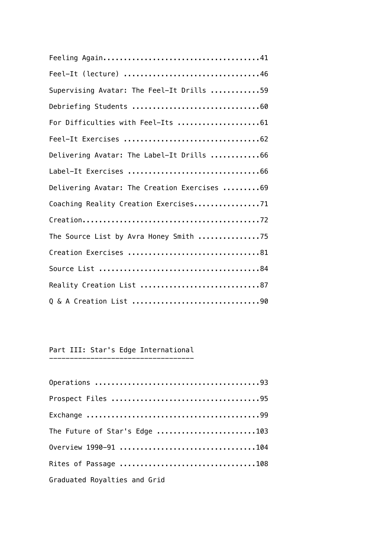| Feel-It (lecture) 46                         |
|----------------------------------------------|
| Supervising Avatar: The Feel-It Drills 59    |
|                                              |
| For Difficulties with Feel-Its 61            |
|                                              |
| Delivering Avatar: The Label-It Drills 66    |
|                                              |
| Delivering Avatar: The Creation Exercises 69 |
| Coaching Reality Creation Exercises71        |
|                                              |
| The Source List by Avra Honey Smith 75       |
| Creation Exercises 81                        |
|                                              |
| Reality Creation List 87                     |
|                                              |

## Part III: Star's Edge International -----------------------------------

| The Future of Star's Edge 103 |
|-------------------------------|
| Overview 1990-91 104          |
| Rites of Passage 108          |
| Graduated Royalties and Grid  |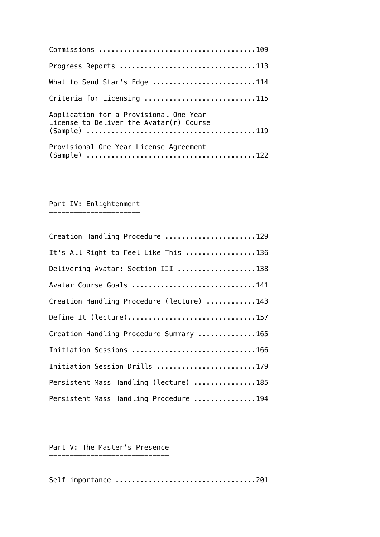| Progress Reports 113                   |
|----------------------------------------|
| What to Send Star's Edge 114           |
| Criteria for Licensing 115             |
| Application for a Provisional One-Year |
| Provisional One-Year License Agreement |

#### Part IV: Enlightenment ----------------------

| Creation Handling Procedure 129           |
|-------------------------------------------|
| It's All Right to Feel Like This 136      |
| Delivering Avatar: Section III 138        |
| Avatar Course Goals 141                   |
| Creation Handling Procedure (lecture) 143 |
| Define It (lecture)157                    |
| Creation Handling Procedure Summary 165   |
| Initiation Sessions 166                   |
| Initiation Session Drills 179             |
| Persistent Mass Handling (lecture) 185    |
| Persistent Mass Handling Procedure 194    |

### Part V: The Master's Presence -----------------------------

Self-importance ..................................201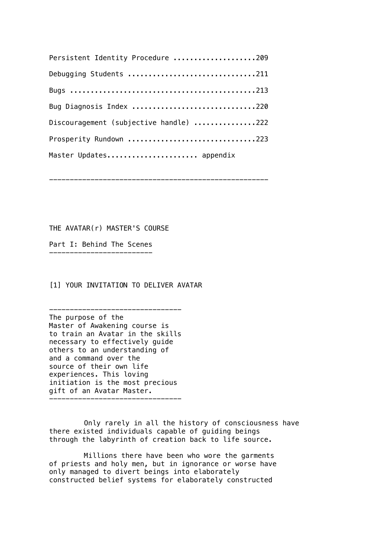| Persistent Identity Procedure 209      |
|----------------------------------------|
| Debugging Students 211                 |
|                                        |
| Bug Diagnosis Index 220                |
| Discouragement (subjective handle) 222 |
| Prosperity Rundown 223                 |
| Master Updates appendix                |

-----------------------------------------------------

THE AVATAR(r) MASTER'S COURSE

Part I: Behind The Scenes -------------------------

[1] YOUR INVITATION TO DELIVER AVATAR

-------------------------------- The purpose of the Master of Awakening course is to train an Avatar in the skills necessary to effectively guide others to an understanding of and a command over the source of their own life experiences. This loving initiation is the most precious gift of an Avatar Master. --------------------------------

Only rarely in all the history of consciousness have there existed individuals capable of guiding beings through the labyrinth of creation back to life source.

Millions there have been who wore the garments of priests and holy men, but in ignorance or worse have only managed to divert beings into elaborately constructed belief systems for elaborately constructed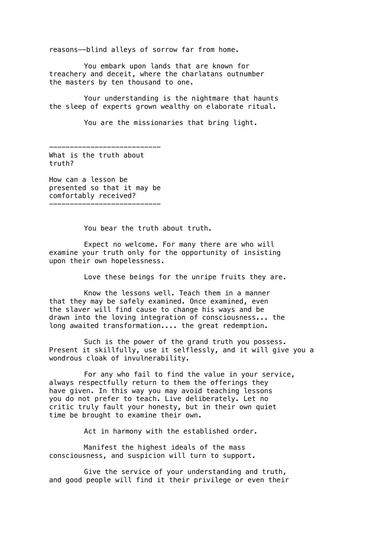reasons--blind alleys of sorrow far from home.

You embark upon lands that are known for treachery and deceit, where the charlatans outnumber the masters by ten thousand to one.

Your understanding is the nightmare that haunts the sleep of experts grown wealthy on elaborate ritual.

You are the missionaries that bring light.

--------------------------- What is the truth about truth?

How can a lesson be presented so that it may be comfortably received? ---------------------------

You bear the truth about truth.

Expect no welcome. For many there are who will examine your truth only for the opportunity of insisting upon their own hopelessness.

Love these beings for the unripe fruits they are.

Know the lessons well. Teach them in a manner that they may be safely examined. Once examined, even the slaver will find cause to change his ways and be drawn into the loving integration of consciousness... the long awaited transformation.... the great redemption.

Such is the power of the grand truth you possess. Present it skillfully, use it selflessly, and it will give you a wondrous cloak of invulnerability.

For any who fail to find the value in your service, always respectfully return to them the offerings they have given. In this way you may avoid teaching lessons you do not prefer to teach. Live deliberately. Let no critic truly fault your honesty, but in their own quiet time be brought to examine their own.

Act in harmony with the established order.

Manifest the highest ideals of the mass consciousness, and suspicion will turn to support.

Give the service of your understanding and truth, and good people will find it their privilege or even their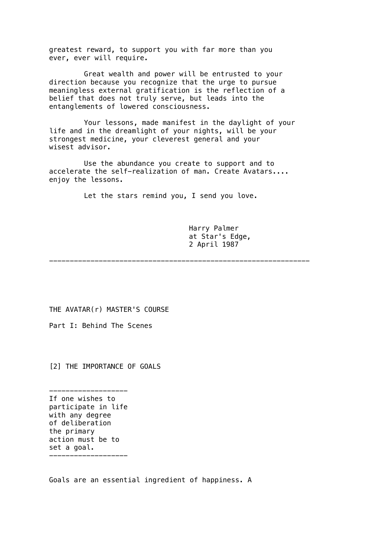greatest reward, to support you with far more than you ever, ever will require.

Great wealth and power will be entrusted to your direction because you recognize that the urge to pursue meaningless external gratification is the reflection of a belief that does not truly serve, but leads into the entanglements of lowered consciousness.

Your lessons, made manifest in the daylight of your life and in the dreamlight of your nights, will be your strongest medicine, your cleverest general and your wisest advisor.

Use the abundance you create to support and to accelerate the self-realization of man. Create Avatars.... enjoy the lessons.

Let the stars remind you, I send you love.

Harry Palmer at Star's Edge, 2 April 1987

---------------------------------------------------------------

THE AVATAR(r) MASTER'S COURSE

Part I: Behind The Scenes

[2] THE IMPORTANCE OF GOALS

------------------- If one wishes to participate in life with any degree of deliberation the primary action must be to set a goal. -------------------

Goals are an essential ingredient of happiness. A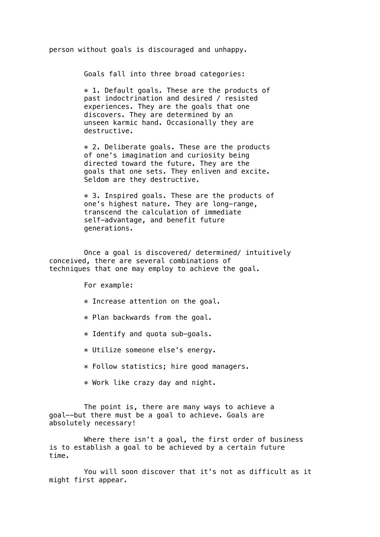person without goals is discouraged and unhappy.

Goals fall into three broad categories:

\* 1. Default goals. These are the products of past indoctrination and desired / resisted experiences. They are the goals that one discovers. They are determined by an unseen karmic hand. Occasionally they are destructive.

 $*$  2. Deliberate goals. These are the products of one's imagination and curiosity being directed toward the future. They are the goals that one sets. They enliven and excite. Seldom are they destructive.

\* 3. Inspired goals. These are the products of one's highest nature. They are long-range, transcend the calculation of immediate self-advantage, and benefit future generations.

Once a goal is discovered/ determined/ intuitively conceived, there are several combinations of techniques that one may employ to achieve the goal.

For example:

- $*$  Increase attention on the goal.
- \* Plan backwards from the goal.
- \* Identify and quota sub-goals.
- \* Utilize someone else's energy.
- \* Follow statistics; hire good managers.
- \* Work like crazy day and night.

The point is, there are many ways to achieve a goal--but there must be a goal to achieve. Goals are absolutely necessary!

Where there isn't a goal, the first order of business is to establish a goal to be achieved by a certain future time.

You will soon discover that it's not as difficult as it might first appear.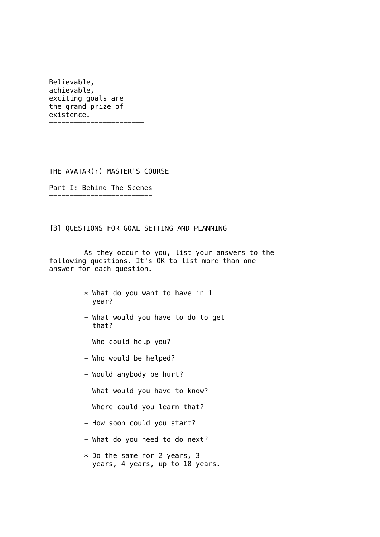---------------------- Believable, achievable, exciting goals are the grand prize of existence. -----------------------

THE AVATAR(r) MASTER'S COURSE

Part I: Behind The Scenes -------------------------

[3] QUESTIONS FOR GOAL SETTING AND PLANNING

As they occur to you, list your answers to the following questions. It's OK to list more than one answer for each question.

- \* What do you want to have in 1 year?
- What would you have to do to get that?
- Who could help you?
- Who would be helped?
- Would anybody be hurt?
- What would you have to know?
- Where could you learn that?
- How soon could you start?
- What do you need to do next?
- \* Do the same for 2 years, 3 years, 4 years, up to 10 years.

-----------------------------------------------------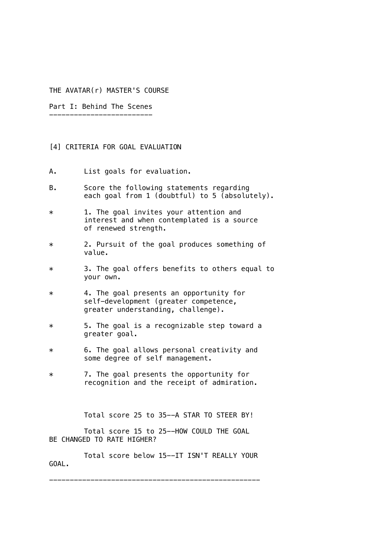### THE AVATAR(r) MASTER'S COURSE

Part I: Behind The Scenes -------------------------

### [4] CRITERIA FOR GOAL EVALUATION

- A. List goals for evaluation.
- B. Score the following statements regarding each goal from 1 (doubtful) to 5 (absolutely).
- \* 1. The goal invites your attention and interest and when contemplated is a source of renewed strength.
- \* 2. Pursuit of the goal produces something of value.
- \* 3. The goal offers benefits to others equal to your own.
- \* 4. The goal presents an opportunity for self-development (greater competence, greater understanding, challenge).
- \* 5. The goal is a recognizable step toward a greater goal.
- \* 6. The goal allows personal creativity and some degree of self management.
- \* 7. The goal presents the opportunity for recognition and the receipt of admiration.

Total score 25 to 35--A STAR TO STEER BY!

Total score 15 to 25--HOW COULD THE GOAL BE CHANGED TO RATE HIGHER?

Total score below 15--IT ISN'T REALLY YOUR GOAL.

---------------------------------------------------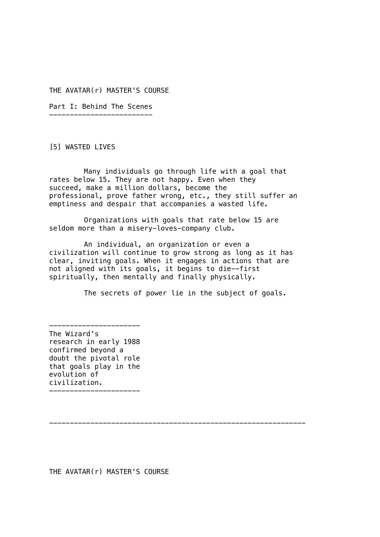THE AVATAR(r) MASTER'S COURSE

Part I: Behind The Scenes -------------------------

[5] WASTED LIVES

Many individuals go through life with a goal that rates below 15. They are not happy. Even when they succeed, make a million dollars, become the professional, prove father wrong, etc., they still suffer an emptiness and despair that accompanies a wasted life.

Organizations with goals that rate below 15 are seldom more than a misery-loves-company club.

An individual, an organization or even a civilization will continue to grow strong as long as it has clear, inviting goals. When it engages in actions that are not aligned with its goals, it begins to die--first spiritually, then mentally and finally physically.

The secrets of power lie in the subject of goals.

The Wizard's research in early 1988 confirmed beyond a doubt the pivotal role that goals play in the evolution of civilization.

----------------------

----------------------

--------------------------------------------------------------

THE AVATAR(r) MASTER'S COURSE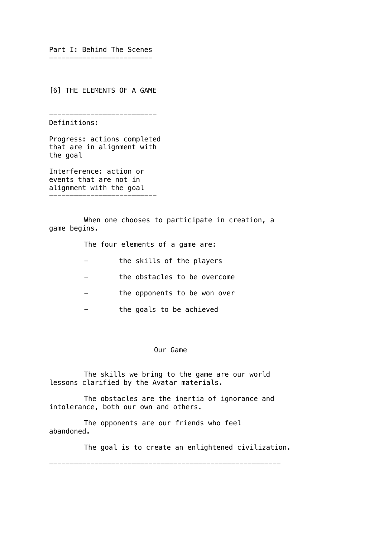Part I: Behind The Scenes -------------------------

[6] THE ELEMENTS OF A GAME

--------------------------

Definitions:

Progress: actions completed that are in alignment with the goal

Interference: action or events that are not in alignment with the goal --------------------------

When one chooses to participate in creation, a game begins.

The four elements of a game are:

- the skills of the players
- the obstacles to be overcome
- the opponents to be won over
- the goals to be achieved

## Our Game

The skills we bring to the game are our world lessons clarified by the Avatar materials.

The obstacles are the inertia of ignorance and intolerance, both our own and others.

--------------------------------------------------------

The opponents are our friends who feel abandoned.

The goal is to create an enlightened civilization.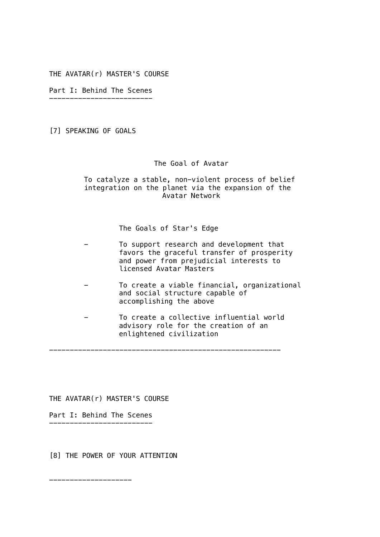THE AVATAR(r) MASTER'S COURSE

Part I: Behind The Scenes -------------------------

[7] SPEAKING OF GOALS

The Goal of Avatar

To catalyze a stable, non-violent process of belief integration on the planet via the expansion of the Avatar Network

The Goals of Star's Edge

| To support research and development that<br>favors the graceful transfer of prosperity<br>and power from prejudicial interests to<br>licensed Avatar Masters |
|--------------------------------------------------------------------------------------------------------------------------------------------------------------|
| To create a viable financial, organizational<br>and social structure capable of<br>accomplishing the above                                                   |
| To create a collective influential world<br>advisory role for the creation of an<br>enlightened civilization                                                 |

--------------------------------------------------------

THE AVATAR(r) MASTER'S COURSE

Part I: Behind The Scenes -------------------------

[8] THE POWER OF YOUR ATTENTION

--------------------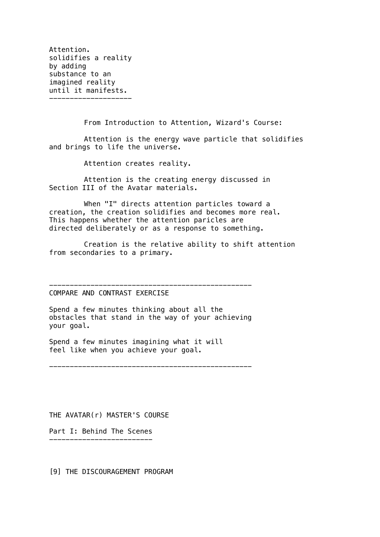Attention. solidifies a reality by adding substance to an imagined reality until it manifests.

--------------------

From Introduction to Attention, Wizard's Course:

Attention is the energy wave particle that solidifies and brings to life the universe.

Attention creates reality.

Attention is the creating energy discussed in Section III of the Avatar materials.

When "I" directs attention particles toward a creation, the creation solidifies and becomes more real. This happens whether the attention paricles are directed deliberately or as a response to something.

Creation is the relative ability to shift attention from secondaries to a primary.

-------------------------------------------------

COMPARE AND CONTRAST EXERCISE

Spend a few minutes thinking about all the obstacles that stand in the way of your achieving your goal.

Spend a few minutes imagining what it will feel like when you achieve your goal.

-------------------------------------------------

THE AVATAR(r) MASTER'S COURSE

Part I: Behind The Scenes -------------------------

[9] THE DISCOURAGEMENT PROGRAM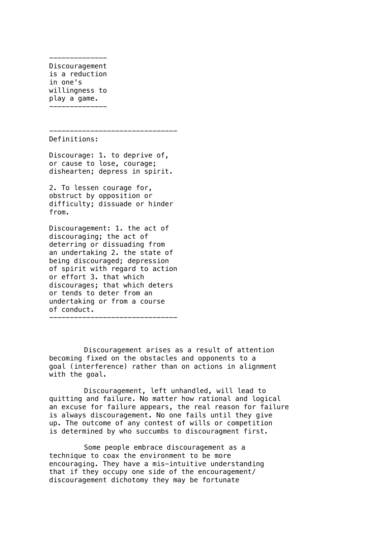-------------- Discouragement is a reduction in one's willingness to play a game. --------------

------------------------------- Definitions:

Discourage: 1. to deprive of, or cause to lose, courage; dishearten; depress in spirit.

2. To lessen courage for, obstruct by opposition or difficulty; dissuade or hinder from.

Discouragement: 1. the act of discouraging; the act of deterring or dissuading from an undertaking 2. the state of being discouraged; depression of spirit with regard to action or effort 3. that which discourages; that which deters or tends to deter from an undertaking or from a course of conduct.

-------------------------------

Discouragement arises as a result of attention becoming fixed on the obstacles and opponents to a goal (interference) rather than on actions in alignment with the goal.

Discouragement, left unhandled, will lead to quitting and failure. No matter how rational and logical an excuse for failure appears, the real reason for failure is always discouragement. No one fails until they give up. The outcome of any contest of wills or competition is determined by who succumbs to discouragment first.

Some people embrace discouragement as a technique to coax the environment to be more encouraging. They have a mis-intuitive understanding that if they occupy one side of the encouragement/ discouragement dichotomy they may be fortunate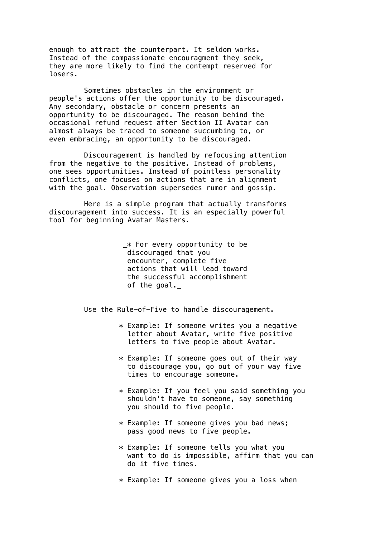enough to attract the counterpart. It seldom works. Instead of the compassionate encouragment they seek, they are more likely to find the contempt reserved for losers.

Sometimes obstacles in the environment or people's actions offer the opportunity to be discouraged. Any secondary, obstacle or concern presents an opportunity to be discouraged. The reason behind the occasional refund request after Section II Avatar can almost always be traced to someone succumbing to, or even embracing, an opportunity to be discouraged.

Discouragement is handled by refocusing attention from the negative to the positive. Instead of problems, one sees opportunities. Instead of pointless personality conflicts, one focuses on actions that are in alignment with the goal. Observation supersedes rumor and gossip.

Here is a simple program that actually transforms discouragement into success. It is an especially powerful tool for beginning Avatar Masters.

> \_\* For every opportunity to be discouraged that you encounter, complete five actions that will lead toward the successful accomplishment of the goal.

Use the Rule-of-Five to handle discouragement.

- \* Example: If someone writes you a negative letter about Avatar, write five positive letters to five people about Avatar.
- $*$  Example: If someone goes out of their way to discourage you, go out of your way five times to encourage someone.
- \* Example: If you feel you said something you shouldn't have to someone, say something you should to five people.
- \* Example: If someone gives you bad news; pass good news to five people.
- \* Example: If someone tells you what you want to do is impossible, affirm that you can do it five times.
- \* Example: If someone gives you a loss when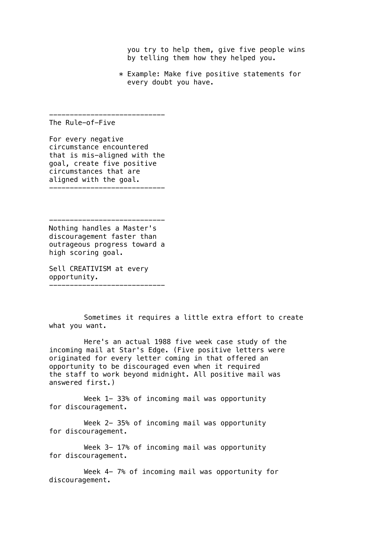you try to help them, give five people wins by telling them how they helped you.

\* Example: Make five positive statements for every doubt you have.

The Rule-of-Five

For every negative circumstance encountered that is mis-aligned with the goal, create five positive circumstances that are aligned with the goal. ----------------------------

----------------------------

Nothing handles a Master's discouragement faster than outrageous progress toward a high scoring goal.

----------------------------

Sell CREATIVISM at every opportunity. ----------------------------

Sometimes it requires a little extra effort to create what you want.

Here's an actual 1988 five week case study of the incoming mail at Star's Edge. (Five positive letters were originated for every letter coming in that offered an opportunity to be discouraged even when it required the staff to work beyond midnight. All positive mail was answered first.)

Week 1-33% of incoming mail was opportunity for discouragement.

Week 2- 35% of incoming mail was opportunity for discouragement.

Week 3- 17% of incoming mail was opportunity for discouragement.

Week 4- 7% of incoming mail was opportunity for discouragement.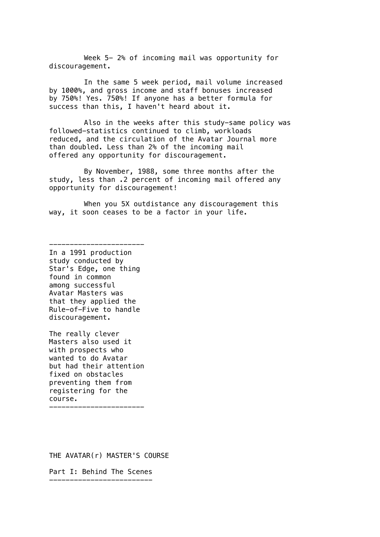Week 5- 2% of incoming mail was opportunity for discouragement.

In the same 5 week period, mail volume increased by 1000%, and gross income and staff bonuses increased by 750%! Yes. 750%! If anyone has a better formula for success than this, I haven't heard about it.

Also in the weeks after this study-same policy was followed-statistics continued to climb, workloads reduced, and the circulation of the Avatar Journal more than doubled. Less than 2% of the incoming mail offered any opportunity for discouragement.

By November, 1988, some three months after the study, less than .2 percent of incoming mail offered any opportunity for discouragement!

When you 5X outdistance any discouragement this way, it soon ceases to be a factor in your life.

In a 1991 production study conducted by Star's Edge, one thing found in common among successful Avatar Masters was that they applied the Rule-of-Five to handle discouragement.

-----------------------

The really clever Masters also used it with prospects who wanted to do Avatar but had their attention fixed on obstacles preventing them from registering for the course. -----------------------

THE AVATAR(r) MASTER'S COURSE

Part I: Behind The Scenes -------------------------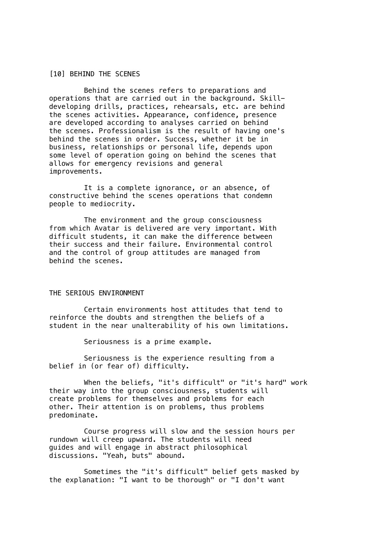## [10] BEHIND THE SCENES

Behind the scenes refers to preparations and operations that are carried out in the background. Skilldeveloping drills, practices, rehearsals, etc. are behind the scenes activities. Appearance, confidence, presence are developed according to analyses carried on behind the scenes. Professionalism is the result of having one's behind the scenes in order. Success, whether it be in business, relationships or personal life, depends upon some level of operation going on behind the scenes that allows for emergency revisions and general improvements.

It is a complete ignorance, or an absence, of constructive behind the scenes operations that condemn people to mediocrity.

The environment and the group consciousness from which Avatar is delivered are very important. With difficult students, it can make the difference between their success and their failure. Environmental control and the control of group attitudes are managed from behind the scenes.

## THE SERIOUS ENVIRONMENT

Certain environments host attitudes that tend to reinforce the doubts and strengthen the beliefs of a student in the near unalterability of his own limitations.

Seriousness is a prime example.

Seriousness is the experience resulting from a belief in (or fear of) difficulty.

When the beliefs, "it's difficult" or "it's hard" work their way into the group consciousness, students will create problems for themselves and problems for each other. Their attention is on problems, thus problems predominate.

Course progress will slow and the session hours per rundown will creep upward. The students will need guides and will engage in abstract philosophical discussions. "Yeah, buts" abound.

Sometimes the "it's difficult" belief gets masked by the explanation: "I want to be thorough" or "I don't want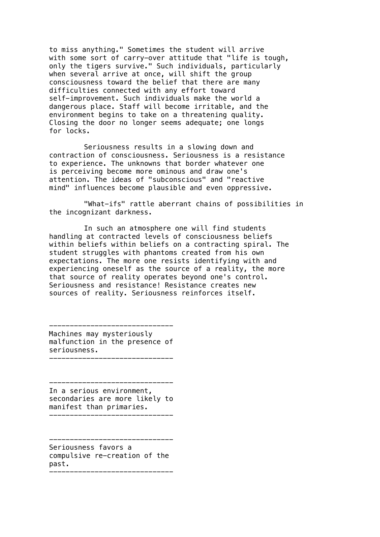to miss anything." Sometimes the student will arrive with some sort of carry-over attitude that "life is tough, only the tigers survive." Such individuals, particularly when several arrive at once, will shift the group consciousness toward the belief that there are many difficulties connected with any effort toward self-improvement. Such individuals make the world a dangerous place. Staff will become irritable, and the environment begins to take on a threatening quality. Closing the door no longer seems adequate; one longs for locks.

Seriousness results in a slowing down and contraction of consciousness. Seriousness is a resistance to experience. The unknowns that border whatever one is perceiving become more ominous and draw one's attention. The ideas of "subconscious" and "reactive mind" influences become plausible and even oppressive.

"What-ifs" rattle aberrant chains of possibilities in the incognizant darkness.

In such an atmosphere one will find students handling at contracted levels of consciousness beliefs within beliefs within beliefs on a contracting spiral. The student struggles with phantoms created from his own expectations. The more one resists identifying with and experiencing oneself as the source of a reality, the more that source of reality operates beyond one's control. Seriousness and resistance! Resistance creates new sources of reality. Seriousness reinforces itself.

------------------------------ Machines may mysteriously malfunction in the presence of seriousness.

------------------------------

------------------------------ In a serious environment, secondaries are more likely to manifest than primaries.

------------------------------ Seriousness favors a compulsive re-creation of the past.

------------------------------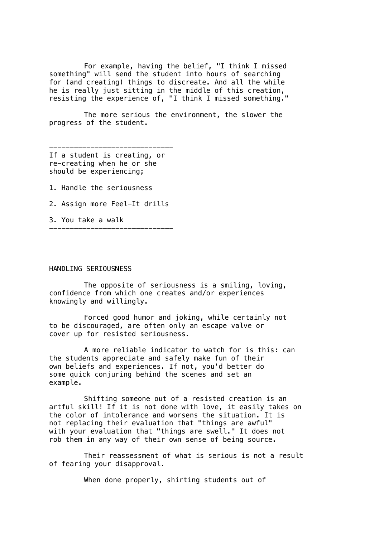For example, having the belief, "I think I missed something" will send the student into hours of searching for (and creating) things to discreate. And all the while he is really just sitting in the middle of this creation, resisting the experience of, "I think I missed something."

The more serious the environment, the slower the progress of the student.

------------------------------ If a student is creating, or re-creating when he or she should be experiencing;

- 1. Handle the seriousness
- 2. Assign more Feel-It drills

------------------------------

3. You take a walk

#### HANDLING SERIOUSNESS

The opposite of seriousness is a smiling, loving, confidence from which one creates and/or experiences knowingly and willingly.

Forced good humor and joking, while certainly not to be discouraged, are often only an escape valve or cover up for resisted seriousness.

A more reliable indicator to watch for is this: can the students appreciate and safely make fun of their own beliefs and experiences. If not, you'd better do some quick conjuring behind the scenes and set an example.

Shifting someone out of a resisted creation is an artful skill! If it is not done with love, it easily takes on the color of intolerance and worsens the situation. It is not replacing their evaluation that "things are awful" with your evaluation that "things are swell." It does not rob them in any way of their own sense of being source.

Their reassessment of what is serious is not a result of fearing your disapproval.

When done properly, shirting students out of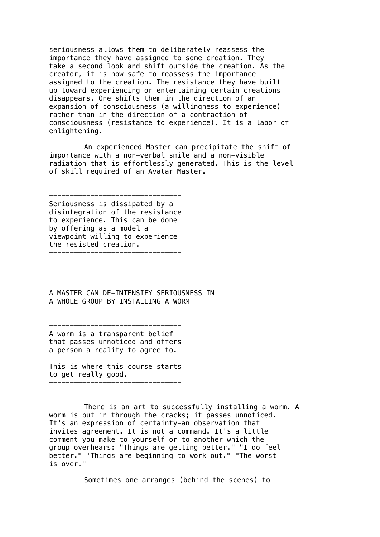seriousness allows them to deliberately reassess the importance they have assigned to some creation. They take a second look and shift outside the creation. As the creator, it is now safe to reassess the importance assigned to the creation. The resistance they have built up toward experiencing or entertaining certain creations disappears. One shifts them in the direction of an expansion of consciousness (a willingness to experience) rather than in the direction of a contraction of consciousness (resistance to experience). It is a labor of enlightening.

An experienced Master can precipitate the shift of importance with a non-verbal smile and a non-visible radiation that is effortlessly generated. This is the level of skill required of an Avatar Master.

-------------------------------- Seriousness is dissipated by a disintegration of the resistance to experience. This can be done by offering as a model a viewpoint willing to experience the resisted creation. --------------------------------

A MASTER CAN DE-INTENSIFY SERIOUSNESS IN A WHOLE GROUP BY INSTALLING A WORM

-------------------------------- A worm is a transparent belief that passes unnoticed and offers a person a reality to agree to.

This is where this course starts to get really good. --------------------------------

There is an art to successfully installing a worm. A worm is put in through the cracks; it passes unnoticed. It's an expression of certainty-an observation that invites agreement. It is not a command. It's a little comment you make to yourself or to another which the group overhears: "Things are getting better." "I do feel better." 'Things are beginning to work out." "The worst is over."

Sometimes one arranges (behind the scenes) to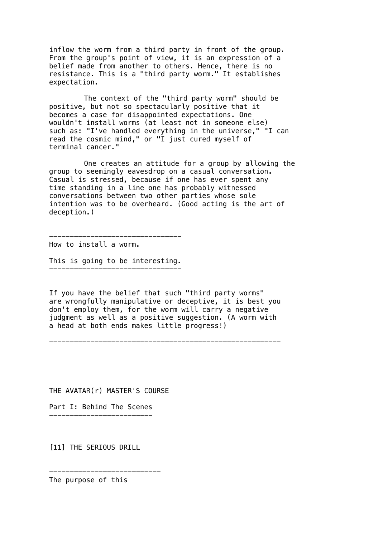inflow the worm from a third party in front of the group. From the group's point of view, it is an expression of a belief made from another to others. Hence, there is no resistance. This is a "third party worm." It establishes expectation.

The context of the "third party worm" should be positive, but not so spectacularly positive that it becomes a case for disappointed expectations. One wouldn't install worms (at least not in someone else) such as: "I've handled everything in the universe," "I can read the cosmic mind," or "I just cured myself of terminal cancer."

One creates an attitude for a group by allowing the group to seemingly eavesdrop on a casual conversation. Casual is stressed, because if one has ever spent any time standing in a line one has probably witnessed conversations between two other parties whose sole intention was to be overheard. (Good acting is the art of deception.)

How to install a worm.

This is going to be interesting. --------------------------------

--------------------------------

If you have the belief that such "third party worms" are wrongfully manipulative or deceptive, it is best you don't employ them, for the worm will carry a negative judgment as well as a positive suggestion. (A worm with a head at both ends makes little progress!)

--------------------------------------------------------

THE AVATAR(r) MASTER'S COURSE

---------------------------

Part I: Behind The Scenes -------------------------

[11] THE SERIOUS DRILL

The purpose of this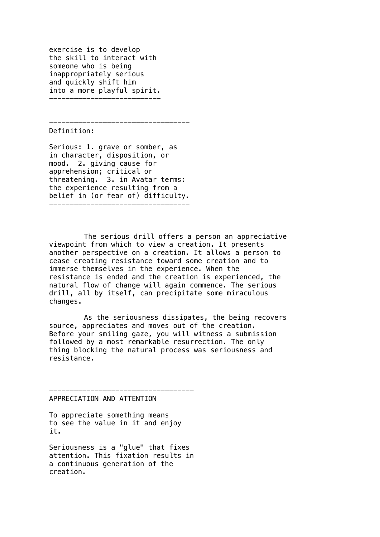exercise is to develop the skill to interact with someone who is being inappropriately serious and quickly shift him into a more playful spirit. ---------------------------

Definition:

Serious: 1. grave or somber, as in character, disposition, or mood. 2. giving cause for apprehension; critical or threatening. 3. in Avatar terms: the experience resulting from a belief in (or fear of) difficulty. ----------------------------------

----------------------------------

The serious drill offers a person an appreciative viewpoint from which to view a creation. It presents another perspective on a creation. It allows a person to cease creating resistance toward some creation and to immerse themselves in the experience. When the resistance is ended and the creation is experienced, the natural flow of change will again commence. The serious drill, all by itself, can precipitate some miraculous changes.

As the seriousness dissipates, the being recovers source, appreciates and moves out of the creation. Before your smiling gaze, you will witness a submission followed by a most remarkable resurrection. The only thing blocking the natural process was seriousness and resistance.

#### APPRECIATION AND ATTENTION

To appreciate something means to see the value in it and enjoy it.

-----------------------------------

Seriousness is a "glue" that fixes attention. This fixation results in a continuous generation of the creation.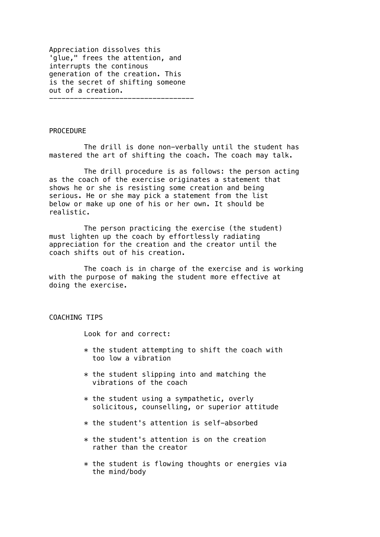Appreciation dissolves this 'glue," frees the attention, and interrupts the continous generation of the creation. This is the secret of shifting someone out of a creation. -----------------------------------

### PROCEDURE

The drill is done non-verbally until the student has mastered the art of shifting the coach. The coach may talk.

The drill procedure is as follows: the person acting as the coach of the exercise originates a statement that shows he or she is resisting some creation and being serious. He or she may pick a statement from the list below or make up one of his or her own. It should be realistic.

The person practicing the exercise (the student) must lighten up the coach by effortlessly radiating appreciation for the creation and the creator until the coach shifts out of his creation.

The coach is in charge of the exercise and is working with the purpose of making the student more effective at doing the exercise.

# COACHING TIPS

Look for and correct:

- $*$  the student attempting to shift the coach with too low a vibration
- $*$  the student slipping into and matching the vibrations of the coach
- $*$  the student using a sympathetic, overly solicitous, counselling, or superior attitude
- \* the student's attention is self-absorbed
- \* the student's attention is on the creation rather than the creator
- $*$  the student is flowing thoughts or energies via the mind/body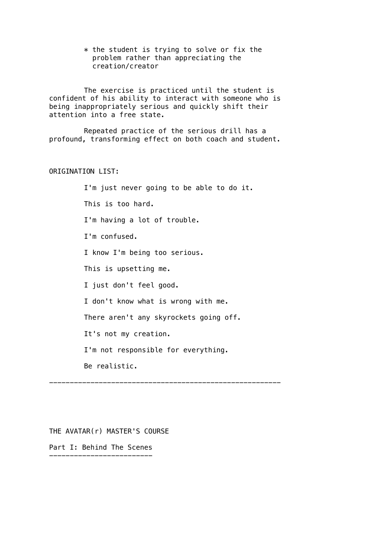$*$  the student is trying to solve or fix the problem rather than appreciating the creation/creator

The exercise is practiced until the student is confident of his ability to interact with someone who is being inappropriately serious and quickly shift their attention into a free state.

Repeated practice of the serious drill has a profound, transforming effect on both coach and student.

# ORIGINATION LIST:

I'm just never going to be able to do it. This is too hard. I'm having a lot of trouble. I'm confused. I know I'm being too serious. This is upsetting me. I just don't feel good. I don't know what is wrong with me. There aren't any skyrockets going off. It's not my creation. I'm not responsible for everything. Be realistic.

--------------------------------------------------------

THE AVATAR(r) MASTER'S COURSE

Part I: Behind The Scenes -------------------------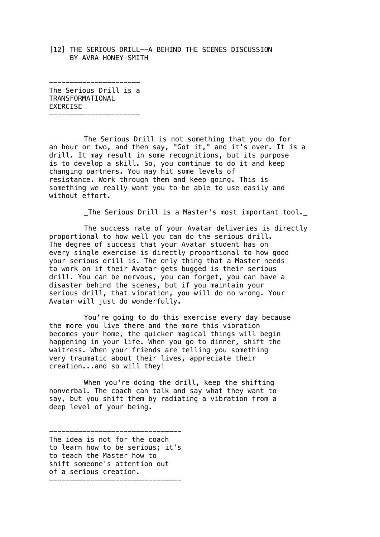[12] THE SERIOUS DRILL--A BEHIND THE SCENES DISCUSSION BY AVRA HONEY-SMITH

---------------------- The Serious Drill is a TRANSFORMATIONAL EXERCISE

----------------------

The Serious Drill is not something that you do for an hour or two, and then say, "Got it," and it's over. It is a drill. It may result in some recognitions, but its purpose is to develop a skill. So, you continue to do it and keep changing partners. You may hit some levels of resistance. Work through them and keep going. This is something we really want you to be able to use easily and without effort.

\_The Serious Drill is a Master's most important tool.\_

The success rate of your Avatar deliveries is directly proportional to how well you can do the serious drill. The degree of success that your Avatar student has on every single exercise is directly proportional to how good your serious drill is. The only thing that a Master needs to work on if their Avatar gets bugged is their serious drill. You can be nervous, you can forget, you can have a disaster behind the scenes, but if you maintain your serious drill, that vibration, you will do no wrong. Your Avatar will just do wonderfully.

You're going to do this exercise every day because the more you live there and the more this vibration becomes your home, the quicker magical things will begin happening in your life. When you go to dinner, shift the waitress. When your friends are telling you something very traumatic about their lives, appreciate their creation...and so will they!

When you're doing the drill, keep the shifting nonverbal. The coach can talk and say what they want to say, but you shift them by radiating a vibration from a deep level of your being.

-------------------------------- The idea is not for the coach to learn how to be serious; it's to teach the Master how to shift someone's attention out of a serious creation. --------------------------------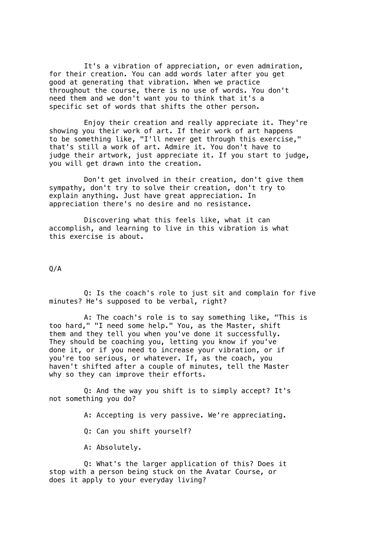It's a vibration of appreciation, or even admiration, for their creation. You can add words later after you get good at generating that vibration. When we practice throughout the course, there is no use of words. You don't need them and we don't want you to think that it's a specific set of words that shifts the other person.

Enjoy their creation and really appreciate it. They're showing you their work of art. If their work of art happens to be something like, "I'll never get through this exercise," that's still a work of art. Admire it. You don't have to judge their artwork, just appreciate it. If you start to judge, you will get drawn into the creation.

Don't get involved in their creation, don't give them sympathy, don't try to solve their creation, don't try to explain anything. Just have great appreciation. In appreciation there's no desire and no resistance.

Discovering what this feels like, what it can accomplish, and learning to live in this vibration is what this exercise is about.

 $0/A$ 

Q: Is the coach's role to just sit and complain for five minutes? He's supposed to be verbal, right?

A: The coach's role is to say something like, "This is too hard," "I need some help." You, as the Master, shift them and they tell you when you've done it successfully. They should be coaching you, letting you know if you've done it, or if you need to increase your vibration, or if you're too serious, or whatever. If, as the coach, you haven't shifted after a couple of minutes, tell the Master why so they can improve their efforts.

Q: And the way you shift is to simply accept? It's not something you do?

A: Accepting is very passive. We're appreciating.

Q: Can you shift yourself?

A: Absolutely.

Q: What's the larger application of this? Does it stop with a person being stuck on the Avatar Course, or does it apply to your everyday living?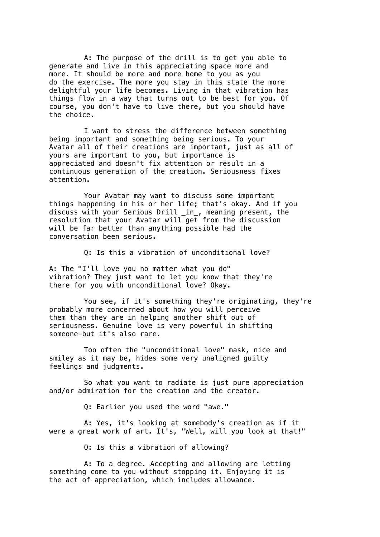A: The purpose of the drill is to get you able to generate and live in this appreciating space more and more. It should be more and more home to you as you do the exercise. The more you stay in this state the more delightful your life becomes. Living in that vibration has things flow in a way that turns out to be best for you. Of course, you don't have to live there, but you should have the choice.

I want to stress the difference between something being important and something being serious. To your Avatar all of their creations are important, just as all of yours are important to you, but importance is appreciated and doesn't fix attention or result in a continuous generation of the creation. Seriousness fixes attention.

Your Avatar may want to discuss some important things happening in his or her life; that's okay. And if you discuss with your Serious Drill \_in\_, meaning present, the resolution that your Avatar will get from the discussion will be far better than anything possible had the conversation been serious.

Q: Is this a vibration of unconditional love?

A: The "I'll love you no matter what you do" vibration? They just want to let you know that they're there for you with unconditional love? Okay.

You see, if it's something they're originating, they're probably more concerned about how you will perceive them than they are in helping another shift out of seriousness. Genuine love is very powerful in shifting someone-but it's also rare.

Too often the "unconditional love" mask, nice and smiley as it may be, hides some very unaligned guilty feelings and judgments.

So what you want to radiate is just pure appreciation and/or admiration for the creation and the creator.

Q: Earlier you used the word "awe."

A: Yes, it's looking at somebody's creation as if it were a great work of art. It's, "Well, will you look at that!"

Q: Is this a vibration of allowing?

A: To a degree. Accepting and allowing are letting something come to you without stopping it. Enjoying it is the act of appreciation, which includes allowance.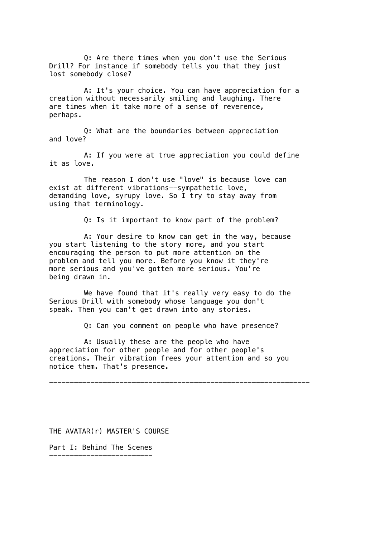Q: Are there times when you don't use the Serious Drill? For instance if somebody tells you that they just lost somebody close?

A: It's your choice. You can have appreciation for a creation without necessarily smiling and laughing. There are times when it take more of a sense of reverence, perhaps.

Q: What are the boundaries between appreciation and love?

A: If you were at true appreciation you could define it as love.

The reason I don't use "love" is because love can exist at different vibrations--sympathetic love, demanding love, syrupy love. So I try to stay away from using that terminology.

Q: Is it important to know part of the problem?

A: Your desire to know can get in the way, because you start listening to the story more, and you start encouraging the person to put more attention on the problem and tell you more. Before you know it they're more serious and you've gotten more serious. You're being drawn in.

We have found that it's really very easy to do the Serious Drill with somebody whose language you don't speak. Then you can't get drawn into any stories.

Q: Can you comment on people who have presence?

---------------------------------------------------------------

A: Usually these are the people who have appreciation for other people and for other people's creations. Their vibration frees your attention and so you notice them. That's presence.

THE AVATAR(r) MASTER'S COURSE

Part I: Behind The Scenes -------------------------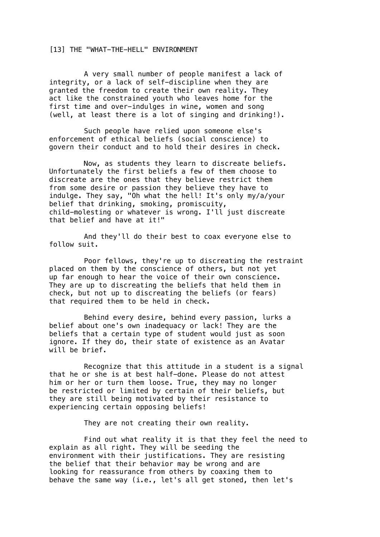## [13] THE "WHAT-THE-HELL" ENVIRONMENT

A very small number of people manifest a lack of integrity, or a lack of self-discipline when they are granted the freedom to create their own reality. They act like the constrained youth who leaves home for the first time and over-indulges in wine, women and song (well, at least there is a lot of singing and drinking!).

Such people have relied upon someone else's enforcement of ethical beliefs (social conscience) to govern their conduct and to hold their desires in check.

Now, as students they learn to discreate beliefs. Unfortunately the first beliefs a few of them choose to discreate are the ones that they believe restrict them from some desire or passion they believe they have to indulge. They say, "Oh what the hell! It's only my/a/your belief that drinking, smoking, promiscuity, child-molesting or whatever is wrong. I'll just discreate that belief and have at it!"

And they'll do their best to coax everyone else to follow suit.

Poor fellows, they're up to discreating the restraint placed on them by the conscience of others, but not yet up far enough to hear the voice of their own conscience. They are up to discreating the beliefs that held them in check, but not up to discreating the beliefs (or fears) that required them to be held in check.

Behind every desire, behind every passion, lurks a belief about one's own inadequacy or lack! They are the beliefs that a certain type of student would just as soon ignore. If they do, their state of existence as an Avatar will be brief.

Recognize that this attitude in a student is a signal that he or she is at best half-done. Please do not attest him or her or turn them loose. True, they may no longer be restricted or limited by certain of their beliefs, but they are still being motivated by their resistance to experiencing certain opposing beliefs!

They are not creating their own reality.

Find out what reality it is that they feel the need to explain as all right. They will be seeding the environment with their justifications. They are resisting the belief that their behavior may be wrong and are looking for reassurance from others by coaxing them to behave the same way (i.e., let's all get stoned, then let's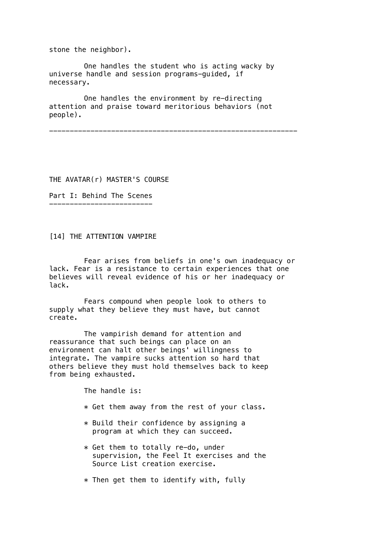stone the neighbor).

One handles the student who is acting wacky by universe handle and session programs-guided, if necessary.

One handles the environment by re-directing attention and praise toward meritorious behaviors (not people).

------------------------------------------------------------

THE AVATAR(r) MASTER'S COURSE

Part I: Behind The Scenes -------------------------

[14] THE ATTENTION VAMPIRE

Fear arises from beliefs in one's own inadequacy or lack. Fear is a resistance to certain experiences that one believes will reveal evidence of his or her inadequacy or lack.

Fears compound when people look to others to supply what they believe they must have, but cannot create.

The vampirish demand for attention and reassurance that such beings can place on an environment can halt other beings' willingness to integrate. The vampire sucks attention so hard that others believe they must hold themselves back to keep from being exhausted.

The handle is:

- \* Get them away from the rest of your class.
- \* Build their confidence by assigning a program at which they can succeed.
- \* Get them to totally re-do, under supervision, the Feel It exercises and the Source List creation exercise.
- $*$  Then get them to identify with, fully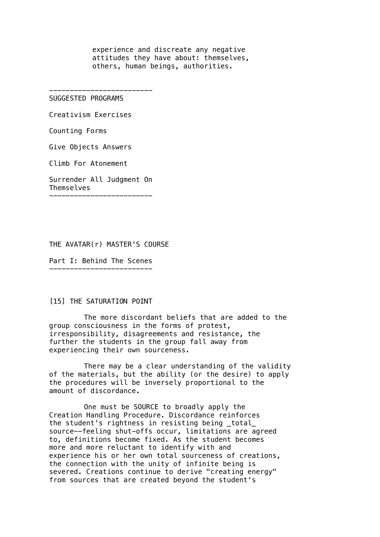experience and discreate any negative attitudes they have about: themselves, others, human beings, authorities.

------------------------- SUGGESTED PROGRAMS

Creativism Exercises

Counting Forms

Give Objects Answers

Climb For Atonement

Surrender All Judgment On Themselves -------------------------

THE AVATAR(r) MASTER'S COURSE

Part I: Behind The Scenes -------------------------

### [15] THE SATURATION POINT

The more discordant beliefs that are added to the group consciousness in the forms of protest, irresponsibility, disagreements and resistance, the further the students in the group fall away from experiencing their own sourceness.

There may be a clear understanding of the validity of the materials, but the ability (or the desire) to apply the procedures will be inversely proportional to the amount of discordance.

One must be SOURCE to broadly apply the Creation Handling Procedure. Discordance reinforces the student's rightness in resisting being \_total\_ source--feeling shut-offs occur, limitations are agreed to, definitions become fixed. As the student becomes more and more reluctant to identify with and experience his or her own total sourceness of creations, the connection with the unity of infinite being is severed. Creations continue to derive "creating energy" from sources that are created beyond the student's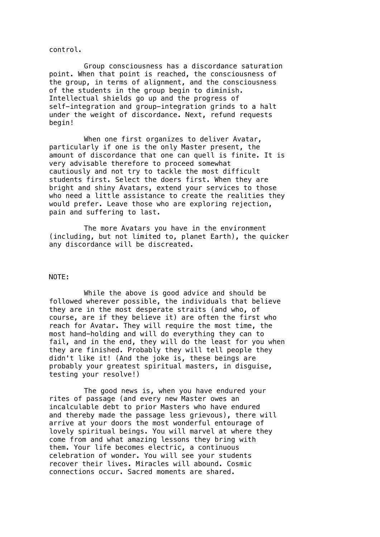control.

Group consciousness has a discordance saturation point. When that point is reached, the consciousness of the group, in terms of alignment, and the consciousness of the students in the group begin to diminish. Intellectual shields go up and the progress of self-integration and group-integration grinds to a halt under the weight of discordance. Next, refund requests begin!

When one first organizes to deliver Avatar, particularly if one is the only Master present, the amount of discordance that one can quell is finite. It is very advisable therefore to proceed somewhat cautiously and not try to tackle the most difficult students first. Select the doers first. When they are bright and shiny Avatars, extend your services to those who need a little assistance to create the realities they would prefer. Leave those who are exploring rejection, pain and suffering to last.

The more Avatars you have in the environment (including, but not limited to, planet Earth), the quicker any discordance will be discreated.

### NOTE:

While the above is good advice and should be followed wherever possible, the individuals that believe they are in the most desperate straits (and who, of course, are if they believe it) are often the first who reach for Avatar. They will require the most time, the most hand-holding and will do everything they can to fail, and in the end, they will do the least for you when they are finished. Probably they will tell people they didn't like it! (And the joke is, these beings are probably your greatest spiritual masters, in disguise, testing your resolve!)

The good news is, when you have endured your rites of passage (and every new Master owes an incalculable debt to prior Masters who have endured and thereby made the passage less grievous), there will arrive at your doors the most wonderful entourage of lovely spiritual beings. You will marvel at where they come from and what amazing lessons they bring with them. Your life becomes electric, a continuous celebration of wonder. You will see your students recover their lives. Miracles will abound. Cosmic connections occur. Sacred moments are shared.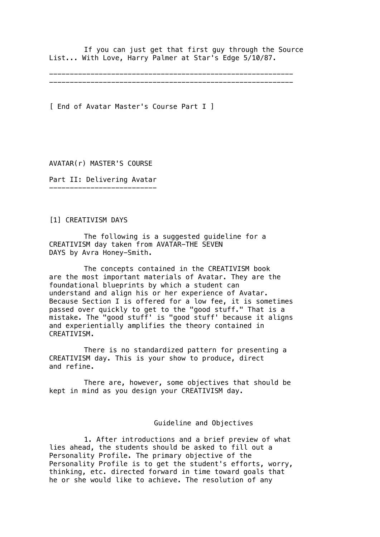If you can just get that first guy through the Source List... With Love, Harry Palmer at Star's Edge 5/10/87.

----------------------------------------------------------- -----------------------------------------------------------

[ End of Avatar Master's Course Part I ]

AVATAR(r) MASTER'S COURSE

Part II: Delivering Avatar --------------------------

[1] CREATIVISM DAYS

The following is a suggested guideline for a CREATIVISM day taken from AVATAR-THE SEVEN DAYS by Avra Honey-Smith.

The concepts contained in the CREATIVISM book are the most important materials of Avatar. They are the foundational blueprints by which a student can understand and align his or her experience of Avatar. Because Section I is offered for a low fee, it is sometimes passed over quickly to get to the "good stuff." That is a mistake. The "good stuff' is "good stuff' because it aligns and experientially amplifies the theory contained in CREATIVISM.

There is no standardized pattern for presenting a CREATIVISM day. This is your show to produce, direct and refine.

There are, however, some objectives that should be kept in mind as you design your CREATIVISM day.

Guideline and Objectives

1. After introductions and a brief preview of what lies ahead, the students should be asked to fill out a Personality Profile. The primary objective of the Personality Profile is to get the student's efforts, worry, thinking, etc. directed forward in time toward goals that he or she would like to achieve. The resolution of any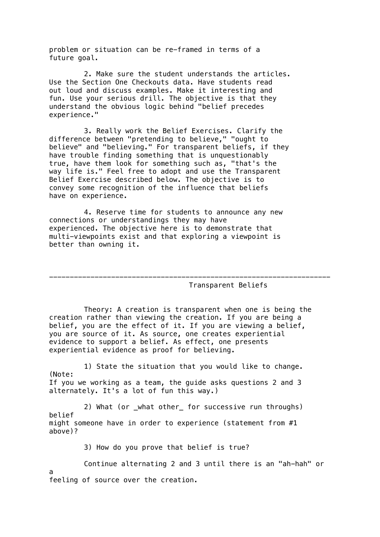problem or situation can be re-framed in terms of a future goal.

2. Make sure the student understands the articles. Use the Section One Checkouts data. Have students read out loud and discuss examples. Make it interesting and fun. Use your serious drill. The objective is that they understand the obvious logic behind "belief precedes experience."

3. Really work the Belief Exercises. Clarify the difference between "pretending to believe," "ought to believe" and "believing." For transparent beliefs, if they have trouble finding something that is unquestionably true, have them look for something such as, "that's the way life is." Feel free to adopt and use the Transparent Belief Exercise described below. The objective is to convey some recognition of the influence that beliefs have on experience.

4. Reserve time for students to announce any new connections or understandings they may have experienced. The objective here is to demonstrate that multi-viewpoints exist and that exploring a viewpoint is better than owning it.

### Transparent Beliefs

Theory: A creation is transparent when one is being the creation rather than viewing the creation. If you are being a belief, you are the effect of it. If you are viewing a belief, you are source of it. As source, one creates experiential evidence to support a belief. As effect, one presents experiential evidence as proof for believing.

--------------------------------------------------------------------

1) State the situation that you would like to change. (Note: If you we working as a team, the guide asks questions 2 and 3 alternately. It's a lot of fun this way.)

2) What (or \_what other\_ for successive run throughs) belief might someone have in order to experience (statement from #1 above)?

3) How do you prove that belief is true?

Continue alternating 2 and 3 until there is an "ah-hah" or

a feeling of source over the creation.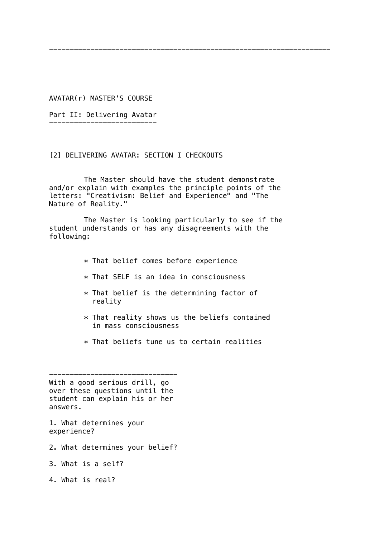AVATAR(r) MASTER'S COURSE

Part II: Delivering Avatar --------------------------

[2] DELIVERING AVATAR: SECTION I CHECKOUTS

The Master should have the student demonstrate and/or explain with examples the principle points of the letters: "Creativism: Belief and Experience" and "The Nature of Reality."

--------------------------------------------------------------------

The Master is looking particularly to see if the student understands or has any disagreements with the following:

- \* That belief comes before experience
- \* That SELF is an idea in consciousness
- $*$  That belief is the determining factor of reality
- \* That reality shows us the beliefs contained in mass consciousness
- \* That beliefs tune us to certain realities

------------------------------- With a good serious drill, go over these questions until the student can explain his or her answers.

1. What determines your experience?

2. What determines your belief?

3. What is a self?

4. What is real?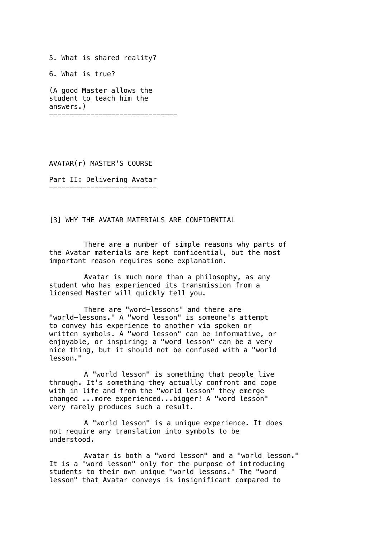5. What is shared reality? 6. What is true? (A good Master allows the student to teach him the answers.) -------------------------------

AVATAR(r) MASTER'S COURSE

Part II: Delivering Avatar --------------------------

# [3] WHY THE AVATAR MATERIALS ARE CONFIDENTIAL

There are a number of simple reasons why parts of the Avatar materials are kept confidential, but the most important reason requires some explanation.

Avatar is much more than a philosophy, as any student who has experienced its transmission from a licensed Master will quickly tell you.

There are "word-lessons" and there are "world-lessons." A "word lesson" is someone's attempt to convey his experience to another via spoken or written symbols. A "word lesson" can be informative, or enjoyable, or inspiring; a "word lesson" can be a very nice thing, but it should not be confused with a "world lesson."

A "world lesson" is something that people live through. It's something they actually confront and cope with in life and from the "world lesson" they emerge changed ...more experienced...bigger! A "word lesson" very rarely produces such a result.

A "world lesson" is a unique experience. It does not require any translation into symbols to be understood.

Avatar is both a "word lesson" and a "world lesson." It is a "word lesson" only for the purpose of introducing students to their own unique "world lessons." The "word lesson" that Avatar conveys is insignificant compared to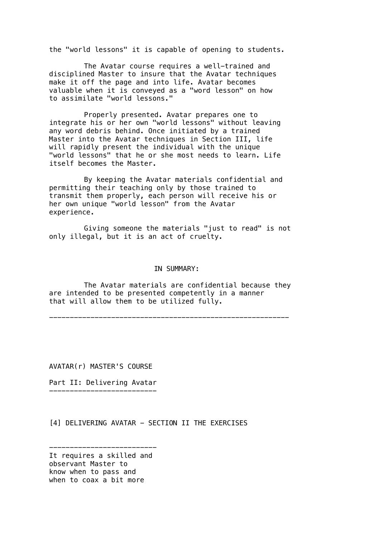the "world lessons" it is capable of opening to students.

The Avatar course requires a well-trained and disciplined Master to insure that the Avatar techniques make it off the page and into life. Avatar becomes valuable when it is conveyed as a "word lesson" on how to assimilate "world lessons."

Properly presented. Avatar prepares one to integrate his or her own "world lessons" without leaving any word debris behind. Once initiated by a trained Master into the Avatar techniques in Section III, life will rapidly present the individual with the unique "world lessons" that he or she most needs to learn. Life itself becomes the Master.

By keeping the Avatar materials confidential and permitting their teaching only by those trained to transmit them properly, each person will receive his or her own unique "world lesson" from the Avatar experience.

Giving someone the materials "just to read" is not only illegal, but it is an act of cruelty.

### IN SUMMARY:

The Avatar materials are confidential because they are intended to be presented competently in a manner that will allow them to be utilized fully.

----------------------------------------------------------

AVATAR(r) MASTER'S COURSE

Part II: Delivering Avatar --------------------------

[4] DELIVERING AVATAR - SECTION II THE EXERCISES

<sup>--------------------------</sup> It requires a skilled and observant Master to know when to pass and when to coax a bit more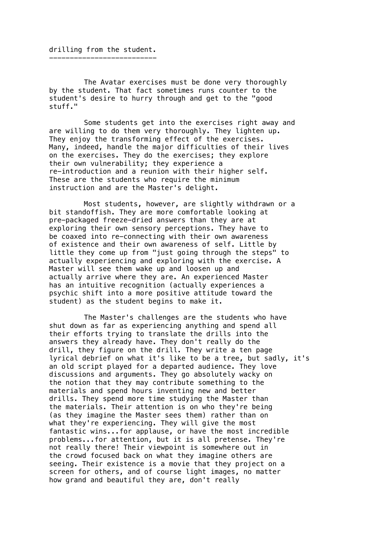The Avatar exercises must be done very thoroughly by the student. That fact sometimes runs counter to the student's desire to hurry through and get to the "good stuff."

Some students get into the exercises right away and are willing to do them very thoroughly. They lighten up. They enjoy the transforming effect of the exercises. Many, indeed, handle the major difficulties of their lives on the exercises. They do the exercises; they explore their own vulnerability; they experience a re-introduction and a reunion with their higher self. These are the students who require the minimum instruction and are the Master's delight.

Most students, however, are slightly withdrawn or a bit standoffish. They are more comfortable looking at pre-packaged freeze-dried answers than they are at exploring their own sensory perceptions. They have to be coaxed into re-connecting with their own awareness of existence and their own awareness of self. Little by little they come up from "just going through the steps" to actually experiencing and exploring with the exercise. A Master will see them wake up and loosen up and actually arrive where they are. An experienced Master has an intuitive recognition (actually experiences a psychic shift into a more positive attitude toward the student) as the student begins to make it.

The Master's challenges are the students who have shut down as far as experiencing anything and spend all their efforts trying to translate the drills into the answers they already have. They don't really do the drill, they figure on the drill. They write a ten page lyrical debrief on what it's like to be a tree, but sadly, it's an old script played for a departed audience. They love discussions and arguments. They go absolutely wacky on the notion that they may contribute something to the materials and spend hours inventing new and better drills. They spend more time studying the Master than the materials. Their attention is on who they're being (as they imagine the Master sees them) rather than on what they're experiencing. They will give the most fantastic wins...for applause, or have the most incredible problems...for attention, but it is all pretense. They're not really there! Their viewpoint is somewhere out in the crowd focused back on what they imagine others are seeing. Their existence is a movie that they project on a screen for others, and of course light images, no matter how grand and beautiful they are, don't really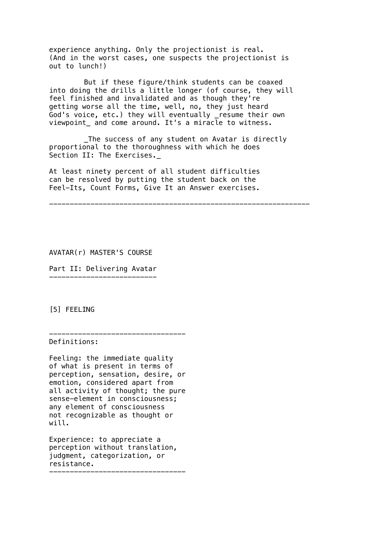experience anything. Only the projectionist is real. (And in the worst cases, one suspects the projectionist is out to lunch!)

But if these figure/think students can be coaxed into doing the drills a little longer (of course, they will feel finished and invalidated and as though they're getting worse all the time, well, no, they just heard God's voice, etc.) they will eventually \_resume their own viewpoint and come around. It's a miracle to witness.

\_The success of any student on Avatar is directly proportional to the thoroughness with which he does Section II: The Exercises.\_

At least ninety percent of all student difficulties can be resolved by putting the student back on the Feel-Its, Count Forms, Give It an Answer exercises.

---------------------------------------------------------------

AVATAR(r) MASTER'S COURSE

Part II: Delivering Avatar --------------------------

[5] FEELING

--------------------------------- Definitions:

Feeling: the immediate quality of what is present in terms of perception, sensation, desire, or emotion, considered apart from all activity of thought; the pure sense-element in consciousness; any element of consciousness not recognizable as thought or will.

Experience: to appreciate a perception without translation, judgment, categorization, or resistance. ---------------------------------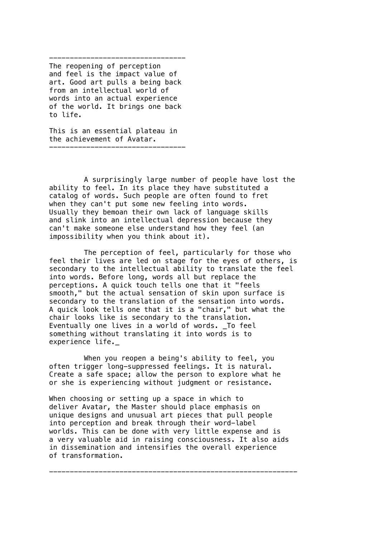--------------------------------- The reopening of perception and feel is the impact value of art. Good art pulls a being back from an intellectual world of words into an actual experience of the world. It brings one back to life.

This is an essential plateau in the achievement of Avatar. ---------------------------------

A surprisingly large number of people have lost the ability to feel. In its place they have substituted a catalog of words. Such people are often found to fret when they can't put some new feeling into words. Usually they bemoan their own lack of language skills and slink into an intellectual depression because they can't make someone else understand how they feel (an impossibility when you think about it).

The perception of feel, particularly for those who feel their lives are led on stage for the eyes of others, is secondary to the intellectual ability to translate the feel into words. Before long, words all but replace the perceptions. A quick touch tells one that it "feels smooth," but the actual sensation of skin upon surface is secondary to the translation of the sensation into words. A quick look tells one that it is a "chair," but what the chair looks like is secondary to the translation. Eventually one lives in a world of words. \_To feel something without translating it into words is to experience life.\_

When you reopen a being's ability to feel, you often trigger long-suppressed feelings. It is natural. Create a safe space; allow the person to explore what he or she is experiencing without judgment or resistance.

When choosing or setting up a space in which to deliver Avatar, the Master should place emphasis on unique designs and unusual art pieces that pull people into perception and break through their word-label worlds. This can be done with very little expense and is a very valuable aid in raising consciousness. It also aids in dissemination and intensifies the overall experience of transformation.

------------------------------------------------------------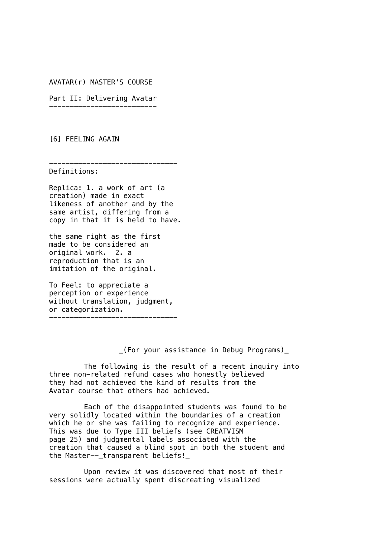AVATAR(r) MASTER'S COURSE

Part II: Delivering Avatar --------------------------

[6] FEELING AGAIN

------------------------------- Definitions:

Replica: 1. a work of art (a creation) made in exact likeness of another and by the same artist, differing from a copy in that it is held to have.

the same right as the first made to be considered an original work. 2. a reproduction that is an imitation of the original.

To Feel: to appreciate a perception or experience without translation, judgment, or categorization.

-------------------------------

\_(For your assistance in Debug Programs)\_

The following is the result of a recent inquiry into three non-related refund cases who honestly believed they had not achieved the kind of results from the Avatar course that others had achieved.

Each of the disappointed students was found to be very solidly located within the boundaries of a creation which he or she was failing to recognize and experience. This was due to Type III beliefs (see CREATVISM page 25) and judgmental labels associated with the creation that caused a blind spot in both the student and the Master--\_transparent beliefs!\_

Upon review it was discovered that most of their sessions were actually spent discreating visualized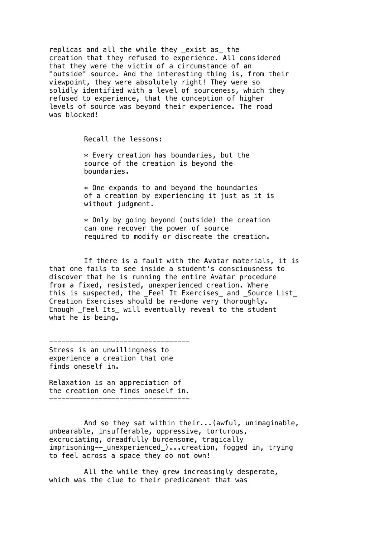replicas and all the while they \_exist as\_ the creation that they refused to experience. All considered that they were the victim of a circumstance of an "outside" source. And the interesting thing is, from their viewpoint, they were absolutely right! They were so solidly identified with a level of sourceness, which they refused to experience, that the conception of higher levels of source was beyond their experience. The road was blocked!

Recall the lessons:

 $*$  Every creation has boundaries, but the source of the creation is beyond the boundaries.

 $*$  One expands to and beyond the boundaries of a creation by experiencing it just as it is without judgment.

 $*$  Only by going beyond (outside) the creation can one recover the power of source required to modify or discreate the creation.

If there is a fault with the Avatar materials, it is that one fails to see inside a student's consciousness to discover that he is running the entire Avatar procedure from a fixed, resisted, unexperienced creation. Where this is suspected, the \_Feel It Exercises\_ and \_Source List\_ Creation Exercises should be re-done very thoroughly. Enough Feel Its will eventually reveal to the student what  $he$  is being.

---------------------------------- Stress is an unwillingness to experience a creation that one finds oneself in.

Relaxation is an appreciation of the creation one finds oneself in. ----------------------------------

And so they sat within their...(awful, unimaginable, unbearable, insufferable, oppressive, torturous, excruciating, dreadfully burdensome, tragically imprisoning--\_unexperienced\_)...creation, fogged in, trying to feel across a space they do not own!

All the while they grew increasingly desperate, which was the clue to their predicament that was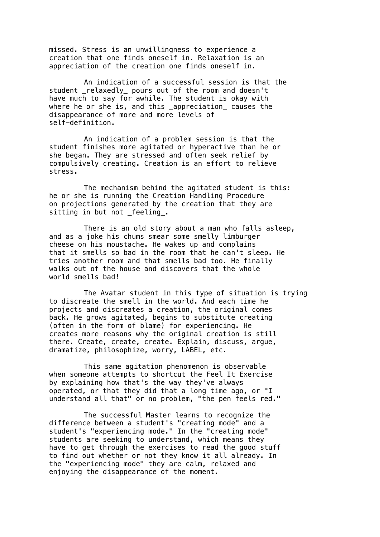missed. Stress is an unwillingness to experience a creation that one finds oneself in. Relaxation is an appreciation of the creation one finds oneself in.

An indication of a successful session is that the student \_relaxedly\_ pours out of the room and doesn't have much to say for awhile. The student is okay with where he or she is, and this \_appreciation\_ causes the disappearance of more and more levels of self-definition.

An indication of a problem session is that the student finishes more agitated or hyperactive than he or she began. They are stressed and often seek relief by compulsively creating. Creation is an effort to relieve stress.

The mechanism behind the agitated student is this: he or she is running the Creation Handling Procedure on projections generated by the creation that they are sitting in but not \_feeling\_.

There is an old story about a man who falls asleep, and as a joke his chums smear some smelly limburger cheese on his moustache. He wakes up and complains that it smells so bad in the room that he can't sleep. He tries another room and that smells bad too. He finally walks out of the house and discovers that the whole world smells bad!

The Avatar student in this type of situation is trying to discreate the smell in the world. And each time he projects and discreates a creation, the original comes back. He grows agitated, begins to substitute creating (often in the form of blame) for experiencing. He creates more reasons why the original creation is still there. Create, create, create. Explain, discuss, argue, dramatize, philosophize, worry, LABEL, etc.

This same agitation phenomenon is observable when someone attempts to shortcut the Feel It Exercise by explaining how that's the way they've always operated, or that they did that a long time ago, or "I understand all that" or no problem, "the pen feels red."

The successful Master learns to recognize the difference between a student's "creating mode" and a student's "experiencing mode." In the "creating mode" students are seeking to understand, which means they have to get through the exercises to read the good stuff to find out whether or not they know it all already. In the "experiencing mode" they are calm, relaxed and enjoying the disappearance of the moment.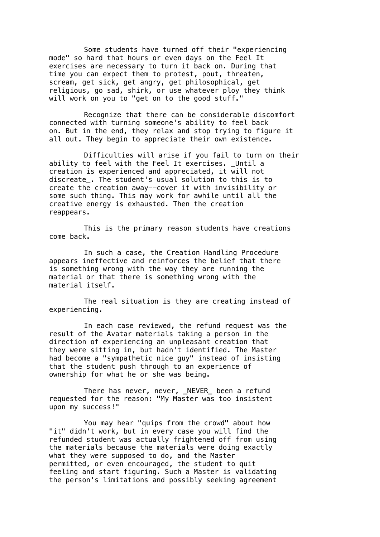Some students have turned off their "experiencing mode" so hard that hours or even days on the Feel It exercises are necessary to turn it back on. During that time you can expect them to protest, pout, threaten, scream, get sick, get angry, get philosophical, get religious, go sad, shirk, or use whatever ploy they think will work on you to "get on to the good stuff."

Recognize that there can be considerable discomfort connected with turning someone's ability to feel back on. But in the end, they relax and stop trying to figure it all out. They begin to appreciate their own existence.

Difficulties will arise if you fail to turn on their ability to feel with the Feel It exercises. \_Until a creation is experienced and appreciated, it will not discreate\_. The student's usual solution to this is to create the creation away--cover it with invisibility or some such thing. This may work for awhile until all the creative energy is exhausted. Then the creation reappears.

This is the primary reason students have creations come back.

In such a case, the Creation Handling Procedure appears ineffective and reinforces the belief that there is something wrong with the way they are running the material or that there is something wrong with the material itself.

The real situation is they are creating instead of experiencing.

In each case reviewed, the refund request was the result of the Avatar materials taking a person in the direction of experiencing an unpleasant creation that they were sitting in, but hadn't identified. The Master had become a "sympathetic nice guy" instead of insisting that the student push through to an experience of ownership for what he or she was being.

There has never, never, \_NEVER\_ been a refund requested for the reason: "My Master was too insistent upon my success!"

You may hear "quips from the crowd" about how "it" didn't work, but in every case you will find the refunded student was actually frightened off from using the materials because the materials were doing exactly what they were supposed to do, and the Master permitted, or even encouraged, the student to quit feeling and start figuring. Such a Master is validating the person's limitations and possibly seeking agreement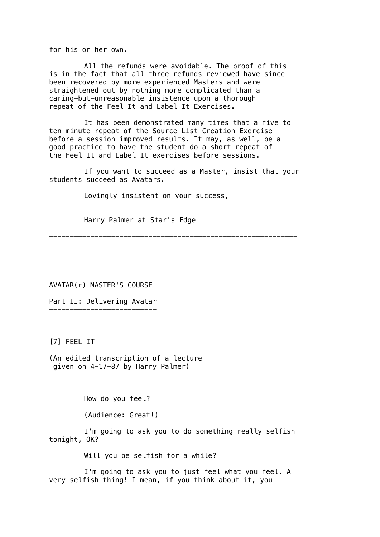for his or her own.

All the refunds were avoidable. The proof of this is in the fact that all three refunds reviewed have since been recovered by more experienced Masters and were straightened out by nothing more complicated than a caring-but-unreasonable insistence upon a thorough repeat of the Feel It and Label It Exercises.

It has been demonstrated many times that a five to ten minute repeat of the Source List Creation Exercise before a session improved results. It may, as well, be a good practice to have the student do a short repeat of the Feel It and Label It exercises before sessions.

If you want to succeed as a Master, insist that your students succeed as Avatars.

Lovingly insistent on your success,

Harry Palmer at Star's Edge

------------------------------------------------------------

AVATAR(r) MASTER'S COURSE

Part II: Delivering Avatar --------------------------

[7] FEEL IT

(An edited transcription of a lecture given on 4-17-87 by Harry Palmer)

How do you feel?

(Audience: Great!)

I'm going to ask you to do something really selfish tonight, OK?

Will you be selfish for a while?

I'm going to ask you to just feel what you feel. A very selfish thing! I mean, if you think about it, you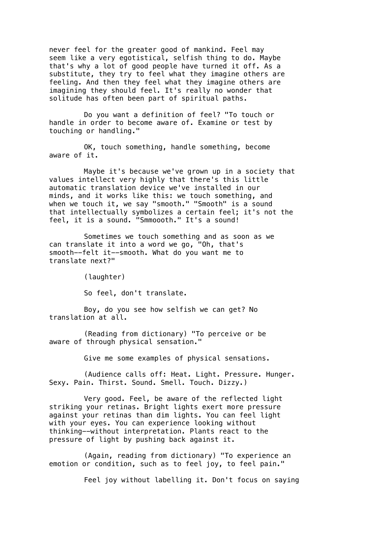never feel for the greater good of mankind. Feel may seem like a very egotistical, selfish thing to do. Maybe that's why a lot of good people have turned it off. As a substitute, they try to feel what they imagine others are feeling. And then they feel what they imagine others are imagining they should feel. It's really no wonder that solitude has often been part of spiritual paths.

Do you want a definition of feel? "To touch or handle in order to become aware of. Examine or test by touching or handling."

OK, touch something, handle something, become aware of it.

Maybe it's because we've grown up in a society that values intellect very highly that there's this little automatic translation device we've installed in our minds, and it works like this: we touch something, and when we touch it, we say "smooth." "Smooth" is a sound that intellectually symbolizes a certain feel; it's not the feel, it is a sound. "Smmoooth." It's a sound!

Sometimes we touch something and as soon as we can translate it into a word we go, "Oh, that's smooth--felt it--smooth. What do you want me to translate next?"

(laughter)

So feel, don't translate.

Boy, do you see how selfish we can get? No translation at all.

(Reading from dictionary) "To perceive or be aware of through physical sensation."

Give me some examples of physical sensations.

(Audience calls off: Heat. Light. Pressure. Hunger. Sexy. Pain. Thirst. Sound. Smell. Touch. Dizzy.)

Very good. Feel, be aware of the reflected light striking your retinas. Bright lights exert more pressure against your retinas than dim lights. You can feel light with your eyes. You can experience looking without thinking--without interpretation. Plants react to the pressure of light by pushing back against it.

(Again, reading from dictionary) "To experience an emotion or condition, such as to feel joy, to feel pain."

Feel joy without labelling it. Don't focus on saying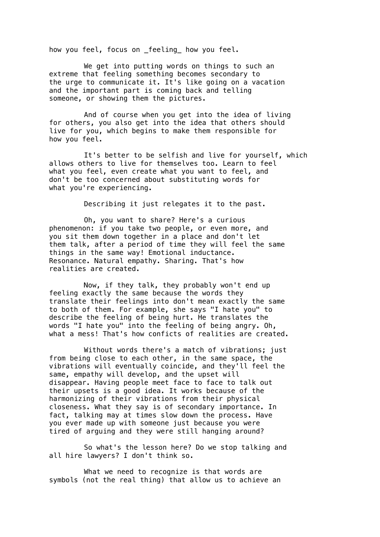how you feel, focus on \_feeling\_ how you feel.

We get into putting words on things to such an extreme that feeling something becomes secondary to the urge to communicate it. It's like going on a vacation and the important part is coming back and telling someone, or showing them the pictures.

And of course when you get into the idea of living for others, you also get into the idea that others should live for you, which begins to make them responsible for how you feel.

It's better to be selfish and live for yourself, which allows others to live for themselves too. Learn to feel what you feel, even create what you want to feel, and don't be too concerned about substituting words for what you're experiencing.

Describing it just relegates it to the past.

Oh, you want to share? Here's a curious phenomenon: if you take two people, or even more, and you sit them down together in a place and don't let them talk, after a period of time they will feel the same things in the same way! Emotional inductance. Resonance. Natural empathy. Sharing. That's how realities are created.

Now, if they talk, they probably won't end up feeling exactly the same because the words they translate their feelings into don't mean exactly the same to both of them. For example, she says "I hate you" to describe the feeling of being hurt. He translates the words "I hate you" into the feeling of being angry. Oh, what a mess! That's how conficts of realities are created.

Without words there's a match of vibrations; just from being close to each other, in the same space, the vibrations will eventually coincide, and they'll feel the same, empathy will develop, and the upset will disappear. Having people meet face to face to talk out their upsets is a good idea. It works because of the harmonizing of their vibrations from their physical closeness. What they say is of secondary importance. In fact, talking may at times slow down the process. Have you ever made up with someone just because you were tired of arguing and they were still hanging around?

So what's the lesson here? Do we stop talking and all hire lawyers? I don't think so.

What we need to recognize is that words are symbols (not the real thing) that allow us to achieve an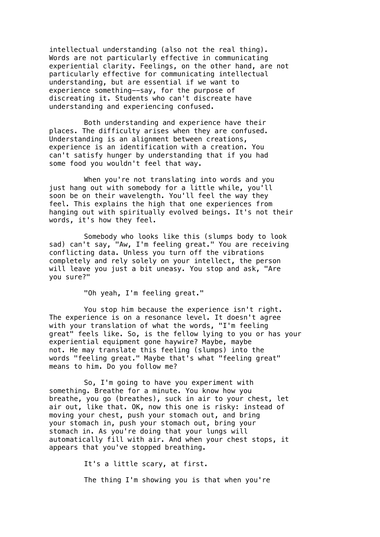intellectual understanding (also not the real thing). Words are not particularly effective in communicating experiential clarity. Feelings, on the other hand, are not particularly effective for communicating intellectual understanding, but are essential if we want to experience something--say, for the purpose of discreating it. Students who can't discreate have understanding and experiencing confused.

Both understanding and experience have their places. The difficulty arises when they are confused. Understanding is an alignment between creations, experience is an identification with a creation. You can't satisfy hunger by understanding that if you had some food you wouldn't feel that way.

When you're not translating into words and you just hang out with somebody for a little while, you'll soon be on their wavelength. You'll feel the way they feel. This explains the high that one experiences from hanging out with spiritually evolved beings. It's not their words, it's how they feel.

Somebody who looks like this (slumps body to look sad) can't say, "Aw, I'm feeling great." You are receiving conflicting data. Unless you turn off the vibrations completely and rely solely on your intellect, the person will leave you just a bit uneasy. You stop and ask, "Are you sure?"

"Oh yeah, I'm feeling great."

You stop him because the experience isn't right. The experience is on a resonance level. It doesn't agree with your translation of what the words, "I'm feeling great" feels like. So, is the fellow lying to you or has your experiential equipment gone haywire? Maybe, maybe not. He may translate this feeling (slumps) into the words "feeling great." Maybe that's what "feeling great" means to him. Do you follow me?

So, I'm going to have you experiment with something. Breathe for a minute. You know how you breathe, you go (breathes), suck in air to your chest, let air out, like that. OK, now this one is risky: instead of moving your chest, push your stomach out, and bring your stomach in, push your stomach out, bring your stomach in. As you're doing that your lungs will automatically fill with air. And when your chest stops, it appears that you've stopped breathing.

It's a little scary, at first.

The thing I'm showing you is that when you're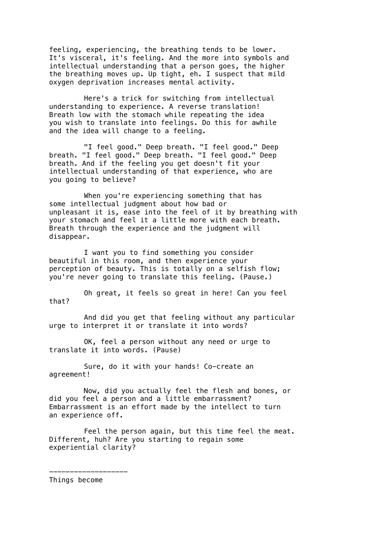feeling, experiencing, the breathing tends to be lower. It's visceral, it's feeling. And the more into symbols and intellectual understanding that a person goes, the higher the breathing moves up. Up tight, eh. I suspect that mild oxygen deprivation increases mental activity.

Here's a trick for switching from intellectual understanding to experience. A reverse translation! Breath low with the stomach while repeating the idea you wish to translate into feelings. Do this for awhile and the idea will change to a feeling.

"I feel good." Deep breath. "I feel good." Deep breath. "I feel good." Deep breath. "I feel good." Deep breath. And if the feeling you get doesn't fit your intellectual understanding of that experience, who are you going to believe?

When you're experiencing something that has some intellectual judgment about how bad or unpleasant it is, ease into the feel of it by breathing with your stomach and feel it a little more with each breath. Breath through the experience and the judgment will disappear.

I want you to find something you consider beautiful in this room, and then experience your perception of beauty. This is totally on a selfish flow; you're never going to translate this feeling. (Pause.)

Oh great, it feels so great in here! Can you feel that?

And did you get that feeling without any particular urge to interpret it or translate it into words?

OK, feel a person without any need or urge to translate it into words. (Pause)

Sure, do it with your hands! Co-create an agreement!

Now, did you actually feel the flesh and bones, or did you feel a person and a little embarrassment? Embarrassment is an effort made by the intellect to turn an experience off.

Feel the person again, but this time feel the meat. Different, huh? Are you starting to regain some experiential clarity?

Things become

-------------------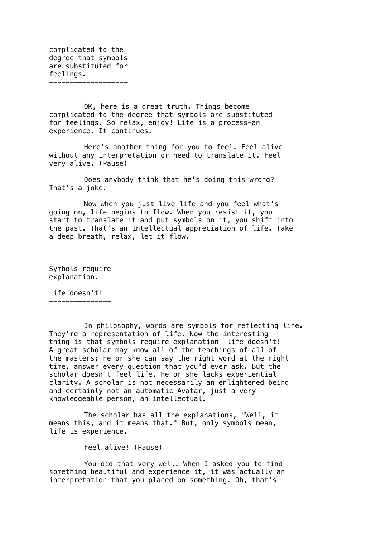complicated to the degree that symbols are substituted for feelings. -------------------

OK, here is a great truth. Things become complicated to the degree that symbols are substituted for feelings. So relax, enjoy! Life is a process-an experience. It continues.

Here's another thing for you to feel. Feel alive without any interpretation or need to translate it. Feel very alive. (Pause)

Does anybody think that he's doing this wrong? That's a joke.

Now when you just live life and you feel what's going on, life begins to flow. When you resist it, you start to translate it and put symbols on it, you shift into the past. That's an intellectual appreciation of life. Take a deep breath, relax, let it flow.

--------------- Symbols require explanation.

Life doesn't! ---------------

In philosophy, words are symbols for reflecting life. They're a representation of life. Now the interesting thing is that symbols require explanation--life doesn't! A great scholar may know all of the teachings of all of the masters; he or she can say the right word at the right time, answer every question that you'd ever ask. But the scholar doesn't feel life, he or she lacks experiential clarity. A scholar is not necessarily an enlightened being and certainly not an automatic Avatar, just a very knowledgeable person, an intellectual.

The scholar has all the explanations, "Well, it means this, and it means that." But, only symbols mean, life is experience.

Feel alive! (Pause)

You did that very well. When I asked you to find something beautiful and experience it, it was actually an interpretation that you placed on something. Oh, that's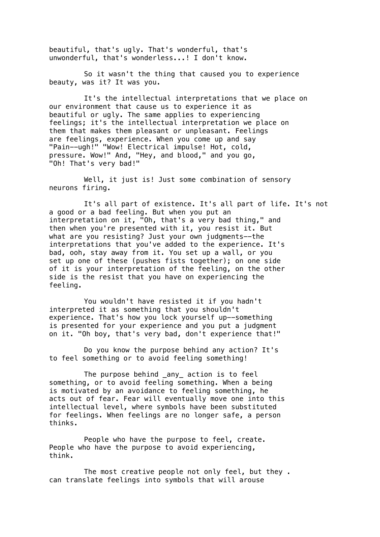beautiful, that's ugly. That's wonderful, that's unwonderful, that's wonderless...! I don't know.

So it wasn't the thing that caused you to experience beauty, was it? It was you.

It's the intellectual interpretations that we place on our environment that cause us to experience it as beautiful or ugly. The same applies to experiencing feelings; it's the intellectual interpretation we place on them that makes them pleasant or unpleasant. Feelings are feelings, experience. When you come up and say "Pain--ugh!" "Wow! Electrical impulse! Hot, cold, pressure. Wow!" And, "Hey, and blood," and you go, "Oh! That's very bad!"

Well, it just is! Just some combination of sensory neurons firing.

It's all part of existence. It's all part of life. It's not a good or a bad feeling. But when you put an interpretation on it, "Oh, that's a very bad thing," and then when you're presented with it, you resist it. But what are you resisting? Just your own judgments--the interpretations that you've added to the experience. It's bad, ooh, stay away from it. You set up a wall, or you set up one of these (pushes fists together); on one side of it is your interpretation of the feeling, on the other side is the resist that you have on experiencing the feeling.

You wouldn't have resisted it if you hadn't interpreted it as something that you shouldn't experience. That's how you lock yourself up--something is presented for your experience and you put a judgment on it. "Oh boy, that's very bad, don't experience that!"

Do you know the purpose behind any action? It's to feel something or to avoid feeling something!

The purpose behind \_any\_ action is to feel something, or to avoid feeling something. When a being is motivated by an avoidance to feeling something, he acts out of fear. Fear will eventually move one into this intellectual level, where symbols have been substituted for feelings. When feelings are no longer safe, a person thinks.

People who have the purpose to feel, create. People who have the purpose to avoid experiencing, think.

The most creative people not only feel, but they . can translate feelings into symbols that will arouse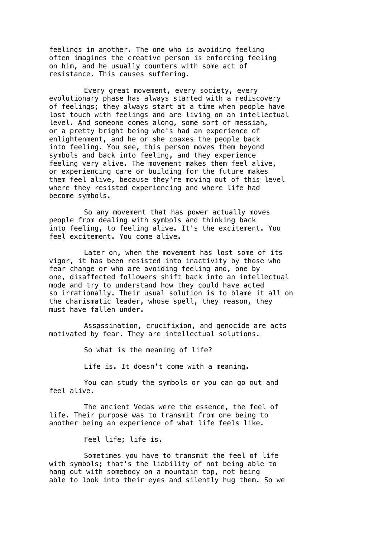feelings in another. The one who is avoiding feeling often imagines the creative person is enforcing feeling on him, and he usually counters with some act of resistance. This causes suffering.

Every great movement, every society, every evolutionary phase has always started with a rediscovery of feelings; they always start at a time when people have lost touch with feelings and are living on an intellectual level. And someone comes along, some sort of messiah, or a pretty bright being who's had an experience of enlightenment, and he or she coaxes the people back into feeling. You see, this person moves them beyond symbols and back into feeling, and they experience feeling very alive. The movement makes them feel alive, or experiencing care or building for the future makes them feel alive, because they're moving out of this level where they resisted experiencing and where life had become symbols.

So any movement that has power actually moves people from dealing with symbols and thinking back into feeling, to feeling alive. It's the excitement. You feel excitement. You come alive.

Later on, when the movement has lost some of its vigor, it has been resisted into inactivity by those who fear change or who are avoiding feeling and, one by one, disaffected followers shift back into an intellectual mode and try to understand how they could have acted so irrationally. Their usual solution is to blame it all on the charismatic leader, whose spell, they reason, they must have fallen under.

Assassination, crucifixion, and genocide are acts motivated by fear. They are intellectual solutions.

So what is the meaning of life?

Life is. It doesn't come with a meaning.

You can study the symbols or you can go out and feel alive.

The ancient Vedas were the essence, the feel of life. Their purpose was to transmit from one being to another being an experience of what life feels like.

Feel life; life is.

Sometimes you have to transmit the feel of life with symbols; that's the liability of not being able to hang out with somebody on a mountain top, not being able to look into their eyes and silently hug them. So we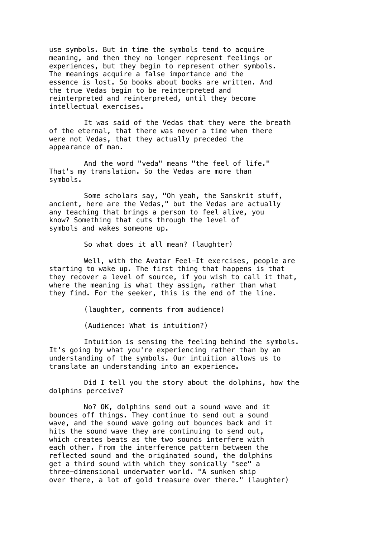use symbols. But in time the symbols tend to acquire meaning, and then they no longer represent feelings or experiences, but they begin to represent other symbols. The meanings acquire a false importance and the essence is lost. So books about books are written. And the true Vedas begin to be reinterpreted and reinterpreted and reinterpreted, until they become intellectual exercises.

It was said of the Vedas that they were the breath of the eternal, that there was never a time when there were not Vedas, that they actually preceded the appearance of man.

And the word "veda" means "the feel of life." That's my translation. So the Vedas are more than symbols.

Some scholars say, "Oh yeah, the Sanskrit stuff, ancient, here are the Vedas," but the Vedas are actually any teaching that brings a person to feel alive, you know? Something that cuts through the level of symbols and wakes someone up.

So what does it all mean? (laughter)

Well, with the Avatar Feel-It exercises, people are starting to wake up. The first thing that happens is that they recover a level of source, if you wish to call it that, where the meaning is what they assign, rather than what they find. For the seeker, this is the end of the line.

(laughter, comments from audience)

(Audience: What is intuition?)

Intuition is sensing the feeling behind the symbols. It's going by what you're experiencing rather than by an understanding of the symbols. Our intuition allows us to translate an understanding into an experience.

Did I tell you the story about the dolphins, how the dolphins perceive?

No? OK, dolphins send out a sound wave and it bounces off things. They continue to send out a sound wave, and the sound wave going out bounces back and it hits the sound wave they are continuing to send out, which creates beats as the two sounds interfere with each other. From the interference pattern between the reflected sound and the originated sound, the dolphins get a third sound with which they sonically "see" a three-dimensional underwater world. "A sunken ship over there, a lot of gold treasure over there." (laughter)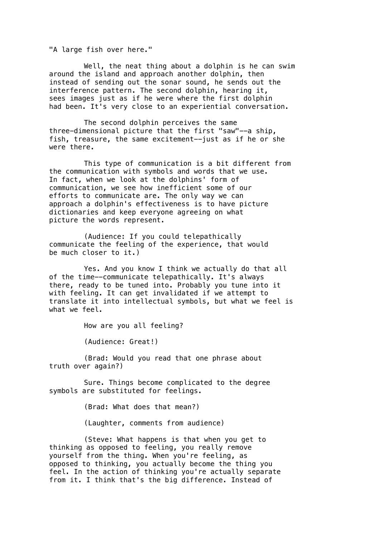"A large fish over here."

Well, the neat thing about a dolphin is he can swim around the island and approach another dolphin, then instead of sending out the sonar sound, he sends out the interference pattern. The second dolphin, hearing it, sees images just as if he were where the first dolphin had been. It's very close to an experiential conversation.

The second dolphin perceives the same three-dimensional picture that the first "saw"--a ship, fish, treasure, the same excitement--just as if he or she were there.

This type of communication is a bit different from the communication with symbols and words that we use. In fact, when we look at the dolphins' form of communication, we see how inefficient some of our efforts to communicate are. The only way we can approach a dolphin's effectiveness is to have picture dictionaries and keep everyone agreeing on what picture the words represent.

(Audience: If you could telepathically communicate the feeling of the experience, that would be much closer to it.)

Yes. And you know I think we actually do that all of the time--communicate telepathically. It's always there, ready to be tuned into. Probably you tune into it with feeling. It can get invalidated if we attempt to translate it into intellectual symbols, but what we feel is what we feel.

How are you all feeling?

(Audience: Great!)

(Brad: Would you read that one phrase about truth over again?)

Sure. Things become complicated to the degree symbols are substituted for feelings.

(Brad: What does that mean?)

(Laughter, comments from audience)

(Steve: What happens is that when you get to thinking as opposed to feeling, you really remove yourself from the thing. When you're feeling, as opposed to thinking, you actually become the thing you feel. In the action of thinking you're actually separate from it. I think that's the big difference. Instead of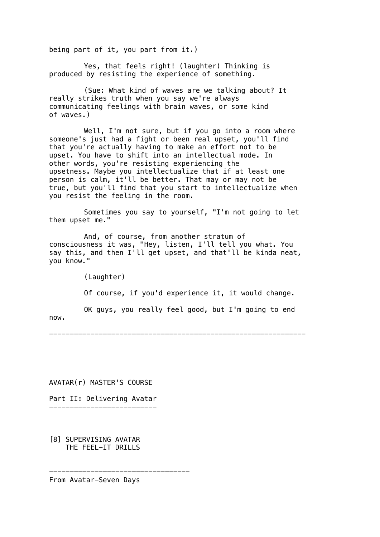being part of it, you part from it.)

Yes, that feels right! (laughter) Thinking is produced by resisting the experience of something.

(Sue: What kind of waves are we talking about? It really strikes truth when you say we're always communicating feelings with brain waves, or some kind of waves.)

Well, I'm not sure, but if you go into a room where someone's just had a fight or been real upset, you'll find that you're actually having to make an effort not to be upset. You have to shift into an intellectual mode. In other words, you're resisting experiencing the upsetness. Maybe you intellectualize that if at least one person is calm, it'll be better. That may or may not be true, but you'll find that you start to intellectualize when you resist the feeling in the room.

Sometimes you say to yourself, "I'm not going to let them upset me."

And, of course, from another stratum of consciousness it was, "Hey, listen, I'll tell you what. You say this, and then I'll get upset, and that'll be kinda neat, you know."

(Laughter) Of course, if you'd experience it, it would change. OK guys, you really feel good, but I'm going to end now.

--------------------------------------------------------------

AVATAR(r) MASTER'S COURSE

Part II: Delivering Avatar --------------------------

[8] SUPERVISING AVATAR THE FEEL-IT DRILLS

From Avatar-Seven Days

----------------------------------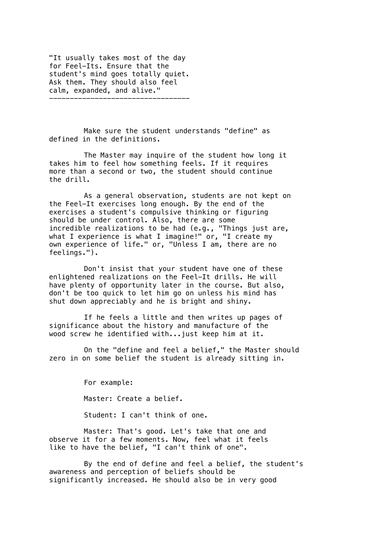"It usually takes most of the day for Feel-Its. Ensure that the student's mind goes totally quiet. Ask them. They should also feel calm, expanded, and alive."

----------------------------------

Make sure the student understands "define" as defined in the definitions.

The Master may inquire of the student how long it takes him to feel how something feels. If it requires more than a second or two, the student should continue the drill.

As a general observation, students are not kept on the Feel-It exercises long enough. By the end of the exercises a student's compulsive thinking or figuring should be under control. Also, there are some incredible realizations to be had (e.g., "Things just are, what I experience is what I imagine!" or, "I create my own experience of life." or, "Unless I am, there are no feelings.").

Don't insist that your student have one of these enlightened realizations on the Feel-It drills. He will have plenty of opportunity later in the course. But also, don't be too quick to let him go on unless his mind has shut down appreciably and he is bright and shiny.

If he feels a little and then writes up pages of significance about the history and manufacture of the wood screw he identified with...just keep him at it.

On the "define and feel a belief," the Master should zero in on some belief the student is already sitting in.

> For example: Master: Create a belief. Student: I can't think of one.

Master: That's good. Let's take that one and observe it for a few moments. Now, feel what it feels like to have the belief, "I can't think of one".

By the end of define and feel a belief, the student's awareness and perception of beliefs should be significantly increased. He should also be in very good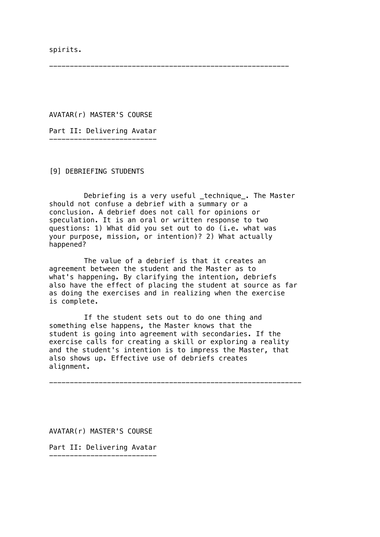spirits.

----------------------------------------------------------

AVATAR(r) MASTER'S COURSE

Part II: Delivering Avatar --------------------------

[9] DEBRIEFING STUDENTS

Debriefing is a very useful \_technique\_. The Master should not confuse a debrief with a summary or a conclusion. A debrief does not call for opinions or speculation. It is an oral or written response to two questions: 1) What did you set out to do (i.e. what was your purpose, mission, or intention)? 2) What actually happened?

The value of a debrief is that it creates an agreement between the student and the Master as to what's happening. By clarifying the intention, debriefs also have the effect of placing the student at source as far as doing the exercises and in realizing when the exercise is complete.

If the student sets out to do one thing and something else happens, the Master knows that the student is going into agreement with secondaries. If the exercise calls for creating a skill or exploring a reality and the student's intention is to impress the Master, that also shows up. Effective use of debriefs creates alignment.

-------------------------------------------------------------

AVATAR(r) MASTER'S COURSE

Part II: Delivering Avatar

--------------------------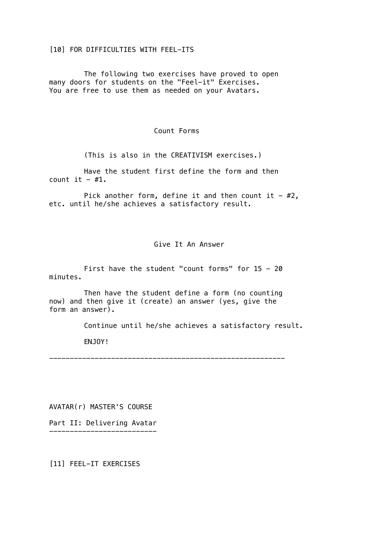## [10] FOR DIFFICULTIES WITH FEEL-ITS

The following two exercises have proved to open many doors for students on the "Feel-it" Exercises. You are free to use them as needed on your Avatars.

## Count Forms

(This is also in the CREATIVISM exercises.)

Have the student first define the form and then count it  $-$  #1.

Pick another form, define it and then count it  $-$  #2, etc. until he/she achieves a satisfactory result.

## Give It An Answer

First have the student "count forms" for  $15 - 20$ minutes.

Then have the student define a form (no counting now) and then give it (create) an answer (yes, give the form an answer).

Continue until he/she achieves a satisfactory result.

ENJOY!

---------------------------------------------------------

AVATAR(r) MASTER'S COURSE

Part II: Delivering Avatar --------------------------

[11] FEEL-IT EXERCISES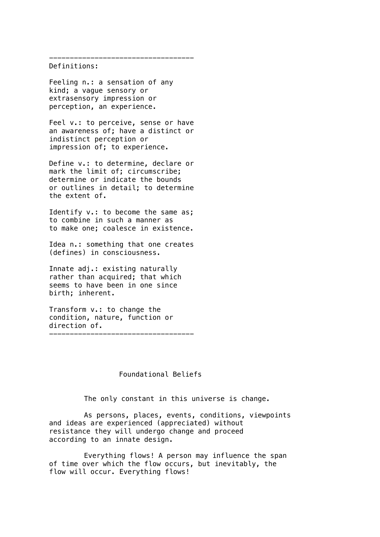#### Definitions:

Feeling n.: a sensation of any kind; a vague sensory or extrasensory impression or perception, an experience.

Feel v.: to perceive, sense or have an awareness of; have a distinct or indistinct perception or impression of; to experience.

-----------------------------------

Define v.: to determine, declare or mark the limit of; circumscribe; determine or indicate the bounds or outlines in detail; to determine the extent of.

Identify v.: to become the same as; to combine in such a manner as to make one; coalesce in existence.

Idea n.: something that one creates (defines) in consciousness.

Innate adj.: existing naturally rather than acquired; that which seems to have been in one since birth; inherent.

Transform v.: to change the condition, nature, function or direction of. -----------------------------------

### Foundational Beliefs

The only constant in this universe is change.

As persons, places, events, conditions, viewpoints and ideas are experienced (appreciated) without resistance they will undergo change and proceed according to an innate design.

Everything flows! A person may influence the span of time over which the flow occurs, but inevitably, the flow will occur. Everything flows!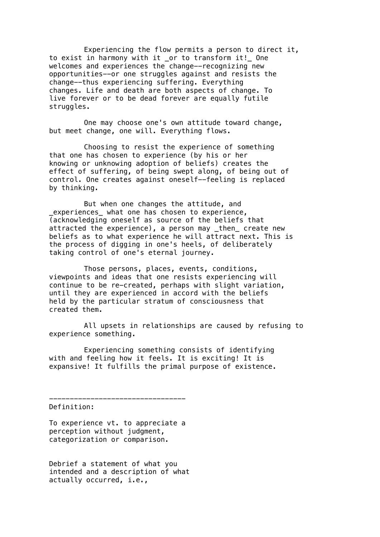Experiencing the flow permits a person to direct it, to exist in harmony with it \_or to transform it!\_ One welcomes and experiences the change--recognizing new opportunities--or one struggles against and resists the change--thus experiencing suffering. Everything changes. Life and death are both aspects of change. To live forever or to be dead forever are equally futile struggles.

One may choose one's own attitude toward change, but meet change, one will. Everything flows.

Choosing to resist the experience of something that one has chosen to experience (by his or her knowing or unknowing adoption of beliefs) creates the effect of suffering, of being swept along, of being out of control. One creates against oneself--feeling is replaced by thinking.

But when one changes the attitude, and \_experiences\_ what one has chosen to experience, (acknowledging oneself as source of the beliefs that attracted the experience), a person may then create new beliefs as to what experience he will attract next. This is the process of digging in one's heels, of deliberately taking control of one's eternal journey.

Those persons, places, events, conditions, viewpoints and ideas that one resists experiencing will continue to be re-created, perhaps with slight variation, until they are experienced in accord with the beliefs held by the particular stratum of consciousness that created them.

All upsets in relationships are caused by refusing to experience something.

Experiencing something consists of identifying with and feeling how it feels. It is exciting! It is expansive! It fulfills the primal purpose of existence.

Definition:

To experience vt. to appreciate a perception without judgment, categorization or comparison.

---------------------------------

Debrief a statement of what you intended and a description of what actually occurred, i.e.,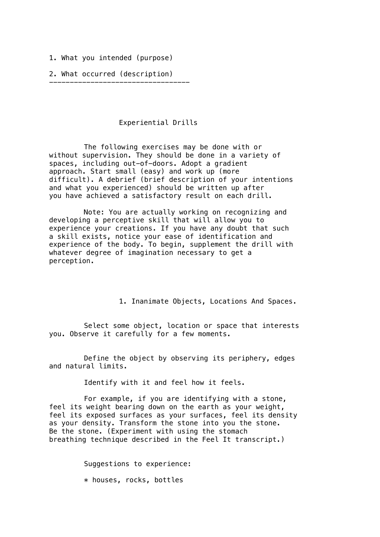1. What you intended (purpose)

2. What occurred (description)

----------------------------------

# Experiential Drills

The following exercises may be done with or without supervision. They should be done in a variety of spaces, including out-of-doors. Adopt a gradient approach. Start small (easy) and work up (more difficult). A debrief (brief description of your intentions and what you experienced) should be written up after you have achieved a satisfactory result on each drill.

Note: You are actually working on recognizing and developing a perceptive skill that will allow you to experience your creations. If you have any doubt that such a skill exists, notice your ease of identification and experience of the body. To begin, supplement the drill with whatever degree of imagination necessary to get a perception.

1. Inanimate Objects, Locations And Spaces.

Select some object, location or space that interests you. Observe it carefully for a few moments.

Define the object by observing its periphery, edges and natural limits.

Identify with it and feel how it feels.

For example, if you are identifying with a stone, feel its weight bearing down on the earth as your weight, feel its exposed surfaces as your surfaces, feel its density as your density. Transform the stone into you the stone. Be the stone. (Experiment with using the stomach breathing technique described in the Feel It transcript.)

> Suggestions to experience: \* houses, rocks, bottles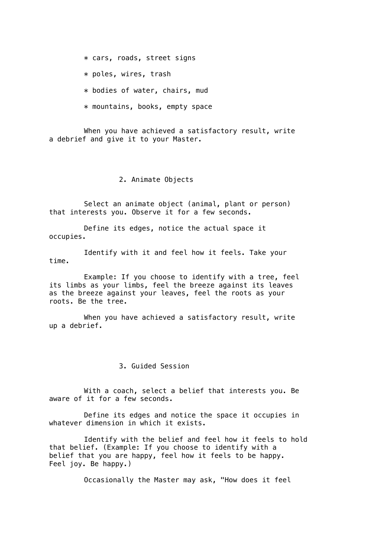\* cars, roads, street signs

\* poles, wires, trash

\* bodies of water, chairs, mud

\* mountains, books, empty space

When you have achieved a satisfactory result, write a debrief and give it to your Master.

2. Animate Objects

Select an animate object (animal, plant or person) that interests you. Observe it for a few seconds.

Define its edges, notice the actual space it occupies.

Identify with it and feel how it feels. Take your time.

Example: If you choose to identify with a tree, feel its limbs as your limbs, feel the breeze against its leaves as the breeze against your leaves, feel the roots as your roots. Be the tree.

When you have achieved a satisfactory result, write up a debrief.

3. Guided Session

With a coach, select a belief that interests you. Be aware of it for a few seconds.

Define its edges and notice the space it occupies in whatever dimension in which it exists.

Identify with the belief and feel how it feels to hold that belief. (Example: If you choose to identify with a belief that you are happy, feel how it feels to be happy. Feel joy. Be happy.)

Occasionally the Master may ask, "How does it feel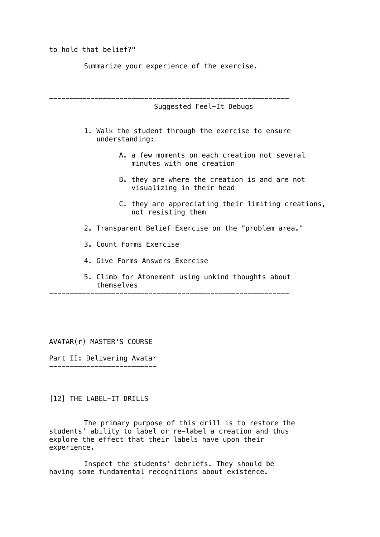to hold that belief?"

Summarize your experience of the exercise.

---------------------------------------------------------- Suggested Feel-It Debugs 1. Walk the student through the exercise to ensure understanding: A. a few moments on each creation not several minutes with one creation B. they are where the creation is and are not visualizing in their head C. they are appreciating their limiting creations, not resisting them 2. Transparent Belief Exercise on the "problem area." 3. Count Forms Exercise 4. Give Forms Answers Exercise

> 5. Climb for Atonement using unkind thoughts about themselves

----------------------------------------------------------

AVATAR(r) MASTER'S COURSE

Part II: Delivering Avatar --------------------------

[12] THE LABEL-IT DRILLS

The primary purpose of this drill is to restore the students' ability to label or re-label a creation and thus explore the effect that their labels have upon their experience.

Inspect the students' debriefs. They should be having some fundamental recognitions about existence.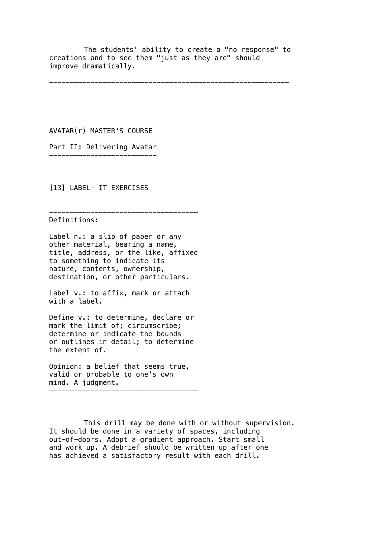The students' ability to create a "no response" to creations and to see them "just as they are" should improve dramatically.

----------------------------------------------------------

AVATAR(r) MASTER'S COURSE

Part II: Delivering Avatar --------------------------

[13] LABEL- IT EXERCISES

Definitions:

Label n.: a slip of paper or any other material, bearing a name, title, address, or the like, affixed to something to indicate its nature, contents, ownership, destination, or other particulars.

------------------------------------

Label v.: to affix, mark or attach with a label.

Define v.: to determine, declare or mark the limit of; circumscribe; determine or indicate the bounds or outlines in detail; to determine the extent of.

Opinion: a belief that seems true, valid or probable to one's own mind. A judgment.

------------------------------------

This drill may be done with or without supervision. It should be done in a variety of spaces, including out-of-doors. Adopt a gradient approach. Start small and work up. A debrief should be written up after one has achieved a satisfactory result with each drill.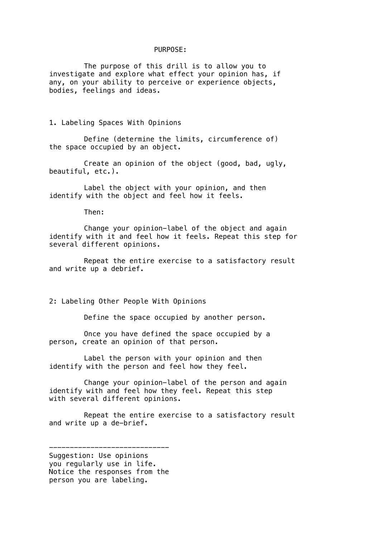### PURPOSE:

The purpose of this drill is to allow you to investigate and explore what effect your opinion has, if any, on your ability to perceive or experience objects, bodies, feelings and ideas.

1. Labeling Spaces With Opinions

Define (determine the limits, circumference of) the space occupied by an object.

Create an opinion of the object (good, bad, ugly, beautiful, etc.).

Label the object with your opinion, and then identify with the object and feel how it feels.

Then:

Change your opinion-label of the object and again identify with it and feel how it feels. Repeat this step for several different opinions.

Repeat the entire exercise to a satisfactory result and write up a debrief.

2: Labeling Other People With Opinions

Define the space occupied by another person.

Once you have defined the space occupied by a person, create an opinion of that person.

Label the person with your opinion and then identify with the person and feel how they feel.

Change your opinion-label of the person and again identify with and feel how they feel. Repeat this step with several different opinions.

Repeat the entire exercise to a satisfactory result and write up a de-brief.

----------------------------- Suggestion: Use opinions you regularly use in life. Notice the responses from the person you are labeling.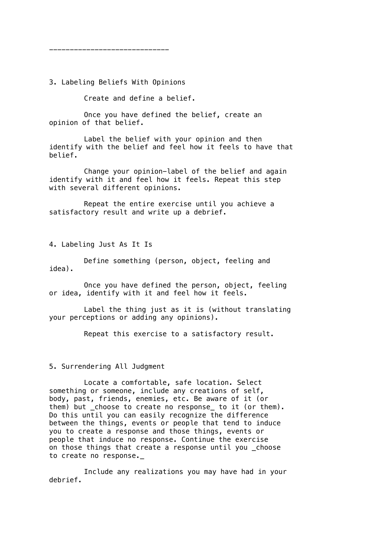3. Labeling Beliefs With Opinions

-----------------------------

Create and define a belief.

Once you have defined the belief, create an opinion of that belief.

Label the belief with your opinion and then identify with the belief and feel how it feels to have that belief.

Change your opinion-label of the belief and again identify with it and feel how it feels. Repeat this step with several different opinions.

Repeat the entire exercise until you achieve a satisfactory result and write up a debrief.

4. Labeling Just As It Is

Define something (person, object, feeling and idea).

Once you have defined the person, object, feeling or idea, identify with it and feel how it feels.

Label the thing just as it is (without translating your perceptions or adding any opinions).

Repeat this exercise to a satisfactory result.

5. Surrendering All Judgment

Locate a comfortable, safe location. Select something or someone, include any creations of self, body, past, friends, enemies, etc. Be aware of it (or them) but \_choose to create no response\_ to it (or them). Do this until you can easily recognize the difference between the things, events or people that tend to induce you to create a response and those things, events or people that induce no response. Continue the exercise on those things that create a response until you \_choose to create no response.\_

Include any realizations you may have had in your debrief.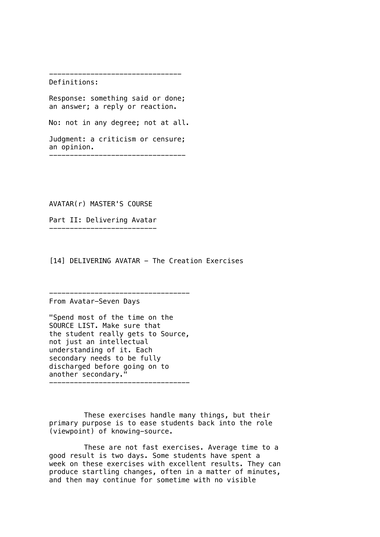Definitions:

Response: something said or done; an answer; a reply or reaction.

--------------------------------

No: not in any degree; not at all.

Judgment: a criticism or censure; an opinion. ---------------------------------

AVATAR(r) MASTER'S COURSE

Part II: Delivering Avatar --------------------------

[14] DELIVERING AVATAR - The Creation Exercises

From Avatar-Seven Days

"Spend most of the time on the SOURCE LIST. Make sure that the student really gets to Source, not just an intellectual understanding of it. Each secondary needs to be fully discharged before going on to another secondary." ----------------------------------

----------------------------------

These exercises handle many things, but their primary purpose is to ease students back into the role (viewpoint) of knowing-source.

These are not fast exercises. Average time to a good result is two days. Some students have spent a week on these exercises with excellent results. They can produce startling changes, often in a matter of minutes, and then may continue for sometime with no visible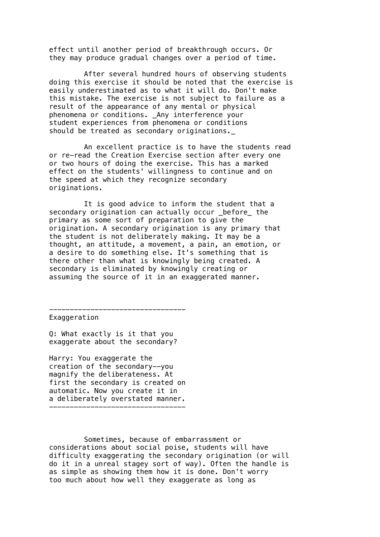effect until another period of breakthrough occurs. Or they may produce gradual changes over a period of time.

After several hundred hours of observing students doing this exercise it should be noted that the exercise is easily underestimated as to what it will do. Don't make this mistake. The exercise is not subject to failure as a result of the appearance of any mental or physical phenomena or conditions. \_Any interference your student experiences from phenomena or conditions should be treated as secondary originations.\_

An excellent practice is to have the students read or re-read the Creation Exercise section after every one or two hours of doing the exercise. This has a marked effect on the students' willingness to continue and on the speed at which they recognize secondary originations.

It is good advice to inform the student that a secondary origination can actually occur \_before\_ the primary as some sort of preparation to give the origination. A secondary origination is any primary that the student is not deliberately making. It may be a thought, an attitude, a movement, a pain, an emotion, or a desire to do something else. It's something that is there other than what is knowingly being created. A secondary is eliminated by knowingly creating or assuming the source of it in an exaggerated manner.

--------------------------------- Exaggeration

Q: What exactly is it that you exaggerate about the secondary?

Harry: You exaggerate the creation of the secondary--you magnify the deliberateness. At first the secondary is created on automatic. Now you create it in a deliberately overstated manner. ---------------------------------

Sometimes, because of embarrassment or considerations about social poise, students will have difficulty exaggerating the secondary origination (or will do it in a unreal stagey sort of way). Often the handle is as simple as showing them how it is done. Don't worry too much about how well they exaggerate as long as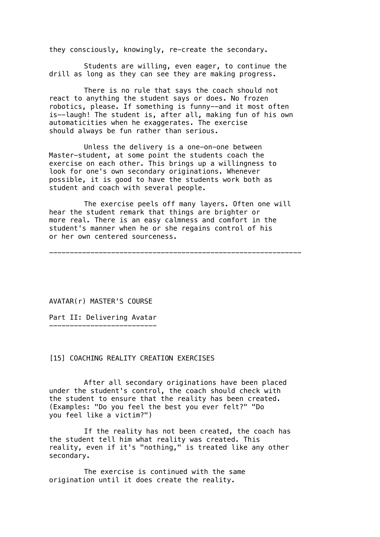they consciously, knowingly, re-create the secondary.

Students are willing, even eager, to continue the drill as long as they can see they are making progress.

There is no rule that says the coach should not react to anything the student says or does. No frozen robotics, please. If something is funny--and it most often is--laugh! The student is, after all, making fun of his own automaticities when he exaggerates. The exercise should always be fun rather than serious.

Unless the delivery is a one-on-one between Master-student, at some point the students coach the exercise on each other. This brings up a willingness to look for one's own secondary originations. Whenever possible, it is good to have the students work both as student and coach with several people.

The exercise peels off many layers. Often one will hear the student remark that things are brighter or more real. There is an easy calmness and comfort in the student's manner when he or she regains control of his or her own centered sourceness.

-------------------------------------------------------------

AVATAR(r) MASTER'S COURSE

Part II: Delivering Avatar --------------------------

## [15] COACHING REALITY CREATION EXERCISES

After all secondary originations have been placed under the student's control, the coach should check with the student to ensure that the reality has been created. (Examples: "Do you feel the best you ever felt?" "Do you feel like a victim?")

If the reality has not been created, the coach has the student tell him what reality was created. This reality, even if it's "nothing," is treated like any other secondary.

The exercise is continued with the same origination until it does create the reality.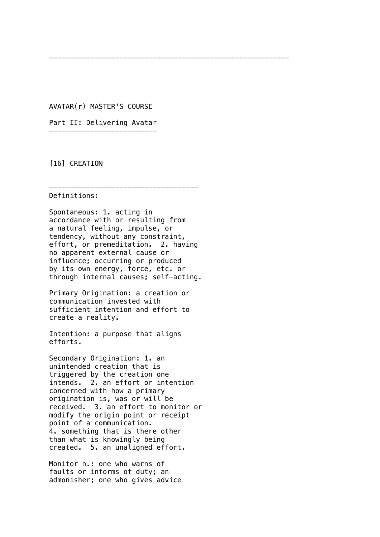AVATAR(r) MASTER'S COURSE

----------------------------------------------------------

Part II: Delivering Avatar --------------------------

[16] CREATION

------------------------------------

Definitions:

Spontaneous: 1. acting in accordance with or resulting from a natural feeling, impulse, or tendency, without any constraint, effort, or premeditation. 2. having no apparent external cause or influence; occurring or produced by its own energy, force, etc. or through internal causes; self-acting.

Primary Origination: a creation or communication invested with sufficient intention and effort to create a reality.

Intention: a purpose that aligns efforts.

Secondary Origination: 1. an unintended creation that is triggered by the creation one intends. 2. an effort or intention concerned with how a primary origination is, was or will be received. 3. an effort to monitor or modify the origin point or receipt point of a communication. 4. something that is there other than what is knowingly being created. 5. an unaligned effort.

Monitor n.: one who warns of faults or informs of duty; an admonisher; one who gives advice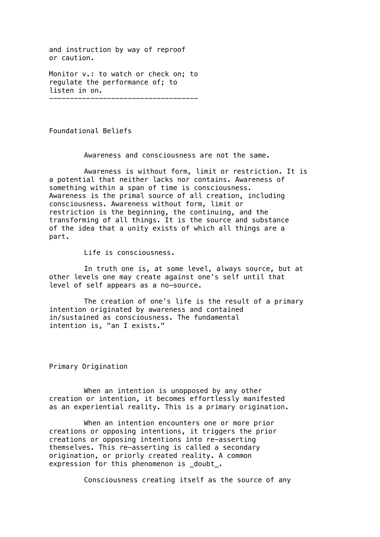and instruction by way of reproof or caution.

Monitor v.: to watch or check on; to regulate the performance of; to listen in on. ------------------------------------

Foundational Beliefs

Awareness and consciousness are not the same.

Awareness is without form, limit or restriction. It is a potential that neither lacks nor contains. Awareness of something within a span of time is consciousness. Awareness is the primal source of all creation, including consciousness. Awareness without form, limit or restriction is the beginning, the continuing, and the transforming of all things. It is the source and substance of the idea that a unity exists of which all things are a part.

Life is consciousness.

In truth one is, at some level, always source, but at other levels one may create against one's self until that level of self appears as a no-source.

The creation of one's life is the result of a primary intention originated by awareness and contained in/sustained as consciousness. The fundamental intention is, "an I exists."

Primary Origination

When an intention is unopposed by any other creation or intention, it becomes effortlessly manifested as an experiential reality. This is a primary origination.

When an intention encounters one or more prior creations or opposing intentions, it triggers the prior creations or opposing intentions into re-asserting themselves. This re-asserting is called a secondary origination, or priorly created reality. A common expression for this phenomenon is \_doubt\_.

Consciousness creating itself as the source of any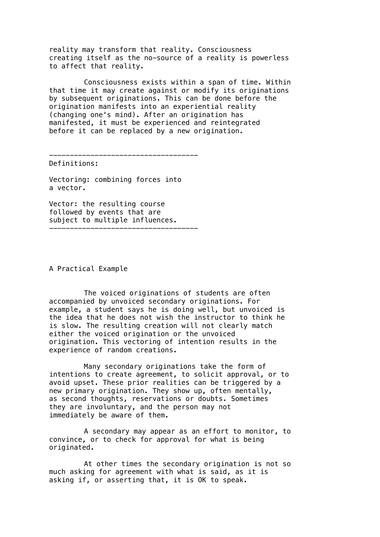reality may transform that reality. Consciousness creating itself as the no-source of a reality is powerless to affect that reality.

Consciousness exists within a span of time. Within that time it may create against or modify its originations by subsequent originations. This can be done before the origination manifests into an experiential reality (changing one's mind). After an origination has manifested, it must be experienced and reintegrated before it can be replaced by a new origination.

------------------------------------

Definitions:

Vectoring: combining forces into a vector.

Vector: the resulting course followed by events that are subject to multiple influences. ------------------------------------

A Practical Example

The voiced originations of students are often accompanied by unvoiced secondary originations. For example, a student says he is doing well, but unvoiced is the idea that he does not wish the instructor to think he is slow. The resulting creation will not clearly match either the voiced origination or the unvoiced origination. This vectoring of intention results in the experience of random creations.

Many secondary originations take the form of intentions to create agreement, to solicit approval, or to avoid upset. These prior realities can be triggered by a new primary origination. They show up, often mentally, as second thoughts, reservations or doubts. Sometimes they are involuntary, and the person may not immediately be aware of them.

A secondary may appear as an effort to monitor, to convince, or to check for approval for what is being originated.

At other times the secondary origination is not so much asking for agreement with what is said, as it is asking if, or asserting that, it is OK to speak.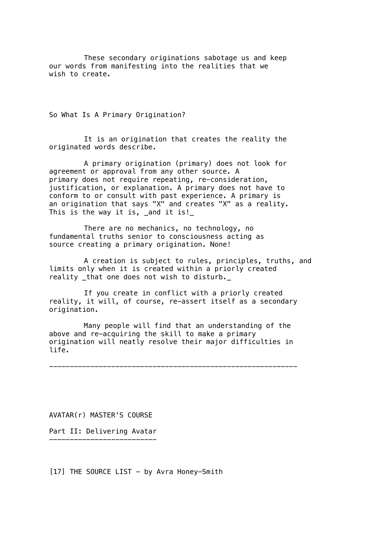These secondary originations sabotage us and keep our words from manifesting into the realities that we wish to create.

So What Is A Primary Origination?

It is an origination that creates the reality the originated words describe.

A primary origination (primary) does not look for agreement or approval from any other source. A primary does not require repeating, re-consideration, justification, or explanation. A primary does not have to conform to or consult with past experience. A primary is an origination that says "X" and creates "X" as a reality. This is the way it is, \_and it is!\_

There are no mechanics, no technology, no fundamental truths senior to consciousness acting as source creating a primary origination. None!

A creation is subject to rules, principles, truths, and limits only when it is created within a priorly created reality that one does not wish to disturb.

If you create in conflict with a priorly created reality, it will, of course, re-assert itself as a secondary origination.

Many people will find that an understanding of the above and re-acquiring the skill to make a primary origination will neatly resolve their major difficulties in life.

------------------------------------------------------------

AVATAR(r) MASTER'S COURSE

Part II: Delivering Avatar --------------------------

 $[17]$  THE SOURCE LIST - by Avra Honey-Smith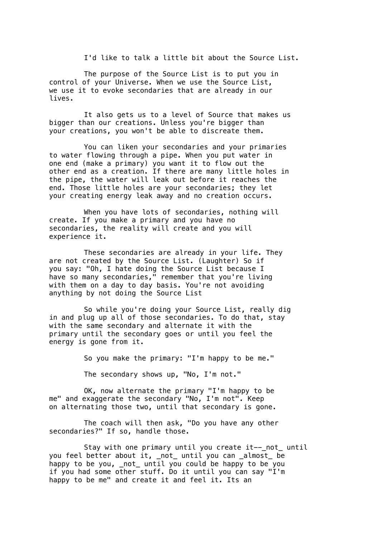I'd like to talk a little bit about the Source List.

The purpose of the Source List is to put you in control of your Universe. When we use the Source List, we use it to evoke secondaries that are already in our lives.

It also gets us to a level of Source that makes us bigger than our creations. Unless you're bigger than your creations, you won't be able to discreate them.

You can liken your secondaries and your primaries to water flowing through a pipe. When you put water in one end (make a primary) you want it to flow out the other end as a creation. If there are many little holes in the pipe, the water will leak out before it reaches the end. Those little holes are your secondaries; they let your creating energy leak away and no creation occurs.

When you have lots of secondaries, nothing will create. If you make a primary and you have no secondaries, the reality will create and you will experience it.

These secondaries are already in your life. They are not created by the Source List. (Laughter) So if you say: "Oh, I hate doing the Source List because I have so many secondaries," remember that you're living with them on a day to day basis. You're not avoiding anything by not doing the Source List

So while you're doing your Source List, really dig in and plug up all of those secondaries. To do that, stay with the same secondary and alternate it with the primary until the secondary goes or until you feel the energy is gone from it.

So you make the primary: "I'm happy to be me."

The secondary shows up, "No, I'm not."

OK, now alternate the primary "I'm happy to be me" and exaggerate the secondary "No, I'm not". Keep on alternating those two, until that secondary is gone.

The coach will then ask, "Do you have any other secondaries?" If so, handle those.

Stay with one primary until you create it--\_not\_ until you feel better about it, \_not\_ until you can \_almost\_ be happy to be you, \_not\_ until you could be happy to be you if you had some other stuff. Do it until you can say "I'm happy to be me" and create it and feel it. Its an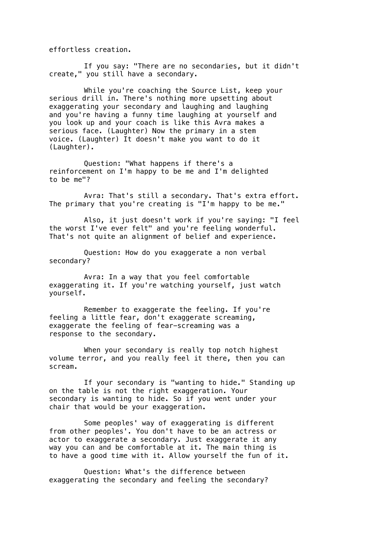effortless creation.

If you say: "There are no secondaries, but it didn't create," you still have a secondary.

While you're coaching the Source List, keep your serious drill in. There's nothing more upsetting about exaggerating your secondary and laughing and laughing and you're having a funny time laughing at yourself and you look up and your coach is like this Avra makes a serious face. (Laughter) Now the primary in a stem voice. (Laughter) It doesn't make you want to do it (Laughter).

Question: "What happens if there's a reinforcement on I'm happy to be me and I'm delighted to be me"?

Avra: That's still a secondary. That's extra effort. The primary that you're creating is "I'm happy to be me."

Also, it just doesn't work if you're saying: "I feel the worst I've ever felt" and you're feeling wonderful. That's not quite an alignment of belief and experience.

Question: How do you exaggerate a non verbal secondary?

Avra: In a way that you feel comfortable exaggerating it. If you're watching yourself, just watch yourself.

Remember to exaggerate the feeling. If you're feeling a little fear, don't exaggerate screaming, exaggerate the feeling of fear-screaming was a response to the secondary.

When your secondary is really top notch highest volume terror, and you really feel it there, then you can scream.

If your secondary is "wanting to hide." Standing up on the table is not the right exaggeration. Your secondary is wanting to hide. So if you went under your chair that would be your exaggeration.

Some peoples' way of exaggerating is different from other peoples'. You don't have to be an actress or actor to exaggerate a secondary. Just exaggerate it any way you can and be comfortable at it. The main thing is to have a good time with it. Allow yourself the fun of it.

Question: What's the difference between exaggerating the secondary and feeling the secondary?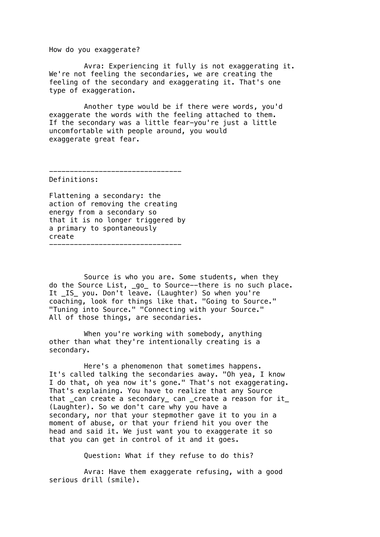How do you exaggerate?

Avra: Experiencing it fully is not exaggerating it. We're not feeling the secondaries, we are creating the feeling of the secondary and exaggerating it. That's one type of exaggeration.

Another type would be if there were words, you'd exaggerate the words with the feeling attached to them. If the secondary was a little fear-you're just a little uncomfortable with people around, you would exaggerate great fear.

--------------------------------

Definitions:

Flattening a secondary: the action of removing the creating energy from a secondary so that it is no longer triggered by a primary to spontaneously create --------------------------------

Source is who you are. Some students, when they do the Source List, \_go\_ to Source--there is no such place. It \_IS\_ you. Don't leave. (Laughter) So when you're coaching, look for things like that. "Going to Source." "Tuning into Source." "Connecting with your Source." All of those things, are secondaries.

When you're working with somebody, anything other than what they're intentionally creating is a secondary.

Here's a phenomenon that sometimes happens. It's called talking the secondaries away. "Oh yea, I know I do that, oh yea now it's gone." That's not exaggerating. That's explaining. You have to realize that any Source that can create a secondary can create a reason for it (Laughter). So we don't care why you have a secondary, nor that your stepmother gave it to you in a moment of abuse, or that your friend hit you over the head and said it. We just want you to exaggerate it so that you can get in control of it and it goes.

Question: What if they refuse to do this?

Avra: Have them exaggerate refusing, with a good serious drill (smile).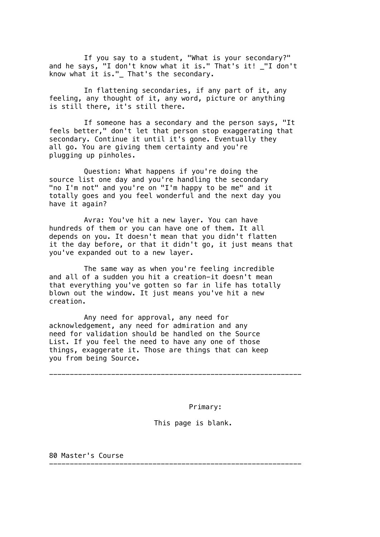If you say to a student, "What is your secondary?" and he says, "I don't know what it is." That's it! "I don't know what it is." That's the secondary.

In flattening secondaries, if any part of it, any feeling, any thought of it, any word, picture or anything is still there, it's still there.

If someone has a secondary and the person says, "It feels better," don't let that person stop exaggerating that secondary. Continue it until it's gone. Eventually they all go. You are giving them certainty and you're plugging up pinholes.

Question: What happens if you're doing the source list one day and you're handling the secondary "no I'm not" and you're on "I'm happy to be me" and it totally goes and you feel wonderful and the next day you have it again?

Avra: You've hit a new layer. You can have hundreds of them or you can have one of them. It all depends on you. It doesn't mean that you didn't flatten it the day before, or that it didn't go, it just means that you've expanded out to a new layer.

The same way as when you're feeling incredible and all of a sudden you hit a creation-it doesn't mean that everything you've gotten so far in life has totally blown out the window. It just means you've hit a new creation.

Any need for approval, any need for acknowledgement, any need for admiration and any need for validation should be handled on the Source List. If you feel the need to have any one of those things, exaggerate it. Those are things that can keep you from being Source.

-------------------------------------------------------------

-------------------------------------------------------------

Primary:

## This page is blank.

80 Master's Course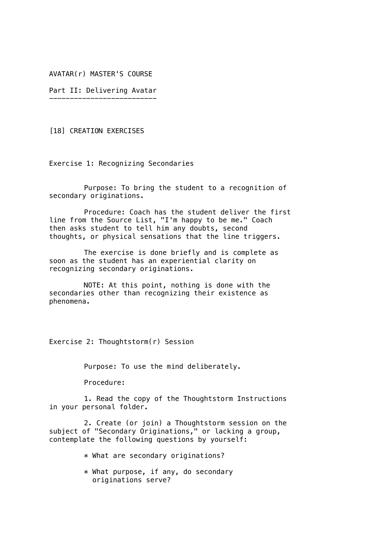AVATAR(r) MASTER'S COURSE

Part II: Delivering Avatar --------------------------

[18] CREATION EXERCISES

Exercise 1: Recognizing Secondaries

Purpose: To bring the student to a recognition of secondary originations.

Procedure: Coach has the student deliver the first line from the Source List, "I'm happy to be me." Coach then asks student to tell him any doubts, second thoughts, or physical sensations that the line triggers.

The exercise is done briefly and is complete as soon as the student has an experiential clarity on recognizing secondary originations.

NOTE: At this point, nothing is done with the secondaries other than recognizing their existence as phenomena.

Exercise 2: Thoughtstorm(r) Session

Purpose: To use the mind deliberately.

Procedure:

1. Read the copy of the Thoughtstorm Instructions in your personal folder.

2. Create (or join) a Thoughtstorm session on the subject of "Secondary Originations," or lacking a group, contemplate the following questions by yourself:

\* What are secondary originations?

\* What purpose, if any, do secondary originations serve?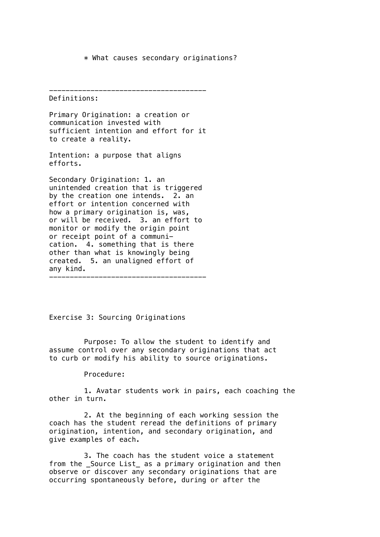\* What causes secondary originations?

--------------------------------------

Definitions:

Primary Origination: a creation or communication invested with sufficient intention and effort for it to create a reality.

Intention: a purpose that aligns efforts.

Secondary Origination: 1. an unintended creation that is triggered by the creation one intends. 2. an effort or intention concerned with how a primary origination is, was, or will be received. 3. an effort to monitor or modify the origin point or receipt point of a communication. 4. something that is there other than what is knowingly being created. 5. an unaligned effort of any kind. --------------------------------------

Exercise 3: Sourcing Originations

Purpose: To allow the student to identify and assume control over any secondary originations that act to curb or modify his ability to source originations.

Procedure:

1. Avatar students work in pairs, each coaching the other in turn.

2. At the beginning of each working session the coach has the student reread the definitions of primary origination, intention, and secondary origination, and give examples of each.

3. The coach has the student voice a statement from the Source List as a primary origination and then observe or discover any secondary originations that are occurring spontaneously before, during or after the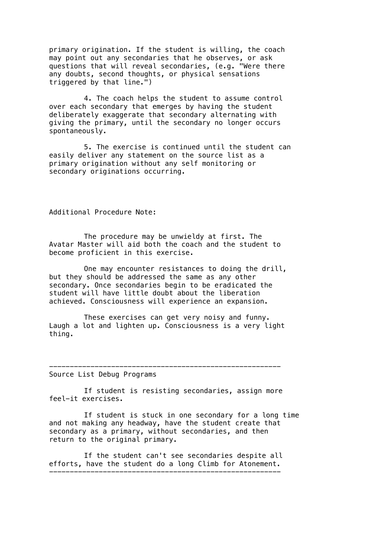primary origination. If the student is willing, the coach may point out any secondaries that he observes, or ask questions that will reveal secondaries, (e.g. "Were there any doubts, second thoughts, or physical sensations triggered by that line.")

4. The coach helps the student to assume control over each secondary that emerges by having the student deliberately exaggerate that secondary alternating with giving the primary, until the secondary no longer occurs spontaneously.

5. The exercise is continued until the student can easily deliver any statement on the source list as a primary origination without any self monitoring or secondary originations occurring.

Additional Procedure Note:

The procedure may be unwieldy at first. The Avatar Master will aid both the coach and the student to become proficient in this exercise.

One may encounter resistances to doing the drill, but they should be addressed the same as any other secondary. Once secondaries begin to be eradicated the student will have little doubt about the liberation achieved. Consciousness will experience an expansion.

These exercises can get very noisy and funny. Laugh a lot and lighten up. Consciousness is a very light thing.

Source List Debug Programs

If student is resisting secondaries, assign more feel-it exercises.

If student is stuck in one secondary for a long time and not making any headway, have the student create that secondary as a primary, without secondaries, and then return to the original primary.

--------------------------------------------------------

If the student can't see secondaries despite all efforts, have the student do a long Climb for Atonement. --------------------------------------------------------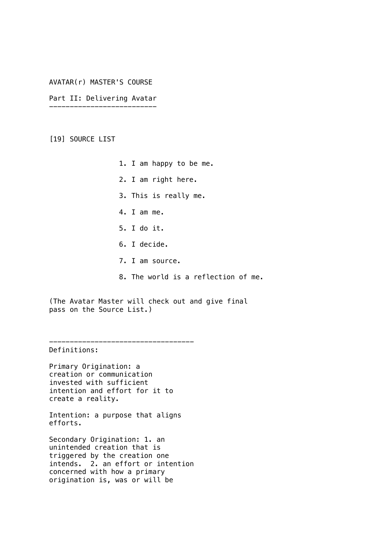# AVATAR(r) MASTER'S COURSE

Part II: Delivering Avatar --------------------------

[19] SOURCE LIST

- 1. I am happy to be me.
- 2. I am right here.
- 3. This is really me.
- 4. I am me.
- 5. I do it.
- 6. I decide.
- 7. I am source.
- 8. The world is a reflection of me.

(The Avatar Master will check out and give final pass on the Source List.)

Definitions:

Primary Origination: a creation or communication invested with sufficient intention and effort for it to create a reality.

-----------------------------------

Intention: a purpose that aligns efforts.

Secondary Origination: 1. an unintended creation that is triggered by the creation one intends. 2. an effort or intention concerned with how a primary origination is, was or will be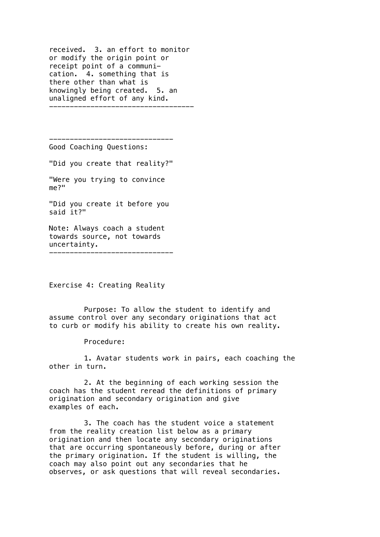received. 3. an effort to monitor or modify the origin point or receipt point of a communication. 4. something that is there other than what is knowingly being created. 5. an unaligned effort of any kind. -----------------------------------

------------------------------ Good Coaching Questions:

"Did you create that reality?"

"Were you trying to convince me?"

"Did you create it before you said it?"

Note: Always coach a student towards source, not towards uncertainty. ------------------------------

Exercise 4: Creating Reality

Purpose: To allow the student to identify and assume control over any secondary originations that act to curb or modify his ability to create his own reality.

Procedure:

1. Avatar students work in pairs, each coaching the other in turn.

2. At the beginning of each working session the coach has the student reread the definitions of primary origination and secondary origination and give examples of each.

3. The coach has the student voice a statement from the reality creation list below as a primary origination and then locate any secondary originations that are occurring spontaneously before, during or after the primary origination. If the student is willing, the coach may also point out any secondaries that he observes, or ask questions that will reveal secondaries.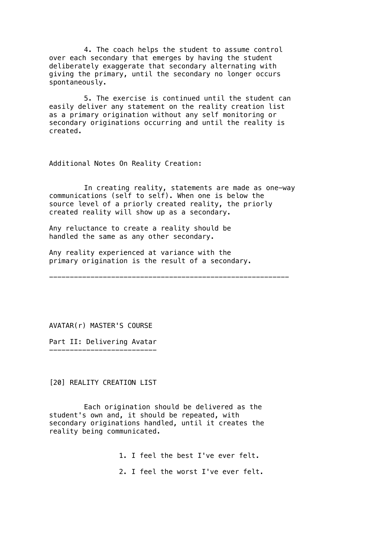4. The coach helps the student to assume control over each secondary that emerges by having the student deliberately exaggerate that secondary alternating with giving the primary, until the secondary no longer occurs spontaneously.

5. The exercise is continued until the student can easily deliver any statement on the reality creation list as a primary origination without any self monitoring or secondary originations occurring and until the reality is created.

Additional Notes On Reality Creation:

In creating reality, statements are made as one-way communications (self to self). When one is below the source level of a priorly created reality, the priorly created reality will show up as a secondary.

Any reluctance to create a reality should be handled the same as any other secondary.

Any reality experienced at variance with the primary origination is the result of a secondary.

----------------------------------------------------------

AVATAR(r) MASTER'S COURSE

Part II: Delivering Avatar --------------------------

[20] REALITY CREATION LIST

Each origination should be delivered as the student's own and, it should be repeated, with secondary originations handled, until it creates the reality being communicated.

1. I feel the best I've ever felt.

2. I feel the worst I've ever felt.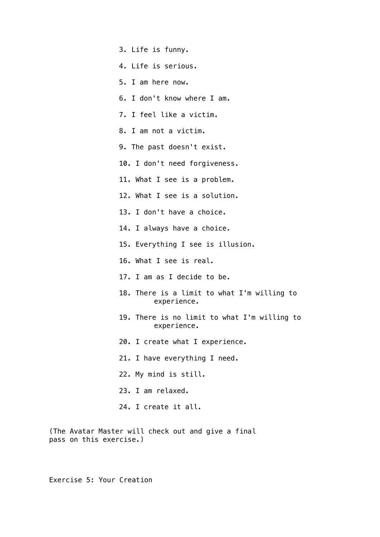- 3. Life is funny.
- 4. Life is serious.
- 5. I am here now.
- 6. I don't know where I am.
- 7. I feel like a victim.
- 8. I am not a victim.
- 9. The past doesn't exist.
- 10. I don't need forgiveness.
- 11. What I see is a problem.
- 12. What I see is a solution.
- 13. I don't have a choice.
- 14. I always have a choice.
- 15. Everything I see is illusion.
- 16. What I see is real.
- 17. I am as I decide to be.
- 18. There is a limit to what I'm willing to experience.
- 19. There is no limit to what I'm willing to experience.
- 20. I create what I experience.
- 21. I have everything I need.
- 22. My mind is still.
- 23. I am relaxed.
- 24. I create it all.

(The Avatar Master will check out and give a final pass on this exercise.)

Exercise 5: Your Creation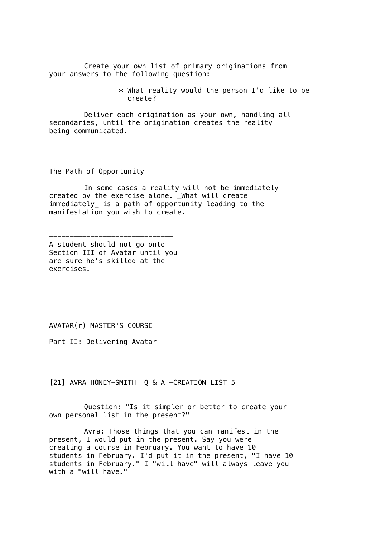Create your own list of primary originations from your answers to the following question:

> \* What reality would the person I'd like to be create?

Deliver each origination as your own, handling all secondaries, until the origination creates the reality being communicated.

The Path of Opportunity

In some cases a reality will not be immediately created by the exercise alone. \_What will create immediately\_ is a path of opportunity leading to the manifestation you wish to create.

------------------------------ A student should not go onto Section III of Avatar until you are sure he's skilled at the exercises. ------------------------------

AVATAR(r) MASTER'S COURSE

Part II: Delivering Avatar

--------------------------

[21] AVRA HONEY-SMITH Q & A -CREATION LIST 5

Question: "Is it simpler or better to create your own personal list in the present?"

Avra: Those things that you can manifest in the present, I would put in the present. Say you were creating a course in February. You want to have 10 students in February. I'd put it in the present, "I have 10 students in February." I "will have" will always leave you with a "will have."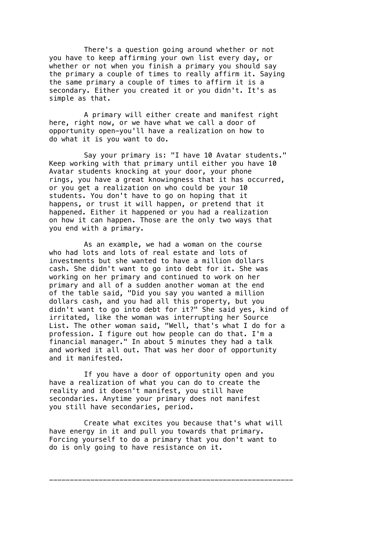There's a question going around whether or not you have to keep affirming your own list every day, or whether or not when you finish a primary you should say the primary a couple of times to really affirm it. Saying the same primary a couple of times to affirm it is a secondary. Either you created it or you didn't. It's as simple as that.

A primary will either create and manifest right here, right now, or we have what we call a door of opportunity open-you'll have a realization on how to do what it is you want to do.

Say your primary is: "I have 10 Avatar students." Keep working with that primary until either you have 10 Avatar students knocking at your door, your phone rings, you have a great knowingness that it has occurred, or you get a realization on who could be your 10 students. You don't have to go on hoping that it happens, or trust it will happen, or pretend that it happened. Either it happened or you had a realization on how it can happen. Those are the only two ways that you end with a primary.

As an example, we had a woman on the course who had lots and lots of real estate and lots of investments but she wanted to have a million dollars cash. She didn't want to go into debt for it. She was working on her primary and continued to work on her primary and all of a sudden another woman at the end of the table said, "Did you say you wanted a million dollars cash, and you had all this property, but you didn't want to go into debt for it?" She said yes, kind of irritated, like the woman was interrupting her Source List. The other woman said, "Well, that's what I do for a profession. I figure out how people can do that. I'm a financial manager." In about 5 minutes they had a talk and worked it all out. That was her door of opportunity and it manifested.

If you have a door of opportunity open and you have a realization of what you can do to create the reality and it doesn't manifest, you still have secondaries. Anytime your primary does not manifest you still have secondaries, period.

Create what excites you because that's what will have energy in it and pull you towards that primary. Forcing yourself to do a primary that you don't want to do is only going to have resistance on it.

-----------------------------------------------------------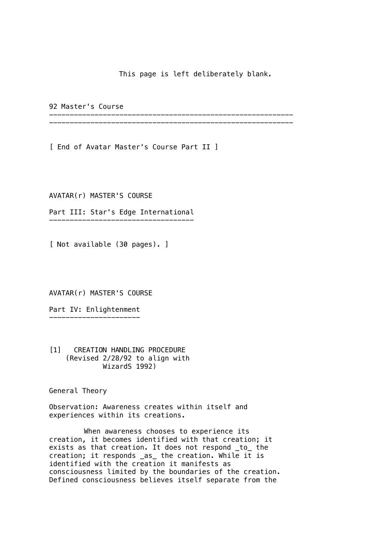This page is left deliberately blank.

92 Master's Course

----------------------------------------------------------- -----------------------------------------------------------

[ End of Avatar Master's Course Part II ]

AVATAR(r) MASTER'S COURSE

Part III: Star's Edge International -----------------------------------

[ Not available (30 pages). ]

AVATAR(r) MASTER'S COURSE

Part IV: Enlightenment ----------------------

[1] CREATION HANDLING PROCEDURE (Revised 2/28/92 to align with WizardS 1992)

General Theory

Observation: Awareness creates within itself and experiences within its creations.

When awareness chooses to experience its creation, it becomes identified with that creation; it exists as that creation. It does not respond \_to\_ the creation; it responds \_as\_ the creation. While it is identified with the creation it manifests as consciousness limited by the boundaries of the creation. Defined consciousness believes itself separate from the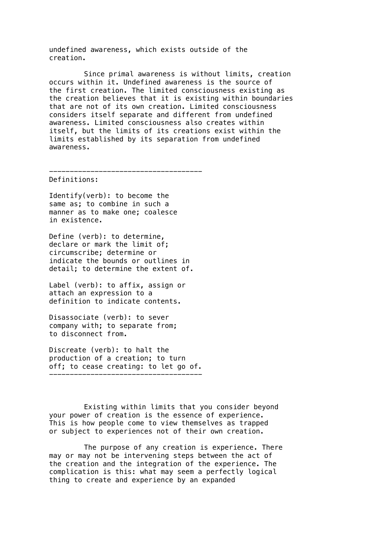undefined awareness, which exists outside of the creation.

Since primal awareness is without limits, creation occurs within it. Undefined awareness is the source of the first creation. The limited consciousness existing as the creation believes that it is existing within boundaries that are not of its own creation. Limited consciousness considers itself separate and different from undefined awareness. Limited consciousness also creates within itself, but the limits of its creations exist within the limits established by its separation from undefined awareness.

-------------------------------------

Definitions:

Identify(verb): to become the same as; to combine in such a manner as to make one; coalesce in existence.

Define (verb): to determine, declare or mark the limit of; circumscribe; determine or indicate the bounds or outlines in detail; to determine the extent of.

Label (verb): to affix, assign or attach an expression to a definition to indicate contents.

Disassociate (verb): to sever company with; to separate from; to disconnect from.

Discreate (verb): to halt the production of a creation; to turn off; to cease creating: to let go of. -------------------------------------

Existing within limits that you consider beyond your power of creation is the essence of experience. This is how people come to view themselves as trapped or subject to experiences not of their own creation.

The purpose of any creation is experience. There may or may not be intervening steps between the act of the creation and the integration of the experience. The complication is this: what may seem a perfectly logical thing to create and experience by an expanded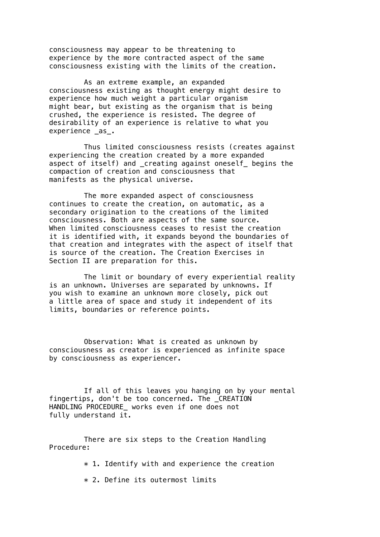consciousness may appear to be threatening to experience by the more contracted aspect of the same consciousness existing with the limits of the creation.

As an extreme example, an expanded consciousness existing as thought energy might desire to experience how much weight a particular organism might bear, but existing as the organism that is being crushed, the experience is resisted. The degree of desirability of an experience is relative to what you experience as.

Thus limited consciousness resists (creates against experiencing the creation created by a more expanded aspect of itself) and \_creating against oneself\_ begins the compaction of creation and consciousness that manifests as the physical universe.

The more expanded aspect of consciousness continues to create the creation, on automatic, as a secondary origination to the creations of the limited consciousness. Both are aspects of the same source. When limited consciousness ceases to resist the creation it is identified with, it expands beyond the boundaries of that creation and integrates with the aspect of itself that is source of the creation. The Creation Exercises in Section II are preparation for this.

The limit or boundary of every experiential reality is an unknown. Universes are separated by unknowns. If you wish to examine an unknown more closely, pick out a little area of space and study it independent of its limits, boundaries or reference points.

Observation: What is created as unknown by consciousness as creator is experienced as infinite space by consciousness as experiencer.

If all of this leaves you hanging on by your mental fingertips, don't be too concerned. The CREATION HANDLING PROCEDURE\_ works even if one does not fully understand it.

There are six steps to the Creation Handling Procedure:

 $*$  1. Identify with and experience the creation

\* 2. Define its outermost limits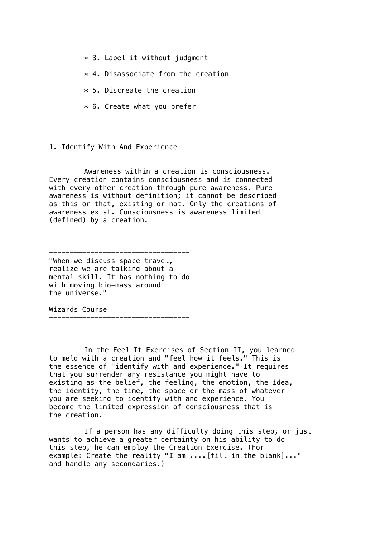- $*$  3. Label it without judgment
- \* 4. Disassociate from the creation
- $*$  5. Discreate the creation
- \* 6. Create what you prefer

1. Identify With And Experience

Awareness within a creation is consciousness. Every creation contains consciousness and is connected with every other creation through pure awareness. Pure awareness is without definition; it cannot be described as this or that, existing or not. Only the creations of awareness exist. Consciousness is awareness limited (defined) by a creation.

----------------------------------

"When we discuss space travel, realize we are talking about a mental skill. It has nothing to do with moving bio-mass around the universe."

----------------------------------

Wizards Course

In the Feel-It Exercises of Section II, you learned to meld with a creation and "feel how it feels." This is the essence of "identify with and experience." It requires that you surrender any resistance you might have to existing as the belief, the feeling, the emotion, the idea, the identity, the time, the space or the mass of whatever you are seeking to identify with and experience. You become the limited expression of consciousness that is the creation.

If a person has any difficulty doing this step, or just wants to achieve a greater certainty on his ability to do this step, he can employ the Creation Exercise. (For example: Create the reality "I am ....[fill in the blank]..." and handle any secondaries.)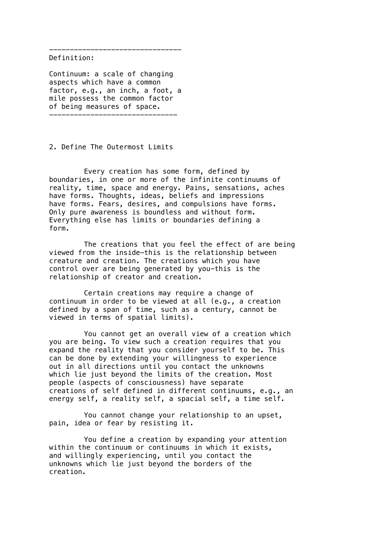Definition:

Continuum: a scale of changing aspects which have a common factor, e.g., an inch, a foot, a mile possess the common factor of being measures of space. -------------------------------

--------------------------------

2. Define The Outermost Limits

Every creation has some form, defined by boundaries, in one or more of the infinite continuums of reality, time, space and energy. Pains, sensations, aches have forms. Thoughts, ideas, beliefs and impressions have forms. Fears, desires, and compulsions have forms. Only pure awareness is boundless and without form. Everything else has limits or boundaries defining a form.

The creations that you feel the effect of are being viewed from the inside-this is the relationship between creature and creation. The creations which you have control over are being generated by you-this is the relationship of creator and creation.

Certain creations may require a change of continuum in order to be viewed at all (e.g., a creation defined by a span of time, such as a century, cannot be viewed in terms of spatial limits).

You cannot get an overall view of a creation which you are being. To view such a creation requires that you expand the reality that you consider yourself to be. This can be done by extending your willingness to experience out in all directions until you contact the unknowns which lie just beyond the limits of the creation. Most people (aspects of consciousness) have separate creations of self defined in different continuums, e.g., an energy self, a reality self, a spacial self, a time self.

You cannot change your relationship to an upset, pain, idea or fear by resisting it.

You define a creation by expanding your attention within the continuum or continuums in which it exists, and willingly experiencing, until you contact the unknowns which lie just beyond the borders of the creation.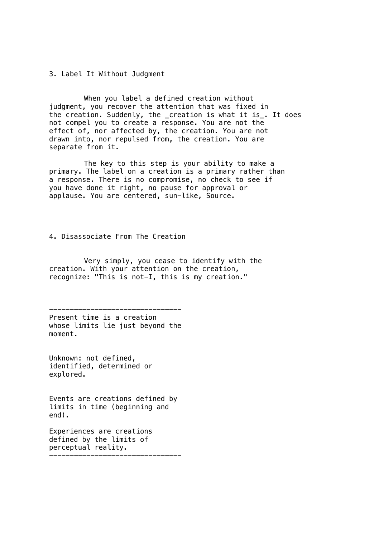3. Label It Without Judgment

When you label a defined creation without judgment, you recover the attention that was fixed in the creation. Suddenly, the \_creation is what it is\_. It does not compel you to create a response. You are not the effect of, nor affected by, the creation. You are not drawn into, nor repulsed from, the creation. You are separate from it.

The key to this step is your ability to make a primary. The label on a creation is a primary rather than a response. There is no compromise, no check to see if you have done it right, no pause for approval or applause. You are centered, sun-like, Source.

4. Disassociate From The Creation

Very simply, you cease to identify with the creation. With your attention on the creation, recognize: "This is not-I, this is my creation."

-------------------------------- Present time is a creation whose limits lie just beyond the moment.

Unknown: not defined, identified, determined or explored.

Events are creations defined by limits in time (beginning and end).

Experiences are creations defined by the limits of perceptual reality. --------------------------------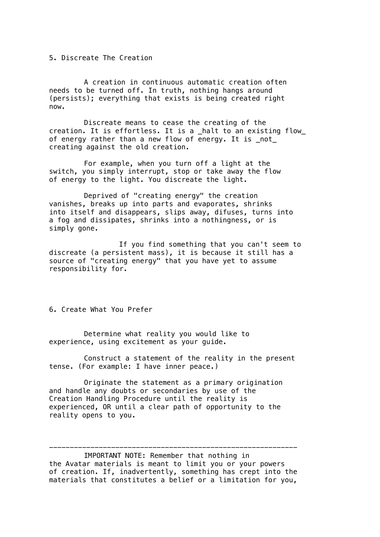5. Discreate The Creation

A creation in continuous automatic creation often needs to be turned off. In truth, nothing hangs around (persists); everything that exists is being created right now.

Discreate means to cease the creating of the creation. It is effortless. It is a halt to an existing flow of energy rather than a new flow of energy. It is  $not$ creating against the old creation.

For example, when you turn off a light at the switch, you simply interrupt, stop or take away the flow of energy to the light. You discreate the light.

Deprived of "creating energy" the creation vanishes, breaks up into parts and evaporates, shrinks into itself and disappears, slips away, difuses, turns into a fog and dissipates, shrinks into a nothingness, or is simply gone.

If you find something that you can't seem to discreate (a persistent mass), it is because it still has a source of "creating energy" that you have yet to assume responsibility for.

6. Create What You Prefer

Determine what reality you would like to experience, using excitement as your guide.

Construct a statement of the reality in the present tense. (For example: I have inner peace.)

Originate the statement as a primary origination and handle any doubts or secondaries by use of the Creation Handling Procedure until the reality is experienced, OR until a clear path of opportunity to the reality opens to you.

IMPORTANT NOTE: Remember that nothing in the Avatar materials is meant to limit you or your powers of creation. If, inadvertently, something has crept into the materials that constitutes a belief or a limitation for you,

------------------------------------------------------------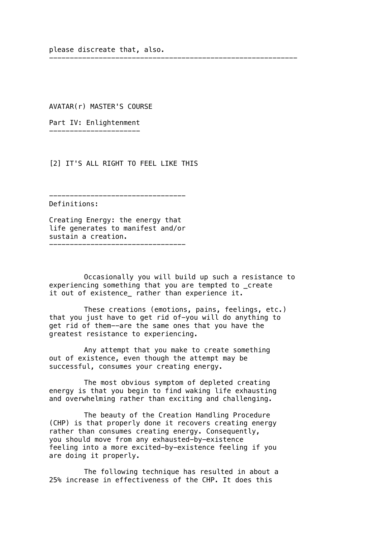please discreate that, also.

AVATAR(r) MASTER'S COURSE

Part IV: Enlightenment ----------------------

[2] IT'S ALL RIGHT TO FEEL LIKE THIS

---------------------------------

Definitions:

Creating Energy: the energy that life generates to manifest and/or sustain a creation. ---------------------------------

Occasionally you will build up such a resistance to experiencing something that you are tempted to \_create it out of existence\_ rather than experience it.

------------------------------------------------------------

These creations (emotions, pains, feelings, etc.) that you just have to get rid of-you will do anything to get rid of them--are the same ones that you have the greatest resistance to experiencing.

Any attempt that you make to create something out of existence, even though the attempt may be successful, consumes your creating energy.

The most obvious symptom of depleted creating energy is that you begin to find waking life exhausting and overwhelming rather than exciting and challenging.

The beauty of the Creation Handling Procedure (CHP) is that properly done it recovers creating energy rather than consumes creating energy. Consequently, you should move from any exhausted-by-existence feeling into a more excited-by-existence feeling if you are doing it properly.

The following technique has resulted in about a 25% increase in effectiveness of the CHP. It does this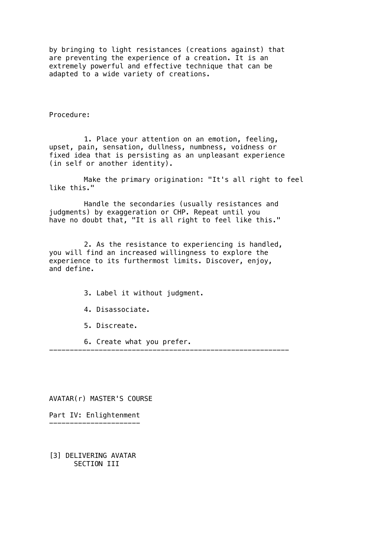by bringing to light resistances (creations against) that are preventing the experience of a creation. It is an extremely powerful and effective technique that can be adapted to a wide variety of creations.

Procedure:

1. Place your attention on an emotion, feeling, upset, pain, sensation, dullness, numbness, voidness or fixed idea that is persisting as an unpleasant experience (in self or another identity).

Make the primary origination: "It's all right to feel like this."

Handle the secondaries (usually resistances and judgments) by exaggeration or CHP. Repeat until you have no doubt that, "It is all right to feel like this."

2. As the resistance to experiencing is handled, you will find an increased willingness to explore the experience to its furthermost limits. Discover, enjoy, and define.

----------------------------------------------------------

- 3. Label it without judgment.
- 4. Disassociate.
- 5. Discreate.
- 6. Create what you prefer.

AVATAR(r) MASTER'S COURSE

Part IV: Enlightenment ----------------------

[3] DELIVERING AVATAR SECTION III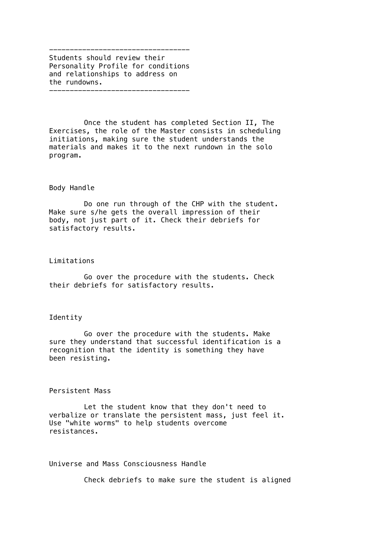---------------------------------- Students should review their Personality Profile for conditions and relationships to address on the rundowns. ----------------------------------

Once the student has completed Section II, The Exercises, the role of the Master consists in scheduling initiations, making sure the student understands the materials and makes it to the next rundown in the solo program.

#### Body Handle

Do one run through of the CHP with the student. Make sure s/he gets the overall impression of their body, not just part of it. Check their debriefs for satisfactory results.

#### Limitations

Go over the procedure with the students. Check their debriefs for satisfactory results.

## Identity

Go over the procedure with the students. Make sure they understand that successful identification is a recognition that the identity is something they have been resisting.

### Persistent Mass

Let the student know that they don't need to verbalize or translate the persistent mass, just feel it. Use "white worms" to help students overcome resistances.

Universe and Mass Consciousness Handle

Check debriefs to make sure the student is aligned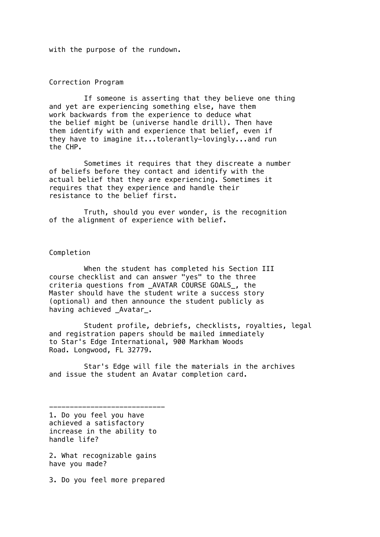with the purpose of the rundown.

Correction Program

If someone is asserting that they believe one thing and yet are experiencing something else, have them work backwards from the experience to deduce what the belief might be (universe handle drill). Then have them identify with and experience that belief, even if they have to imagine it...tolerantly-lovingly...and run the CHP.

Sometimes it requires that they discreate a number of beliefs before they contact and identify with the actual belief that they are experiencing. Sometimes it requires that they experience and handle their resistance to the belief first.

Truth, should you ever wonder, is the recognition of the alignment of experience with belief.

Completion

When the student has completed his Section III course checklist and can answer "yes" to the three criteria questions from \_AVATAR COURSE GOALS\_, the Master should have the student write a success story (optional) and then announce the student publicly as having achieved Avatar.

Student profile, debriefs, checklists, royalties, legal and registration papers should be mailed immediately to Star's Edge International, 900 Markham Woods Road. Longwood, FL 32779.

Star's Edge will file the materials in the archives and issue the student an Avatar completion card.

---------------------------- 1. Do you feel you have achieved a satisfactory increase in the ability to handle life?

2. What recognizable gains have you made?

3. Do you feel more prepared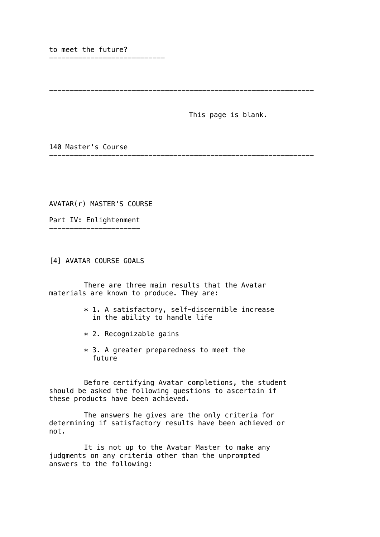to meet the future?

----------------------------

This page is blank.

----------------------------------------------------------------

140 Master's Course

AVATAR(r) MASTER'S COURSE

Part IV: Enlightenment ----------------------

[4] AVATAR COURSE GOALS

There are three main results that the Avatar materials are known to produce. They are:

> \* 1. A satisfactory, self-discernible increase in the ability to handle life

----------------------------------------------------------------

- \* 2. Recognizable gains
- $*$  3. A greater preparedness to meet the future

Before certifying Avatar completions, the student should be asked the following questions to ascertain if these products have been achieved.

The answers he gives are the only criteria for determining if satisfactory results have been achieved or not.

It is not up to the Avatar Master to make any judgments on any criteria other than the unprompted answers to the following: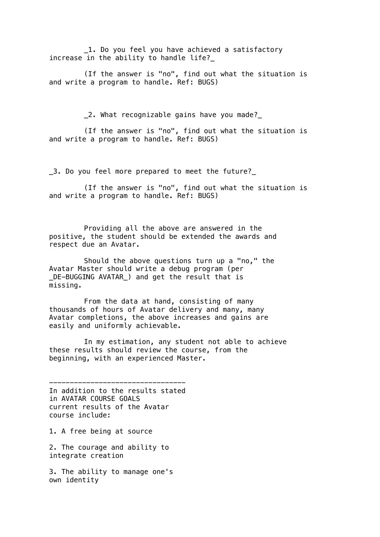1. Do you feel you have achieved a satisfactory increase in the ability to handle life?\_

(If the answer is "no", find out what the situation is and write a program to handle. Ref: BUGS)

\_2. What recognizable gains have you made?\_

(If the answer is "no", find out what the situation is and write a program to handle. Ref: BUGS)

\_3. Do you feel more prepared to meet the future?\_

(If the answer is "no", find out what the situation is and write a program to handle. Ref: BUGS)

Providing all the above are answered in the positive, the student should be extended the awards and respect due an Avatar.

Should the above questions turn up a "no," the Avatar Master should write a debug program (per \_DE-BUGGING AVATAR\_) and get the result that is missing.

From the data at hand, consisting of many thousands of hours of Avatar delivery and many, many Avatar completions, the above increases and gains are easily and uniformly achievable.

In my estimation, any student not able to achieve these results should review the course, from the beginning, with an experienced Master.

--------------------------------- In addition to the results stated in AVATAR COURSE GOALS current results of the Avatar course include:

1. A free being at source

2. The courage and ability to integrate creation

3. The ability to manage one's own identity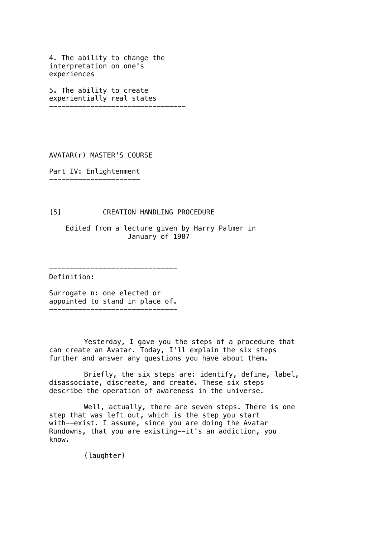4. The ability to change the interpretation on one's experiences

5. The ability to create experientially real states ---------------------------------

AVATAR(r) MASTER'S COURSE

Part IV: Enlightenment ----------------------

[5] CREATION HANDLING PROCEDURE

-------------------------------

 Edited from a lecture given by Harry Palmer in January of 1987

Definition:

Surrogate n: one elected or appointed to stand in place of. -------------------------------

Yesterday, I gave you the steps of a procedure that can create an Avatar. Today, I'll explain the six steps further and answer any questions you have about them.

Briefly, the six steps are: identify, define, label, disassociate, discreate, and create. These six steps describe the operation of awareness in the universe.

Well, actually, there are seven steps. There is one step that was left out, which is the step you start with--exist. I assume, since you are doing the Avatar Rundowns, that you are existing--it's an addiction, you know.

(laughter)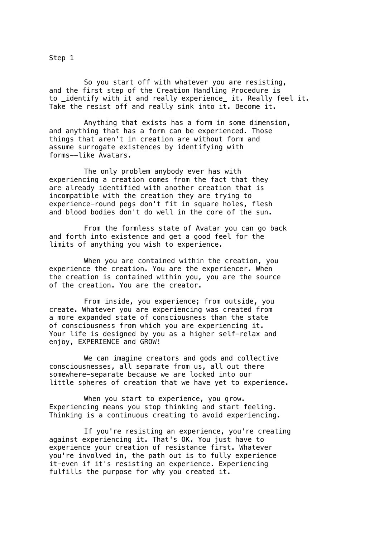Step 1

So you start off with whatever you are resisting, and the first step of the Creation Handling Procedure is to \_identify with it and really experience\_ it. Really feel it. Take the resist off and really sink into it. Become it.

Anything that exists has a form in some dimension, and anything that has a form can be experienced. Those things that aren't in creation are without form and assume surrogate existences by identifying with forms--like Avatars.

The only problem anybody ever has with experiencing a creation comes from the fact that they are already identified with another creation that is incompatible with the creation they are trying to experience-round pegs don't fit in square holes, flesh and blood bodies don't do well in the core of the sun.

From the formless state of Avatar you can go back and forth into existence and get a good feel for the limits of anything you wish to experience.

When you are contained within the creation, you experience the creation. You are the experiencer. When the creation is contained within you, you are the source of the creation. You are the creator.

From inside, you experience; from outside, you create. Whatever you are experiencing was created from a more expanded state of consciousness than the state of consciousness from which you are experiencing it. Your life is designed by you as a higher self-relax and enjoy, EXPERIENCE and GROW!

We can imagine creators and gods and collective consciousnesses, all separate from us, all out there somewhere-separate because we are locked into our little spheres of creation that we have yet to experience.

When you start to experience, you grow. Experiencing means you stop thinking and start feeling. Thinking is a continuous creating to avoid experiencing.

If you're resisting an experience, you're creating against experiencing it. That's OK. You just have to experience your creation of resistance first. Whatever you're involved in, the path out is to fully experience it-even if it's resisting an experience. Experiencing fulfills the purpose for why you created it.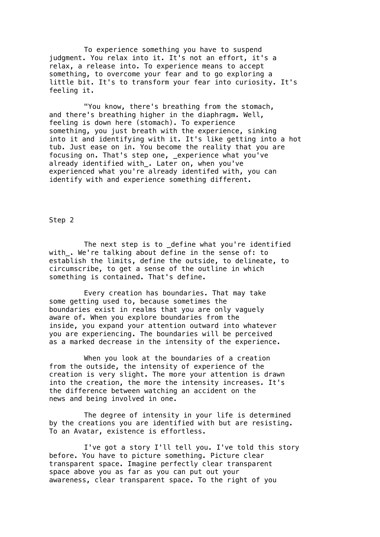To experience something you have to suspend judgment. You relax into it. It's not an effort, it's a relax, a release into. To experience means to accept something, to overcome your fear and to go exploring a little bit. It's to transform your fear into curiosity. It's feeling it.

"You know, there's breathing from the stomach, and there's breathing higher in the diaphragm. Well, feeling is down here (stomach). To experience something, you just breath with the experience, sinking into it and identifying with it. It's like getting into a hot tub. Just ease on in. You become the reality that you are focusing on. That's step one, \_experience what you've already identified with\_. Later on, when you've experienced what you're already identifed with, you can identify with and experience something different.

Step 2

The next step is to \_define what you're identified with. We're talking about define in the sense of: to establish the limits, define the outside, to delineate, to circumscribe, to get a sense of the outline in which something is contained. That's define.

Every creation has boundaries. That may take some getting used to, because sometimes the boundaries exist in realms that you are only vaguely aware of. When you explore boundaries from the inside, you expand your attention outward into whatever you are experiencing. The boundaries will be perceived as a marked decrease in the intensity of the experience.

When you look at the boundaries of a creation from the outside, the intensity of experience of the creation is very slight. The more your attention is drawn into the creation, the more the intensity increases. It's the difference between watching an accident on the news and being involved in one.

The degree of intensity in your life is determined by the creations you are identified with but are resisting. To an Avatar, existence is effortless.

I've got a story I'll tell you. I've told this story before. You have to picture something. Picture clear transparent space. Imagine perfectly clear transparent space above you as far as you can put out your awareness, clear transparent space. To the right of you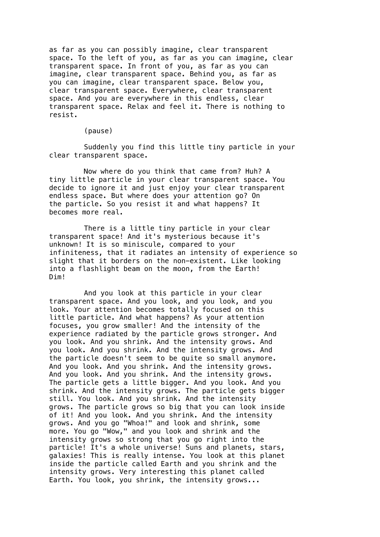as far as you can possibly imagine, clear transparent space. To the left of you, as far as you can imagine, clear transparent space. In front of you, as far as you can imagine, clear transparent space. Behind you, as far as you can imagine, clear transparent space. Below you, clear transparent space. Everywhere, clear transparent space. And you are everywhere in this endless, clear transparent space. Relax and feel it. There is nothing to resist.

#### (pause)

Suddenly you find this little tiny particle in your clear transparent space.

Now where do you think that came from? Huh? A tiny little particle in your clear transparent space. You decide to ignore it and just enjoy your clear transparent endless space. But where does your attention go? On the particle. So you resist it and what happens? It becomes more real.

There is a little tiny particle in your clear transparent space! And it's mysterious because it's unknown! It is so miniscule, compared to your infiniteness, that it radiates an intensity of experience so slight that it borders on the non-existent. Like looking into a flashlight beam on the moon, from the Earth! Dim!

And you look at this particle in your clear transparent space. And you look, and you look, and you look. Your attention becomes totally focused on this little particle. And what happens? As your attention focuses, you grow smaller! And the intensity of the experience radiated by the particle grows stronger. And you look. And you shrink. And the intensity grows. And you look. And you shrink. And the intensity grows. And the particle doesn't seem to be quite so small anymore. And you look. And you shrink. And the intensity grows. And you look. And you shrink. And the intensity grows. The particle gets a little bigger. And you look. And you shrink. And the intensity grows. The particle gets bigger still. You look. And you shrink. And the intensity grows. The particle grows so big that you can look inside of it! And you look. And you shrink. And the intensity grows. And you go "Whoa!" and look and shrink, some more. You go "Wow," and you look and shrink and the intensity grows so strong that you go right into the particle! It's a whole universe! Suns and planets, stars, galaxies! This is really intense. You look at this planet inside the particle called Earth and you shrink and the intensity grows. Very interesting this planet called Earth. You look, you shrink, the intensity grows...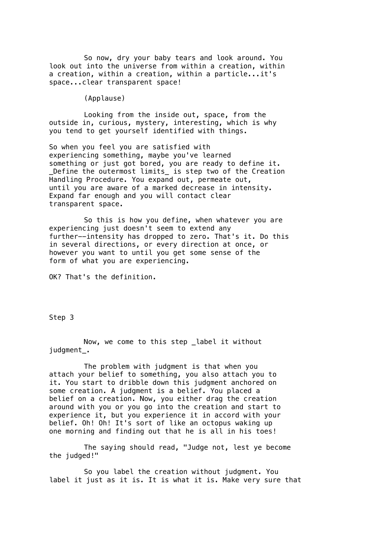So now, dry your baby tears and look around. You look out into the universe from within a creation, within a creation, within a creation, within a particle...it's space...clear transparent space!

(Applause)

Looking from the inside out, space, from the outside in, curious, mystery, interesting, which is why you tend to get yourself identified with things.

So when you feel you are satisfied with experiencing something, maybe you've learned something or just got bored, you are ready to define it. \_Define the outermost limits\_ is step two of the Creation Handling Procedure. You expand out, permeate out, until you are aware of a marked decrease in intensity. Expand far enough and you will contact clear transparent space.

So this is how you define, when whatever you are experiencing just doesn't seem to extend any further--intensity has dropped to zero. That's it. Do this in several directions, or every direction at once, or however you want to until you get some sense of the form of what you are experiencing.

OK? That's the definition.

Step 3

Now, we come to this step \_label it without judgment\_.

The problem with judgment is that when you attach your belief to something, you also attach you to it. You start to dribble down this judgment anchored on some creation. A judgment is a belief. You placed a belief on a creation. Now, you either drag the creation around with you or you go into the creation and start to experience it, but you experience it in accord with your belief. Oh! Oh! It's sort of like an octopus waking up one morning and finding out that he is all in his toes!

The saying should read, "Judge not, lest ye become the judged!"

So you label the creation without judgment. You label it just as it is. It is what it is. Make very sure that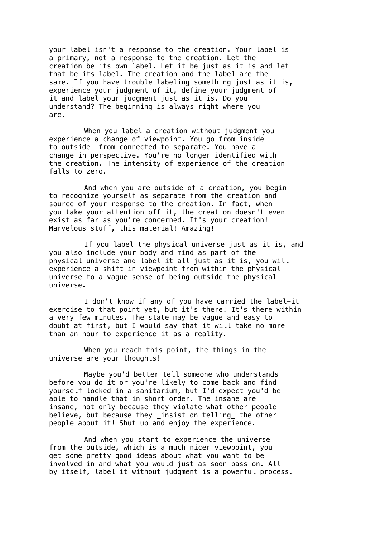your label isn't a response to the creation. Your label is a primary, not a response to the creation. Let the creation be its own label. Let it be just as it is and let that be its label. The creation and the label are the same. If you have trouble labeling something just as it is, experience your judgment of it, define your judgment of it and label your judgment just as it is. Do you understand? The beginning is always right where you are.

When you label a creation without judgment you experience a change of viewpoint. You go from inside to outside--from connected to separate. You have a change in perspective. You're no longer identified with the creation. The intensity of experience of the creation falls to zero.

And when you are outside of a creation, you begin to recognize yourself as separate from the creation and source of your response to the creation. In fact, when you take your attention off it, the creation doesn't even exist as far as you're concerned. It's your creation! Marvelous stuff, this material! Amazing!

If you label the physical universe just as it is, and you also include your body and mind as part of the physical universe and label it all just as it is, you will experience a shift in viewpoint from within the physical universe to a vague sense of being outside the physical universe.

I don't know if any of you have carried the label-it exercise to that point yet, but it's there! It's there within a very few minutes. The state may be vague and easy to doubt at first, but I would say that it will take no more than an hour to experience it as a reality.

When you reach this point, the things in the universe are your thoughts!

Maybe you'd better tell someone who understands before you do it or you're likely to come back and find yourself locked in a sanitarium, but I'd expect you'd be able to handle that in short order. The insane are insane, not only because they violate what other people believe, but because they \_insist on telling\_ the other people about it! Shut up and enjoy the experience.

And when you start to experience the universe from the outside, which is a much nicer viewpoint, you get some pretty good ideas about what you want to be involved in and what you would just as soon pass on. All by itself, label it without judgment is a powerful process.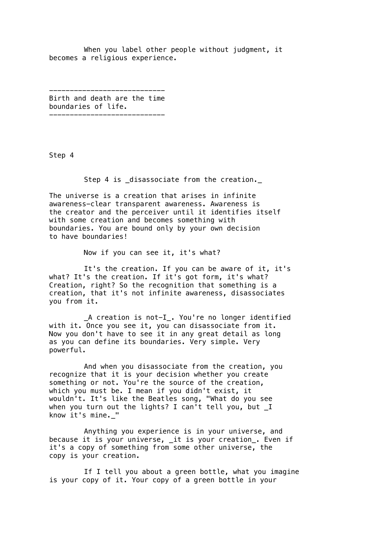When you label other people without judgment, it becomes a religious experience.

---------------------------- Birth and death are the time boundaries of life. ----------------------------

Step 4

Step 4 is \_disassociate from the creation.\_

The universe is a creation that arises in infinite awareness-clear transparent awareness. Awareness is the creator and the perceiver until it identifies itself with some creation and becomes something with boundaries. You are bound only by your own decision to have boundaries!

Now if you can see it, it's what?

It's the creation. If you can be aware of it, it's what? It's the creation. If it's got form, it's what? Creation, right? So the recognition that something is a creation, that it's not infinite awareness, disassociates you from it.

\_A creation is not-I\_. You're no longer identified with it. Once you see it, you can disassociate from it. Now you don't have to see it in any great detail as long as you can define its boundaries. Very simple. Very powerful.

And when you disassociate from the creation, you recognize that it is your decision whether you create something or not. You're the source of the creation, which you must be. I mean if you didn't exist, it wouldn't. It's like the Beatles song, "What do you see when you turn out the lights? I can't tell you, but \_I know it's mine.\_"

Anything you experience is in your universe, and because it is your universe, \_it is your creation\_. Even if it's a copy of something from some other universe, the copy is your creation.

If I tell you about a green bottle, what you imagine is your copy of it. Your copy of a green bottle in your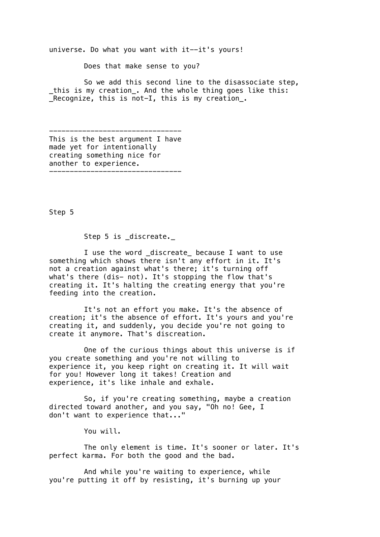universe. Do what you want with it--it's yours!

Does that make sense to you?

So we add this second line to the disassociate step, \_this is my creation\_. And the whole thing goes like this: Recognize, this is not-I, this is my creation\_.

-------------------------------- This is the best argument I have made yet for intentionally creating something nice for another to experience. --------------------------------

Step 5

Step 5 is \_discreate.\_

I use the word discreate because I want to use something which shows there isn't any effort in it. It's not a creation against what's there; it's turning off what's there (dis- not). It's stopping the flow that's creating it. It's halting the creating energy that you're feeding into the creation.

It's not an effort you make. It's the absence of creation; it's the absence of effort. It's yours and you're creating it, and suddenly, you decide you're not going to create it anymore. That's discreation.

One of the curious things about this universe is if you create something and you're not willing to experience it, you keep right on creating it. It will wait for you! However long it takes! Creation and experience, it's like inhale and exhale.

So, if you're creating something, maybe a creation directed toward another, and you say, "Oh no! Gee, I don't want to experience that..."

You will.

The only element is time. It's sooner or later. It's perfect karma. For both the good and the bad.

And while you're waiting to experience, while you're putting it off by resisting, it's burning up your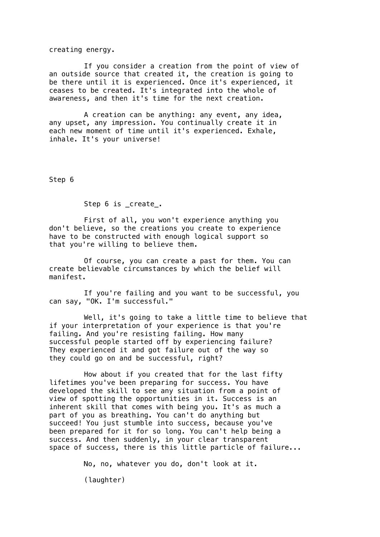creating energy.

If you consider a creation from the point of view of an outside source that created it, the creation is going to be there until it is experienced. Once it's experienced, it ceases to be created. It's integrated into the whole of awareness, and then it's time for the next creation.

A creation can be anything: any event, any idea, any upset, any impression. You continually create it in each new moment of time until it's experienced. Exhale, inhale. It's your universe!

Step 6

Step 6 is \_create\_.

First of all, you won't experience anything you don't believe, so the creations you create to experience have to be constructed with enough logical support so that you're willing to believe them.

Of course, you can create a past for them. You can create believable circumstances by which the belief will manifest.

If you're failing and you want to be successful, you can say, "OK. I'm successful."

Well, it's going to take a little time to believe that if your interpretation of your experience is that you're failing. And you're resisting failing. How many successful people started off by experiencing failure? They experienced it and got failure out of the way so they could go on and be successful, right?

How about if you created that for the last fifty lifetimes you've been preparing for success. You have developed the skill to see any situation from a point of view of spotting the opportunities in it. Success is an inherent skill that comes with being you. It's as much a part of you as breathing. You can't do anything but succeed! You just stumble into success, because you've been prepared for it for so long. You can't help being a success. And then suddenly, in your clear transparent space of success, there is this little particle of failure...

No, no, whatever you do, don't look at it.

(laughter)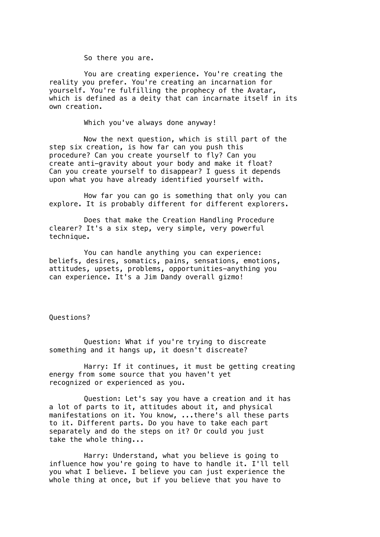So there you are.

You are creating experience. You're creating the reality you prefer. You're creating an incarnation for yourself. You're fulfilling the prophecy of the Avatar, which is defined as a deity that can incarnate itself in its own creation.

Which you've always done anyway!

Now the next question, which is still part of the step six creation, is how far can you push this procedure? Can you create yourself to fly? Can you create anti-gravity about your body and make it float? Can you create yourself to disappear? I guess it depends upon what you have already identified yourself with.

How far you can go is something that only you can explore. It is probably different for different explorers.

Does that make the Creation Handling Procedure clearer? It's a six step, very simple, very powerful technique.

You can handle anything you can experience: beliefs, desires, somatics, pains, sensations, emotions, attitudes, upsets, problems, opportunities-anything you can experience. It's a Jim Dandy overall gizmo!

Questions?

Question: What if you're trying to discreate something and it hangs up, it doesn't discreate?

Harry: If it continues, it must be getting creating energy from some source that you haven't yet recognized or experienced as you.

Question: Let's say you have a creation and it has a lot of parts to it, attitudes about it, and physical manifestations on it. You know, ...there's all these parts to it. Different parts. Do you have to take each part separately and do the steps on it? Or could you just take the whole thing...

Harry: Understand, what you believe is going to influence how you're going to have to handle it. I'll tell you what I believe. I believe you can just experience the whole thing at once, but if you believe that you have to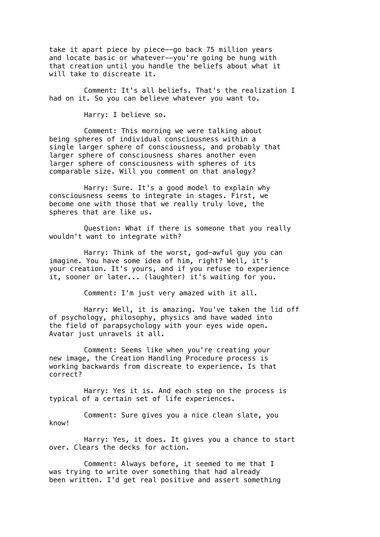take it apart piece by piece--go back 75 million years and locate basic or whatever--you're going be hung with that creation until you handle the beliefs about what it will take to discreate it.

Comment: It's all beliefs. That's the realization I had on it. So you can believe whatever you want to.

Harry: I believe so.

Comment: This morning we were talking about being spheres of individual consciousness within a single larger sphere of consciousness, and probably that larger sphere of consciousness shares another even larger sphere of consciousness with spheres of its comparable size. Will you comment on that analogy?

Harry: Sure. It's a good model to explain why consciousness seems to integrate in stages. First, we become one with those that we really truly love, the spheres that are like us.

Question: What if there is someone that you really wouldn't want to integrate with?

Harry: Think of the worst, god-awful guy you can imagine. You have some idea of him, right? Well, it's your creation. It's yours, and if you refuse to experience it, sooner or later... (laughter) it's waiting for you.

Comment: I'm just very amazed with it all.

Harry: Well, it is amazing. You've taken the lid off of psychology, philosophy, physics and have waded into the field of parapsychology with your eyes wide open. Avatar just unravels it all.

Comment: Seems like when you're creating your new image, the Creation Handling Procedure process is working backwards from discreate to experience. Is that correct?

Harry: Yes it is. And each step on the process is typical of a certain set of life experiences.

Comment: Sure gives you a nice clean slate, you know!

Harry: Yes, it does. It gives you a chance to start over. Clears the decks for action.

Comment: Always before, it seemed to me that I was trying to write over something that had already been written. I'd get real positive and assert something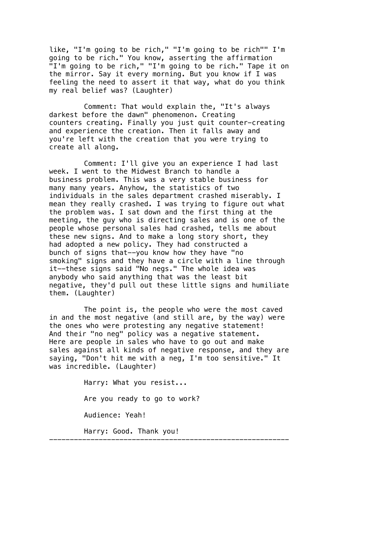like, "I'm going to be rich," "I'm going to be rich"" I'm going to be rich." You know, asserting the affirmation "I'm going to be rich," "I'm going to be rich." Tape it on the mirror. Say it every morning. But you know if I was feeling the need to assert it that way, what do you think my real belief was? (Laughter)

Comment: That would explain the, "It's always darkest before the dawn" phenomenon. Creating counters creating. Finally you just quit counter-creating and experience the creation. Then it falls away and you're left with the creation that you were trying to create all along.

Comment: I'll give you an experience I had last week. I went to the Midwest Branch to handle a business problem. This was a very stable business for many many years. Anyhow, the statistics of two individuals in the sales department crashed miserably. I mean they really crashed. I was trying to figure out what the problem was. I sat down and the first thing at the meeting, the guy who is directing sales and is one of the people whose personal sales had crashed, tells me about these new signs. And to make a long story short, they had adopted a new policy. They had constructed a bunch of signs that--you know how they have "no smoking" signs and they have a circle with a line through it--these signs said "No negs." The whole idea was anybody who said anything that was the least bit negative, they'd pull out these little signs and humiliate them. (Laughter)

The point is, the people who were the most caved in and the most negative (and still are, by the way) were the ones who were protesting any negative statement! And their "no neg" policy was a negative statement. Here are people in sales who have to go out and make sales against all kinds of negative response, and they are saying, "Don't hit me with a neg, I'm too sensitive." It was incredible. (Laughter)

----------------------------------------------------------

Harry: What you resist... Are you ready to go to work? Audience: Yeah! Harry: Good. Thank you!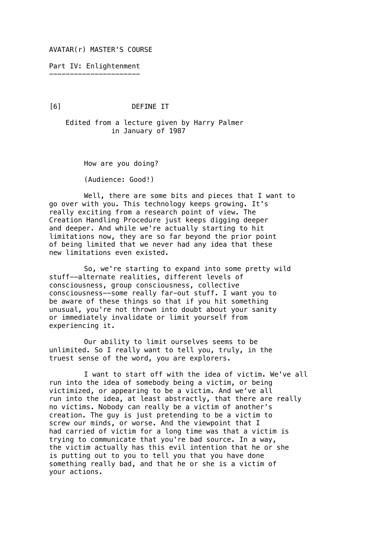AVATAR(r) MASTER'S COURSE

Part IV: Enlightenment ----------------------

[6] DEFINE IT

 Edited from a lecture given by Harry Palmer in January of 1987

How are you doing?

(Audience: Good!)

Well, there are some bits and pieces that I want to go over with you. This technology keeps growing. It's really exciting from a research point of view. The Creation Handling Procedure just keeps digging deeper and deeper. And while we're actually starting to hit limitations now, they are so far beyond the prior point of being limited that we never had any idea that these new limitations even existed.

So, we're starting to expand into some pretty wild stuff--alternate realities, different levels of consciousness, group consciousness, collective consciousness--some really far-out stuff. I want you to be aware of these things so that if you hit something unusual, you're not thrown into doubt about your sanity or immediately invalidate or limit yourself from experiencing it.

Our ability to limit ourselves seems to be unlimited. So I really want to tell you, truly, in the truest sense of the word, you are explorers.

I want to start off with the idea of victim. We've all run into the idea of somebody being a victim, or being victimized, or appearing to be a victim. And we've all run into the idea, at least abstractly, that there are really no victims. Nobody can really be a victim of another's creation. The guy is just pretending to be a victim to screw our minds, or worse. And the viewpoint that I had carried of victim for a long time was that a victim is trying to communicate that you're bad source. In a way, the victim actually has this evil intention that he or she is putting out to you to tell you that you have done something really bad, and that he or she is a victim of your actions.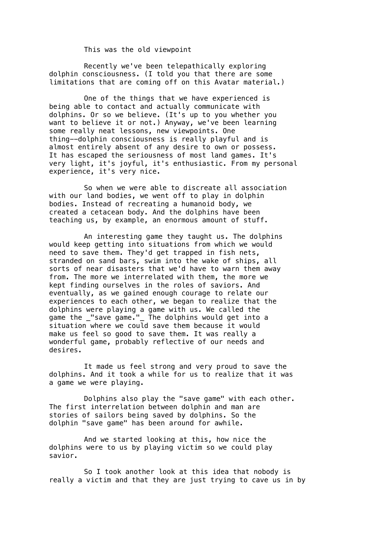This was the old viewpoint

Recently we've been telepathically exploring dolphin consciousness. (I told you that there are some limitations that are coming off on this Avatar material.)

One of the things that we have experienced is being able to contact and actually communicate with dolphins. Or so we believe. (It's up to you whether you want to believe it or not.) Anyway, we've been learning some really neat lessons, new viewpoints. One thing--dolphin consciousness is really playful and is almost entirely absent of any desire to own or possess. It has escaped the seriousness of most land games. It's very light, it's joyful, it's enthusiastic. From my personal experience, it's very nice.

So when we were able to discreate all association with our land bodies, we went off to play in dolphin bodies. Instead of recreating a humanoid body, we created a cetacean body. And the dolphins have been teaching us, by example, an enormous amount of stuff.

An interesting game they taught us. The dolphins would keep getting into situations from which we would need to save them. They'd get trapped in fish nets, stranded on sand bars, swim into the wake of ships, all sorts of near disasters that we'd have to warn them away from. The more we interrelated with them, the more we kept finding ourselves in the roles of saviors. And eventually, as we gained enough courage to relate our experiences to each other, we began to realize that the dolphins were playing a game with us. We called the game the "save game." The dolphins would get into a situation where we could save them because it would make us feel so good to save them. It was really a wonderful game, probably reflective of our needs and desires.

It made us feel strong and very proud to save the dolphins. And it took a while for us to realize that it was a game we were playing.

Dolphins also play the "save game" with each other. The first interrelation between dolphin and man are stories of sailors being saved by dolphins. So the dolphin "save game" has been around for awhile.

And we started looking at this, how nice the dolphins were to us by playing victim so we could play savior.

So I took another look at this idea that nobody is really a victim and that they are just trying to cave us in by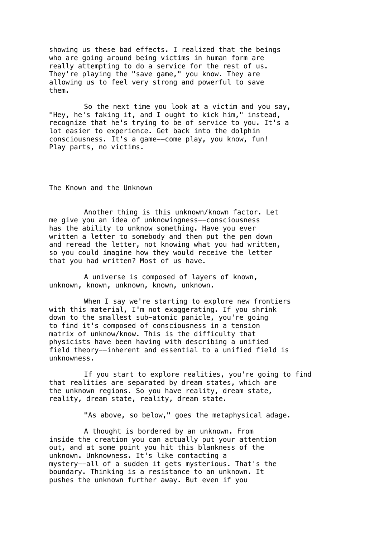showing us these bad effects. I realized that the beings who are going around being victims in human form are really attempting to do a service for the rest of us. They're playing the "save game," you know. They are allowing us to feel very strong and powerful to save them.

So the next time you look at a victim and you say, "Hey, he's faking it, and I ought to kick him," instead, recognize that he's trying to be of service to you. It's a lot easier to experience. Get back into the dolphin consciousness. It's a game--come play, you know, fun! Play parts, no victims.

The Known and the Unknown

Another thing is this unknown/known factor. Let me give you an idea of unknowingness--consciousness has the ability to unknow something. Have you ever written a letter to somebody and then put the pen down and reread the letter, not knowing what you had written, so you could imagine how they would receive the letter that you had written? Most of us have.

A universe is composed of layers of known, unknown, known, unknown, known, unknown.

When I say we're starting to explore new frontiers with this material, I'm not exaggerating. If you shrink down to the smallest sub-atomic panicle, you're going to find it's composed of consciousness in a tension matrix of unknow/know. This is the difficulty that physicists have been having with describing a unified field theory--inherent and essential to a unified field is unknowness.

If you start to explore realities, you're going to find that realities are separated by dream states, which are the unknown regions. So you have reality, dream state, reality, dream state, reality, dream state.

"As above, so below," goes the metaphysical adage.

A thought is bordered by an unknown. From inside the creation you can actually put your attention out, and at some point you hit this blankness of the unknown. Unknowness. It's like contacting a mystery--all of a sudden it gets mysterious. That's the boundary. Thinking is a resistance to an unknown. It pushes the unknown further away. But even if you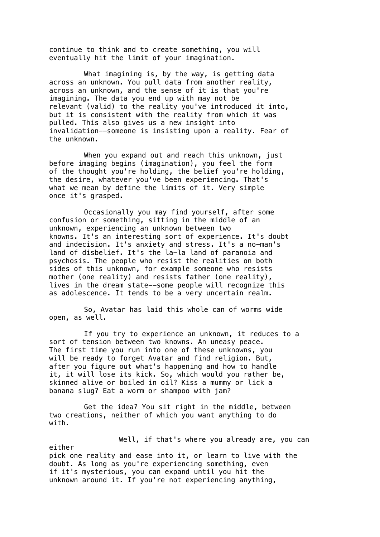continue to think and to create something, you will eventually hit the limit of your imagination.

What imagining is, by the way, is getting data across an unknown. You pull data from another reality, across an unknown, and the sense of it is that you're imagining. The data you end up with may not be relevant (valid) to the reality you've introduced it into, but it is consistent with the reality from which it was pulled. This also gives us a new insight into invalidation--someone is insisting upon a reality. Fear of the unknown.

When you expand out and reach this unknown, just before imaging begins (imagination), you feel the form of the thought you're holding, the belief you're holding, the desire, whatever you've been experiencing. That's what we mean by define the limits of it. Very simple once it's grasped.

Occasionally you may find yourself, after some confusion or something, sitting in the middle of an unknown, experiencing an unknown between two knowns. It's an interesting sort of experience. It's doubt and indecision. It's anxiety and stress. It's a no-man's land of disbelief. It's the la-la land of paranoia and psychosis. The people who resist the realities on both sides of this unknown, for example someone who resists mother (one reality) and resists father (one reality), lives in the dream state--some people will recognize this as adolescence. It tends to be a very uncertain realm.

So, Avatar has laid this whole can of worms wide open, as well.

If you try to experience an unknown, it reduces to a sort of tension between two knowns. An uneasy peace. The first time you run into one of these unknowns, you will be ready to forget Avatar and find religion. But, after you figure out what's happening and how to handle it, it will lose its kick. So, which would you rather be, skinned alive or boiled in oil? Kiss a mummy or lick a banana slug? Eat a worm or shampoo with jam?

Get the idea? You sit right in the middle, between two creations, neither of which you want anything to do with.

Well, if that's where you already are, you can either pick one reality and ease into it, or learn to live with the doubt. As long as you're experiencing something, even if it's mysterious, you can expand until you hit the unknown around it. If you're not experiencing anything,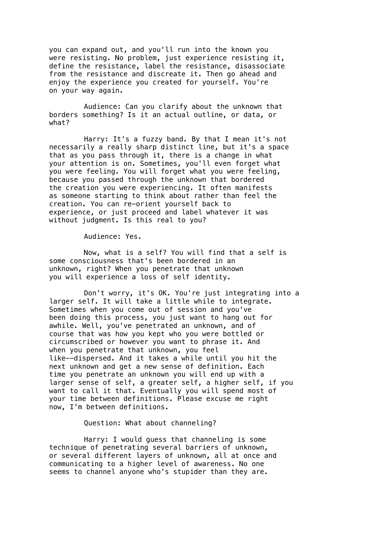you can expand out, and you'll run into the known you were resisting. No problem, just experience resisting it, define the resistance, label the resistance, disassociate from the resistance and discreate it. Then go ahead and enjoy the experience you created for yourself. You're on your way again.

Audience: Can you clarify about the unknown that borders something? Is it an actual outline, or data, or what?

Harry: It's a fuzzy band. By that I mean it's not necessarily a really sharp distinct line, but it's a space that as you pass through it, there is a change in what your attention is on. Sometimes, you'll even forget what you were feeling. You will forget what you were feeling, because you passed through the unknown that bordered the creation you were experiencing. It often manifests as someone starting to think about rather than feel the creation. You can re-orient yourself back to experience, or just proceed and label whatever it was without judgment. Is this real to you?

Audience: Yes.

Now, what is a self? You will find that a self is some consciousness that's been bordered in an unknown, right? When you penetrate that unknown you will experience a loss of self identity.

Don't worry, it's OK. You're just integrating into a larger self. It will take a little while to integrate. Sometimes when you come out of session and you've been doing this process, you just want to hang out for awhile. Well, you've penetrated an unknown, and of course that was how you kept who you were bottled or circumscribed or however you want to phrase it. And when you penetrate that unknown, you feel like--dispersed. And it takes a while until you hit the next unknown and get a new sense of definition. Each time you penetrate an unknown you will end up with a larger sense of self, a greater self, a higher self, if you want to call it that. Eventually you will spend most of your time between definitions. Please excuse me right now, I'm between definitions.

Question: What about channeling?

Harry: I would guess that channeling is some technique of penetrating several barriers of unknown, or several different layers of unknown, all at once and communicating to a higher level of awareness. No one seems to channel anyone who's stupider than they are.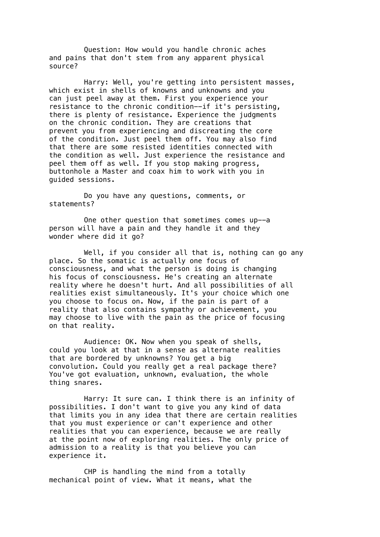Question: How would you handle chronic aches and pains that don't stem from any apparent physical source?

Harry: Well, you're getting into persistent masses, which exist in shells of knowns and unknowns and you can just peel away at them. First you experience your resistance to the chronic condition--if it's persisting, there is plenty of resistance. Experience the judgments on the chronic condition. They are creations that prevent you from experiencing and discreating the core of the condition. Just peel them off. You may also find that there are some resisted identities connected with the condition as well. Just experience the resistance and peel them off as well. If you stop making progress, buttonhole a Master and coax him to work with you in guided sessions.

Do you have any questions, comments, or statements?

One other question that sometimes comes up--a person will have a pain and they handle it and they wonder where did it go?

Well, if you consider all that is, nothing can go any place. So the somatic is actually one focus of consciousness, and what the person is doing is changing his focus of consciousness. He's creating an alternate reality where he doesn't hurt. And all possibilities of all realities exist simultaneously. It's your choice which one you choose to focus on. Now, if the pain is part of a reality that also contains sympathy or achievement, you may choose to live with the pain as the price of focusing on that reality.

Audience: OK. Now when you speak of shells, could you look at that in a sense as alternate realities that are bordered by unknowns? You get a big convolution. Could you really get a real package there? You've got evaluation, unknown, evaluation, the whole thing snares.

Harry: It sure can. I think there is an infinity of possibilities. I don't want to give you any kind of data that limits you in any idea that there are certain realities that you must experience or can't experience and other realities that you can experience, because we are really at the point now of exploring realities. The only price of admission to a reality is that you believe you can experience it.

CHP is handling the mind from a totally mechanical point of view. What it means, what the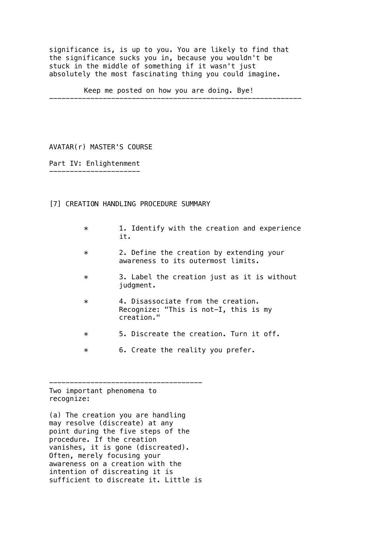significance is, is up to you. You are likely to find that the significance sucks you in, because you wouldn't be stuck in the middle of something if it wasn't just absolutely the most fascinating thing you could imagine.

Keep me posted on how you are doing. Bye!

-------------------------------------------------------------

AVATAR(r) MASTER'S COURSE

Part IV: Enlightenment ----------------------

# [7] CREATION HANDLING PROCEDURE SUMMARY

- \* 1. Identify with the creation and experience it.
- \* 2. Define the creation by extending your awareness to its outermost limits.
- \* 3. Label the creation just as it is without judgment.
- \* 4. Disassociate from the creation. Recognize: "This is not-I, this is my creation."
- \* 5. Discreate the creation. Turn it off.
- \* 6. Create the reality you prefer.

Two important phenomena to recognize:

(a) The creation you are handling may resolve (discreate) at any point during the five steps of the procedure. If the creation vanishes, it is gone (discreated). Often, merely focusing your awareness on a creation with the intention of discreating it is sufficient to discreate it. Little is

-------------------------------------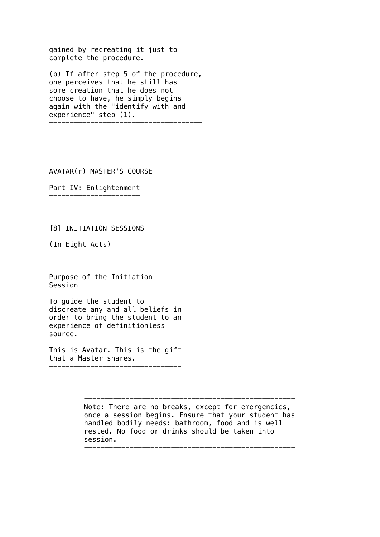gained by recreating it just to complete the procedure.

(b) If after step 5 of the procedure, one perceives that he still has some creation that he does not choose to have, he simply begins again with the "identify with and experience" step (1). -------------------------------------

AVATAR(r) MASTER'S COURSE

Part IV: Enlightenment ----------------------

[8] INITIATION SESSIONS

(In Eight Acts)

Purpose of the Initiation Session

To guide the student to discreate any and all beliefs in order to bring the student to an experience of definitionless source.

--------------------------------

This is Avatar. This is the gift that a Master shares.

--------------------------------

--------------------------------------------------- Note: There are no breaks, except for emergencies, once a session begins. Ensure that your student has handled bodily needs: bathroom, food and is well rested. No food or drinks should be taken into session.

---------------------------------------------------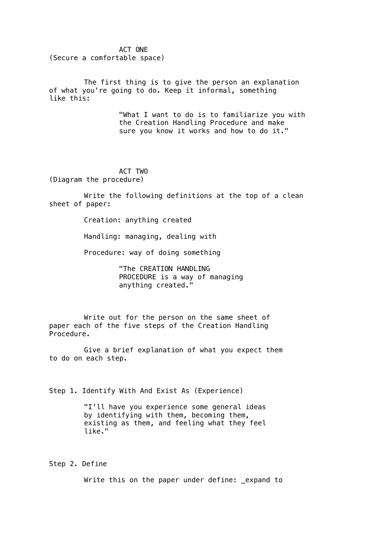ACT ONE

(Secure a comfortable space)

The first thing is to give the person an explanation of what you're going to do. Keep it informal, something like this:

> "What I want to do is to familiarize you with the Creation Handling Procedure and make sure you know it works and how to do it."

ACT TWO (Diagram the procedure)

Write the following definitions at the top of a clean sheet of paper:

Creation: anything created

Handling: managing, dealing with

Procedure: way of doing something

"The CREATION HANDLING PROCEDURE is a way of managing anything created."

Write out for the person on the same sheet of paper each of the five steps of the Creation Handling Procedure.

Give a brief explanation of what you expect them to do on each step.

Step 1. Identify With And Exist As (Experience)

"I'll have you experience some general ideas by identifying with them, becoming them, existing as them, and feeling what they feel like."

Step 2. Define

Write this on the paper under define: \_expand to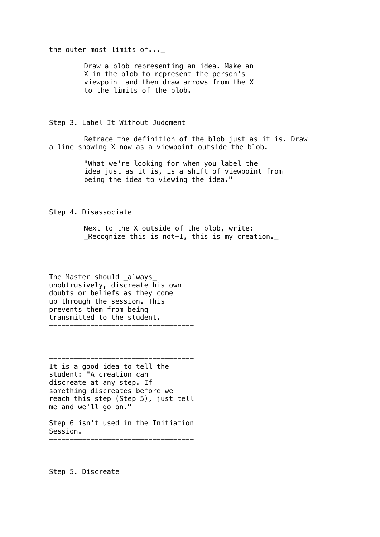the outer most limits of...\_

Draw a blob representing an idea. Make an X in the blob to represent the person's viewpoint and then draw arrows from the X to the limits of the blob.

Step 3. Label It Without Judgment

Retrace the definition of the blob just as it is. Draw a line showing X now as a viewpoint outside the blob.

> "What we're looking for when you label the idea just as it is, is a shift of viewpoint from being the idea to viewing the idea."

Step 4. Disassociate

Next to the X outside of the blob, write: \_Recognize this is not-I, this is my creation.\_

----------------------------------- The Master should always unobtrusively, discreate his own doubts or beliefs as they come up through the session. This prevents them from being transmitted to the student. -----------------------------------

It is a good idea to tell the student: "A creation can discreate at any step. If something discreates before we reach this step (Step 5), just tell me and we'll go on."

-----------------------------------

Step 6 isn't used in the Initiation Session. -----------------------------------

Step 5. Discreate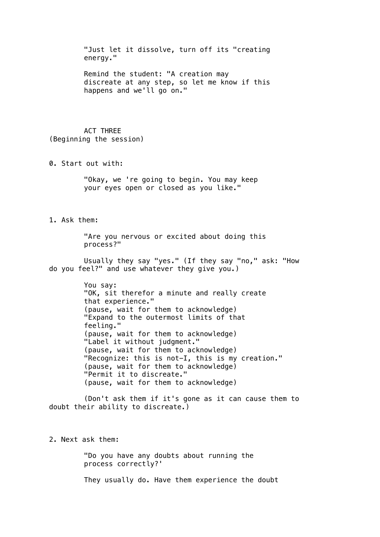"Just let it dissolve, turn off its "creating energy." Remind the student: "A creation may discreate at any step, so let me know if this happens and we'll go on." ACT THREE (Beginning the session) 0. Start out with: "Okay, we 're going to begin. You may keep your eyes open or closed as you like." 1. Ask them: "Are you nervous or excited about doing this process?" Usually they say "yes." (If they say "no," ask: "How do you feel?" and use whatever they give you.) You say: "OK, sit therefor a minute and really create that experience." (pause, wait for them to acknowledge) "Expand to the outermost limits of that feeling." (pause, wait for them to acknowledge) "Label it without judgment." (pause, wait for them to acknowledge) "Recognize: this is not-I, this is my creation." (pause, wait for them to acknowledge) "Permit it to discreate." (pause, wait for them to acknowledge) (Don't ask them if it's gone as it can cause them to doubt their ability to discreate.) 2. Next ask them: "Do you have any doubts about running the process correctly?'

They usually do. Have them experience the doubt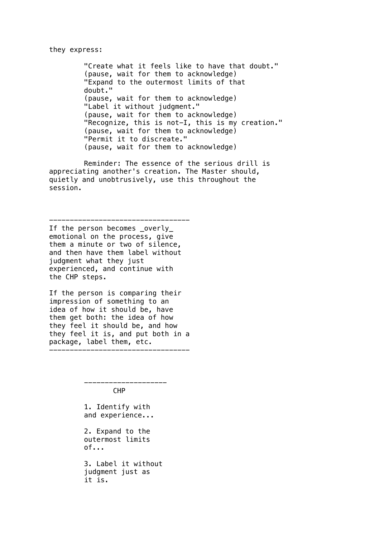#### they express:

"Create what it feels like to have that doubt." (pause, wait for them to acknowledge) "Expand to the outermost limits of that doubt." (pause, wait for them to acknowledge) "Label it without judgment." (pause, wait for them to acknowledge) "Recognize, this is not-I, this is my creation." (pause, wait for them to acknowledge) "Permit it to discreate." (pause, wait for them to acknowledge)

Reminder: The essence of the serious drill is appreciating another's creation. The Master should, quietly and unobtrusively, use this throughout the session.

If the person becomes \_overly\_ emotional on the process, give them a minute or two of silence, and then have them label without judgment what they just experienced, and continue with the CHP steps.

----------------------------------

If the person is comparing their impression of something to an idea of how it should be, have them get both: the idea of how they feel it should be, and how they feel it is, and put both in a package, label them, etc. ----------------------------------

CHP

--------------------

1. Identify with and experience...

2. Expand to the outermost limits of...

3. Label it without judgment just as it is.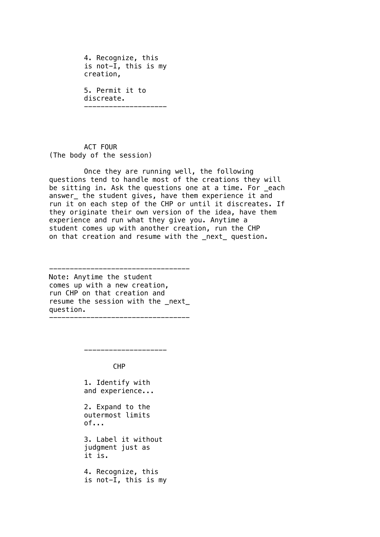4. Recognize, this is not-I, this is my creation, 5. Permit it to discreate. --------------------

ACT FOUR (The body of the session)

Once they are running well, the following questions tend to handle most of the creations they will be sitting in. Ask the questions one at a time. For \_each answer\_ the student gives, have them experience it and run it on each step of the CHP or until it discreates. If they originate their own version of the idea, have them experience and run what they give you. Anytime a student comes up with another creation, run the CHP on that creation and resume with the \_next\_ question.

---------------------------------- Note: Anytime the student comes up with a new creation, run CHP on that creation and resume the session with the \_next\_ question.

----------------------------------

--------------------

CHP

1. Identify with and experience...

2. Expand to the outermost limits of...

3. Label it without judgment just as it is.

4. Recognize, this is not-I, this is my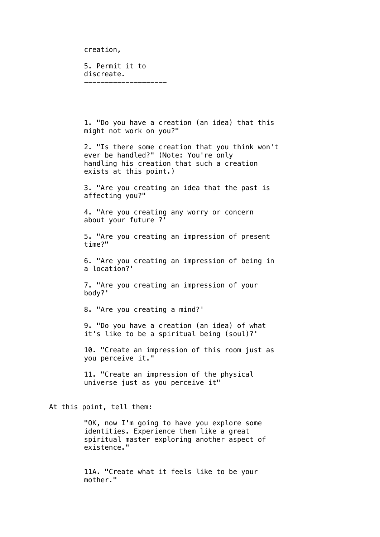creation,

5. Permit it to discreate. --------------------

1. "Do you have a creation (an idea) that this might not work on you?"

2. "Is there some creation that you think won't ever be handled?" (Note: You're only handling his creation that such a creation exists at this point.)

3. "Are you creating an idea that the past is affecting you?"

4. "Are you creating any worry or concern about your future ?'

5. "Are you creating an impression of present time?"

6. "Are you creating an impression of being in a location?'

7. "Are you creating an impression of your body?'

8. "Are you creating a mind?'

9. "Do you have a creation (an idea) of what it's like to be a spiritual being (soul)?'

10. "Create an impression of this room just as you perceive it."

11. "Create an impression of the physical universe just as you perceive it"

At this point, tell them:

"OK, now I'm going to have you explore some identities. Experience them like a great spiritual master exploring another aspect of existence."

11A. "Create what it feels like to be your mother."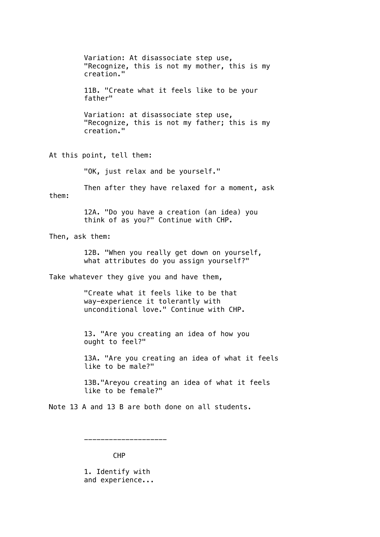Variation: At disassociate step use, "Recognize, this is not my mother, this is my creation." 11B. "Create what it feels like to be your father" Variation: at disassociate step use, "Recognize, this is not my father; this is my creation."

At this point, tell them:

"OK, just relax and be yourself."

Then after they have relaxed for a moment, ask them:

> 12A. "Do you have a creation (an idea) you think of as you?" Continue with CHP.

Then, ask them:

12B. "When you really get down on yourself, what attributes do you assign yourself?"

Take whatever they give you and have them,

"Create what it feels like to be that way-experience it tolerantly with unconditional love." Continue with CHP.

13. "Are you creating an idea of how you ought to feel?"

13A. "Are you creating an idea of what it feels like to be male?"

13B."Areyou creating an idea of what it feels like to be female?"

Note 13 A and 13 B are both done on all students.

--------------------

CHP

1. Identify with and experience...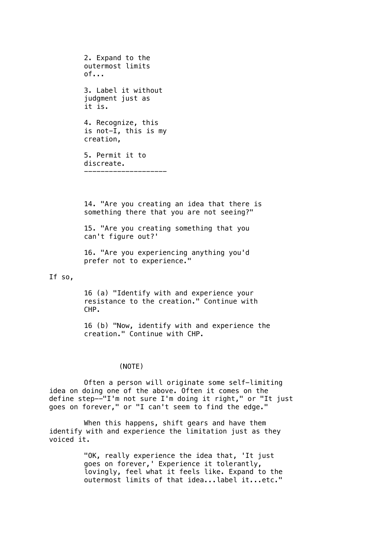2. Expand to the outermost limits of... 3. Label it without judgment just as it is. 4. Recognize, this is not-I, this is my creation, 5. Permit it to discreate. --------------------

14. "Are you creating an idea that there is something there that you are not seeing?"

15. "Are you creating something that you can't figure out?'

16. "Are you experiencing anything you'd prefer not to experience."

## If so,

16 (a) "Identify with and experience your resistance to the creation." Continue with CHP.

16 (b) "Now, identify with and experience the creation." Continue with CHP.

## (NOTE)

Often a person will originate some self-limiting idea on doing one of the above. Often it comes on the define step--"I'm not sure I'm doing it right," or "It just goes on forever," or "I can't seem to find the edge."

When this happens, shift gears and have them identify with and experience the limitation just as they voiced it.

> "OK, really experience the idea that, 'It just goes on forever,' Experience it tolerantly, lovingly, feel what it feels like. Expand to the outermost limits of that idea...label it...etc."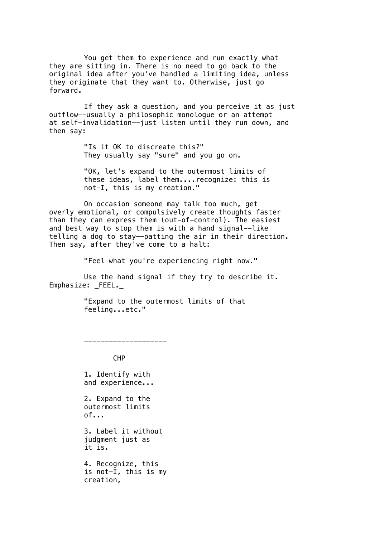You get them to experience and run exactly what they are sitting in. There is no need to go back to the original idea after you've handled a limiting idea, unless they originate that they want to. Otherwise, just go forward.

If they ask a question, and you perceive it as just outflow--usually a philosophic monologue or an attempt at self-invalidation--just listen until they run down, and then say:

> "Is it OK to discreate this?" They usually say "sure" and you go on.

"OK, let's expand to the outermost limits of these ideas, label them....recognize: this is not-I, this is my creation."

On occasion someone may talk too much, get overly emotional, or compulsively create thoughts faster than they can express them (out-of-control). The easiest and best way to stop them is with a hand signal--like telling a dog to stay--patting the air in their direction. Then say, after they've come to a halt:

"Feel what you're experiencing right now."

Use the hand signal if they try to describe it. Emphasize: \_FEEL.\_

> "Expand to the outermost limits of that feeling...etc."

> > CHP

--------------------

1. Identify with and experience...

2. Expand to the outermost limits of...

3. Label it without judgment just as it is.

4. Recognize, this is not-I, this is my creation,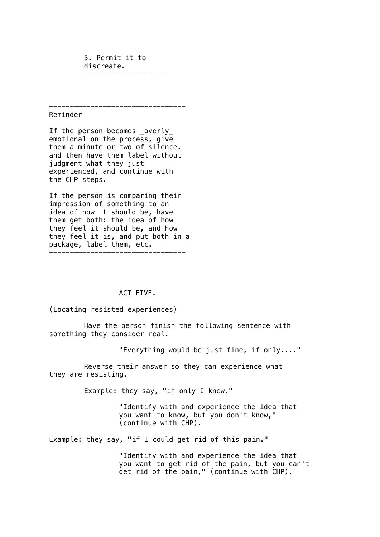5. Permit it to discreate. --------------------

---------------------------------

Reminder

If the person becomes \_overly\_ emotional on the process, give them a minute or two of silence. and then have them label without judgment what they just experienced, and continue with the CHP steps.

If the person is comparing their impression of something to an idea of how it should be, have them get both: the idea of how they feel it should be, and how they feel it is, and put both in a package, label them, etc. ---------------------------------

## ACT FIVE.

(Locating resisted experiences)

Have the person finish the following sentence with something they consider real.

"Everything would be just fine, if only...."

Reverse their answer so they can experience what they are resisting.

Example: they say, "if only I knew."

"Identify with and experience the idea that you want to know, but you don't know," (continue with CHP).

Example: they say, "if I could get rid of this pain."

"Identify with and experience the idea that you want to get rid of the pain, but you can't get rid of the pain," (continue with CHP).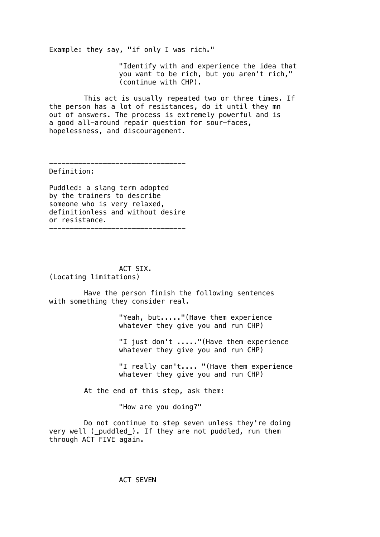Example: they say, "if only I was rich."

"Identify with and experience the idea that you want to be rich, but you aren't rich," (continue with CHP).

This act is usually repeated two or three times. If the person has a lot of resistances, do it until they mn out of answers. The process is extremely powerful and is a good all-around repair question for sour-faces, hopelessness, and discouragement.

---------------------------------

Definition:

Puddled: a slang term adopted by the trainers to describe someone who is very relaxed, definitionless and without desire or resistance. ---------------------------------

ACT SIX. (Locating limitations)

Have the person finish the following sentences with something they consider real.

> "Yeah, but....."(Have them experience whatever they give you and run CHP)

"I just don't ....."(Have them experience whatever they give you and run CHP)

"I really can't.... "(Have them experience whatever they give you and run CHP)

At the end of this step, ask them:

"How are you doing?"

Do not continue to step seven unless they're doing very well ( puddled ). If they are not puddled, run them through ACT FIVE again.

ACT SEVEN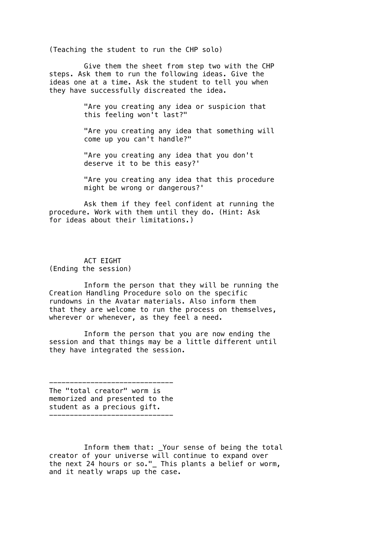(Teaching the student to run the CHP solo)

Give them the sheet from step two with the CHP steps. Ask them to run the following ideas. Give the ideas one at a time. Ask the student to tell you when they have successfully discreated the idea.

> "Are you creating any idea or suspicion that this feeling won't last?"

"Are you creating any idea that something will come up you can't handle?"

"Are you creating any idea that you don't deserve it to be this easy?'

"Are you creating any idea that this procedure might be wrong or dangerous?'

Ask them if they feel confident at running the procedure. Work with them until they do. (Hint: Ask for ideas about their limitations.)

## ACT EIGHT (Ending the session)

Inform the person that they will be running the Creation Handling Procedure solo on the specific rundowns in the Avatar materials. Also inform them that they are welcome to run the process on themselves, wherever or whenever, as they feel a need.

Inform the person that you are now ending the session and that things may be a little different until they have integrated the session.

------------------------------ The "total creator" worm is memorized and presented to the student as a precious gift. ------------------------------

Inform them that: \_Your sense of being the total creator of your universe will continue to expand over the next 24 hours or so."\_ This plants a belief or worm, and it neatly wraps up the case.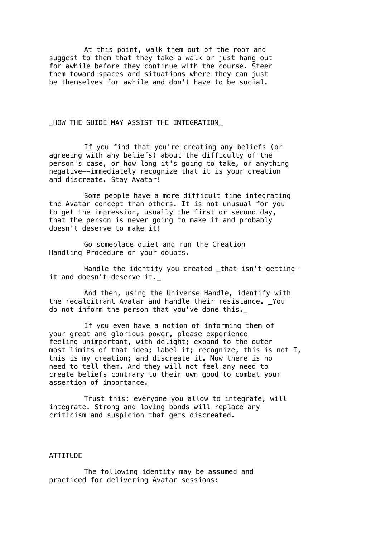At this point, walk them out of the room and suggest to them that they take a walk or just hang out for awhile before they continue with the course. Steer them toward spaces and situations where they can just be themselves for awhile and don't have to be social.

# \_HOW THE GUIDE MAY ASSIST THE INTEGRATION\_

If you find that you're creating any beliefs (or agreeing with any beliefs) about the difficulty of the person's case, or how long it's going to take, or anything negative--immediately recognize that it is your creation and discreate. Stay Avatar!

Some people have a more difficult time integrating the Avatar concept than others. It is not unusual for you to get the impression, usually the first or second day, that the person is never going to make it and probably doesn't deserve to make it!

Go someplace quiet and run the Creation Handling Procedure on your doubts.

Handle the identity you created that-isn't-gettingit-and-doesn't-deserve-it.\_

And then, using the Universe Handle, identify with the recalcitrant Avatar and handle their resistance. You do not inform the person that you've done this.\_

If you even have a notion of informing them of your great and glorious power, please experience feeling unimportant, with delight; expand to the outer most limits of that idea; label it; recognize, this is not-I, this is my creation; and discreate it. Now there is no need to tell them. And they will not feel any need to create beliefs contrary to their own good to combat your assertion of importance.

Trust this: everyone you allow to integrate, will integrate. Strong and loving bonds will replace any criticism and suspicion that gets discreated.

#### ATTITUDE

The following identity may be assumed and practiced for delivering Avatar sessions: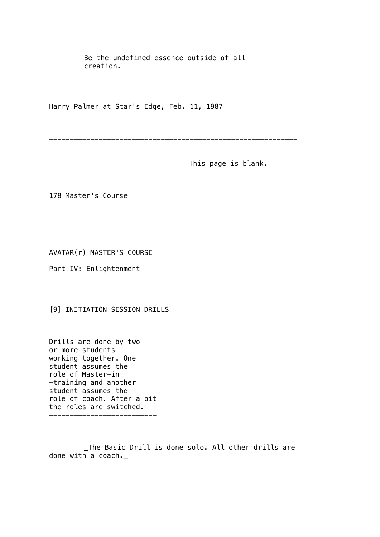Be the undefined essence outside of all creation.

------------------------------------------------------------

------------------------------------------------------------

Harry Palmer at Star's Edge, Feb. 11, 1987

This page is blank.

178 Master's Course

AVATAR(r) MASTER'S COURSE

Part IV: Enlightenment ----------------------

[9] INITIATION SESSION DRILLS

--------------------------

Drills are done by two or more students working together. One student assumes the role of Master-in -training and another student assumes the role of coach. After a bit the roles are switched. --------------------------

\_The Basic Drill is done solo. All other drills are done with a coach.\_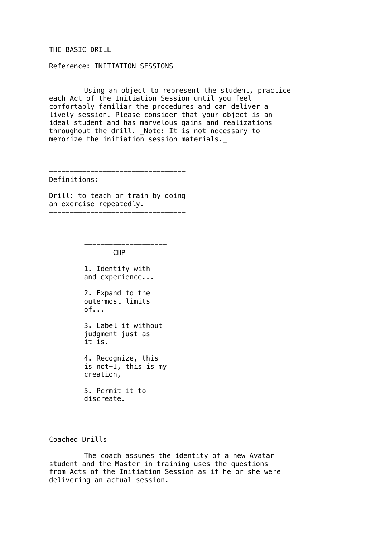## THE BASIC DRILL

Reference: INITIATION SESSIONS

Using an object to represent the student, practice each Act of the Initiation Session until you feel comfortably familiar the procedures and can deliver a lively session. Please consider that your object is an ideal student and has marvelous gains and realizations throughout the drill. \_Note: It is not necessary to memorize the initiation session materials.\_

---------------------------------

Definitions:

Drill: to teach or train by doing an exercise repeatedly. ---------------------------------

CHP

--------------------

1. Identify with and experience...

2. Expand to the outermost limits  $of...$ 

3. Label it without judgment just as it is.

4. Recognize, this is not-I, this is my creation,

5. Permit it to discreate. --------------------

Coached Drills

The coach assumes the identity of a new Avatar student and the Master-in-training uses the questions from Acts of the Initiation Session as if he or she were delivering an actual session.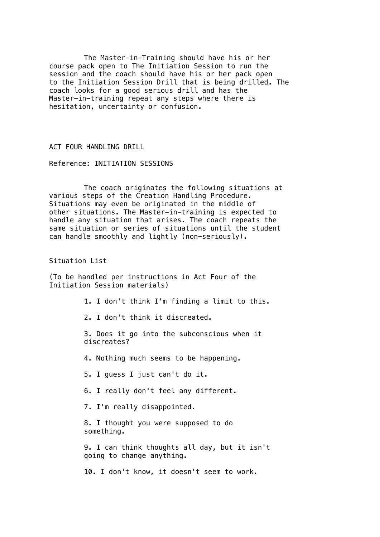The Master-in-Training should have his or her course pack open to The Initiation Session to run the session and the coach should have his or her pack open to the Initiation Session Drill that is being drilled. The coach looks for a good serious drill and has the Master-in-training repeat any steps where there is hesitation, uncertainty or confusion.

ACT FOUR HANDLING DRILL

Reference: INITIATION SESSIONS

The coach originates the following situations at various steps of the Creation Handling Procedure. Situations may even be originated in the middle of other situations. The Master-in-training is expected to handle any situation that arises. The coach repeats the same situation or series of situations until the student can handle smoothly and lightly (non-seriously).

Situation List

(To be handled per instructions in Act Four of the Initiation Session materials)

1. I don't think I'm finding a limit to this.

2. I don't think it discreated.

3. Does it go into the subconscious when it discreates?

4. Nothing much seems to be happening.

5. I guess I just can't do it.

6. I really don't feel any different.

7. I'm really disappointed.

8. I thought you were supposed to do something.

9. I can think thoughts all day, but it isn't going to change anything.

10. I don't know, it doesn't seem to work.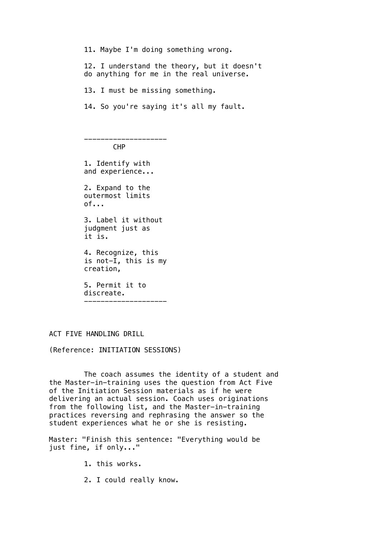11. Maybe I'm doing something wrong.

12. I understand the theory, but it doesn't do anything for me in the real universe.

13. I must be missing something.

14. So you're saying it's all my fault.

-------------------- CHP

1. Identify with and experience... 2. Expand to the outermost limits  $of...$ 3. Label it without judgment just as it is. 4. Recognize, this is not-I, this is my creation, 5. Permit it to discreate. --------------------

# ACT FIVE HANDLING DRILL

(Reference: INITIATION SESSIONS)

The coach assumes the identity of a student and the Master-in-training uses the question from Act Five of the Initiation Session materials as if he were delivering an actual session. Coach uses originations from the following list, and the Master-in-training practices reversing and rephrasing the answer so the student experiences what he or she is resisting.

Master: "Finish this sentence: "Everything would be just fine, if only..."

- 1. this works.
- 2. I could really know.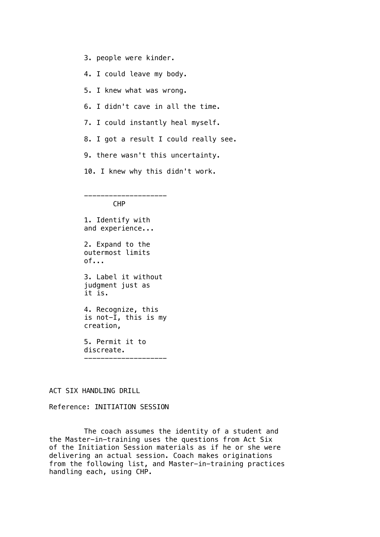- 3. people were kinder.
- 4. I could leave my body.
- 5. I knew what was wrong.
- 6. I didn't cave in all the time.
- 7. I could instantly heal myself.
- 8. I got a result I could really see.
- 9. there wasn't this uncertainty.
- 10. I knew why this didn't work.

--------------------

CHP

1. Identify with and experience...

2. Expand to the outermost limits  $of...$ 

3. Label it without judgment just as it is.

4. Recognize, this is not-I, this is my creation,

5. Permit it to discreate. --------------------

ACT SIX HANDLING DRILL

## Reference: INITIATION SESSION

The coach assumes the identity of a student and the Master-in-training uses the questions from Act Six of the Initiation Session materials as if he or she were delivering an actual session. Coach makes originations from the following list, and Master-in-training practices handling each, using CHP.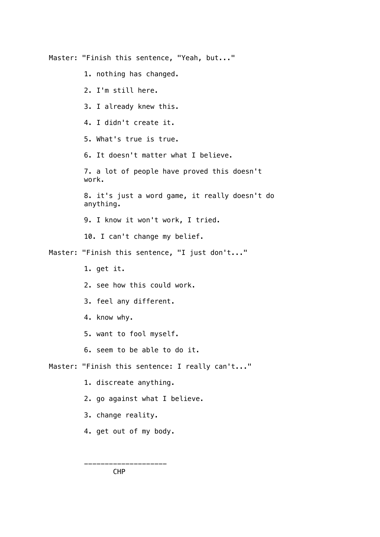Master: "Finish this sentence, "Yeah, but..." 1. nothing has changed. 2. I'm still here. 3. I already knew this. 4. I didn't create it. 5. What's true is true. 6. It doesn't matter what I believe. 7. a lot of people have proved this doesn't work. 8. it's just a word game, it really doesn't do anything. 9. I know it won't work, I tried. 10. I can't change my belief. Master: "Finish this sentence, "I just don't..." 1. get it. 2. see how this could work. 3. feel any different. 4. know why. 5. want to fool myself. 6. seem to be able to do it. Master: "Finish this sentence: I really can't..." 1. discreate anything. 2. go against what I believe. 3. change reality. 4. get out of my body.

CHP

--------------------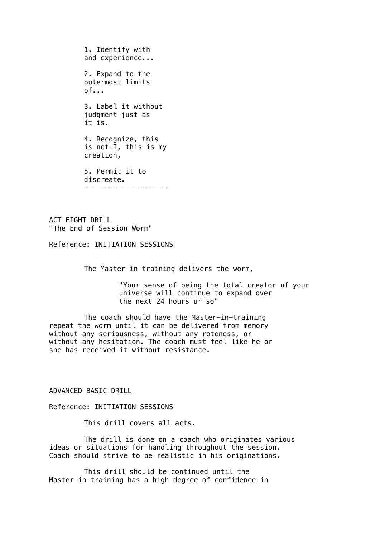1. Identify with and experience... 2. Expand to the outermost limits  $of...$ 3. Label it without judgment just as it is. 4. Recognize, this is not-I, this is my creation, 5. Permit it to discreate. --------------------

ACT EIGHT DRILL "The End of Session Worm"

Reference: INITIATION SESSIONS

The Master-in training delivers the worm,

"Your sense of being the total creator of your universe will continue to expand over the next 24 hours ur so"

The coach should have the Master-in-training repeat the worm until it can be delivered from memory without any seriousness, without any roteness, or without any hesitation. The coach must feel like he or she has received it without resistance.

#### ADVANCED BASIC DRILL

Reference: INITIATION SESSIONS

This drill covers all acts.

The drill is done on a coach who originates various ideas or situations for handling throughout the session. Coach should strive to be realistic in his originations.

This drill should be continued until the Master-in-training has a high degree of confidence in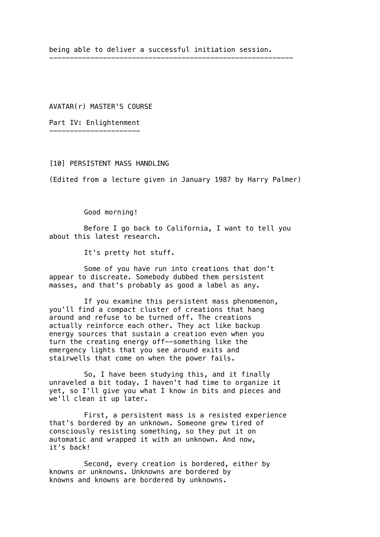being able to deliver a successful initiation session.

-----------------------------------------------------------

AVATAR(r) MASTER'S COURSE

Part IV: Enlightenment ----------------------

[10] PERSISTENT MASS HANDLING

(Edited from a lecture given in January 1987 by Harry Palmer)

Good morning!

Before I go back to California, I want to tell you about this latest research.

It's pretty hot stuff.

Some of you have run into creations that don't appear to discreate. Somebody dubbed them persistent masses, and that's probably as good a label as any.

If you examine this persistent mass phenomenon, you'll find a compact cluster of creations that hang around and refuse to be turned off. The creations actually reinforce each other. They act like backup energy sources that sustain a creation even when you turn the creating energy off--something like the emergency lights that you see around exits and stairwells that come on when the power fails.

So, I have been studying this, and it finally unraveled a bit today. I haven't had time to organize it yet, so I'll give you what I know in bits and pieces and we'll clean it up later.

First, a persistent mass is a resisted experience that's bordered by an unknown. Someone grew tired of consciously resisting something, so they put it on automatic and wrapped it with an unknown. And now, it's back!

Second, every creation is bordered, either by knowns or unknowns. Unknowns are bordered by knowns and knowns are bordered by unknowns.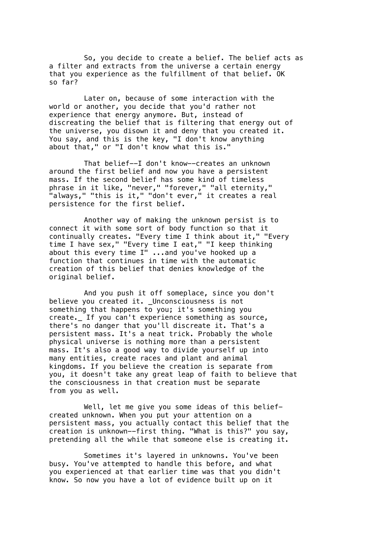So, you decide to create a belief. The belief acts as a filter and extracts from the universe a certain energy that you experience as the fulfillment of that belief. OK so far?

Later on, because of some interaction with the world or another, you decide that you'd rather not experience that energy anymore. But, instead of discreating the belief that is filtering that energy out of the universe, you disown it and deny that you created it. You say, and this is the key, "I don't know anything about that," or "I don't know what this is."

That belief--I don't know--creates an unknown around the first belief and now you have a persistent mass. If the second belief has some kind of timeless phrase in it like, "never," "forever," "all eternity," "always," "this is it," "don't ever," it creates a real persistence for the first belief.

Another way of making the unknown persist is to connect it with some sort of body function so that it continually creates. "Every time I think about it," "Every time I have sex," "Every time I eat," "I keep thinking about this every time I" ...and you've hooked up a function that continues in time with the automatic creation of this belief that denies knowledge of the original belief.

And you push it off someplace, since you don't believe you created it. Unconsciousness is not something that happens to you; it's something you create.\_ If you can't experience something as source, there's no danger that you'll discreate it. That's a persistent mass. It's a neat trick. Probably the whole physical universe is nothing more than a persistent mass. It's also a good way to divide yourself up into many entities, create races and plant and animal kingdoms. If you believe the creation is separate from you, it doesn't take any great leap of faith to believe that the consciousness in that creation must be separate from you as well.

Well, let me give you some ideas of this beliefcreated unknown. When you put your attention on a persistent mass, you actually contact this belief that the creation is unknown--first thing. "What is this?" you say, pretending all the while that someone else is creating it.

Sometimes it's layered in unknowns. You've been busy. You've attempted to handle this before, and what you experienced at that earlier time was that you didn't know. So now you have a lot of evidence built up on it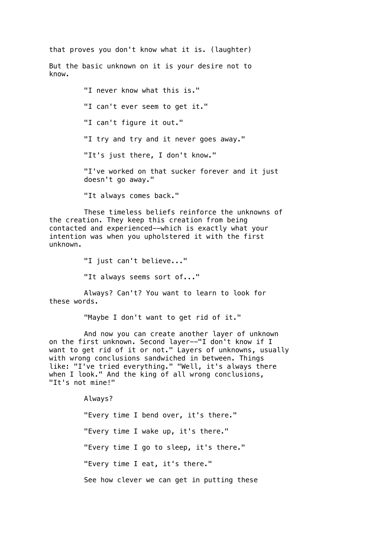that proves you don't know what it is. (laughter)

But the basic unknown on it is your desire not to know.

> "I never know what this is." "I can't ever seem to get it." "I can't figure it out." "I try and try and it never goes away." "It's just there, I don't know." "I've worked on that sucker forever and it just doesn't go away." "It always comes back."

These timeless beliefs reinforce the unknowns of the creation. They keep this creation from being contacted and experienced--which is exactly what your intention was when you upholstered it with the first unknown.

"I just can't believe..."

"It always seems sort of..."

Always? Can't? You want to learn to look for these words.

"Maybe I don't want to get rid of it."

And now you can create another layer of unknown on the first unknown. Second layer--"I don't know if I want to get rid of it or not." Layers of unknowns, usually with wrong conclusions sandwiched in between. Things like: "I've tried everything." "Well, it's always there when I look." And the king of all wrong conclusions, "It's not mine!"

Always?

"Every time I bend over, it's there." "Every time I wake up, it's there." "Every time I go to sleep, it's there." "Every time I eat, it's there." See how clever we can get in putting these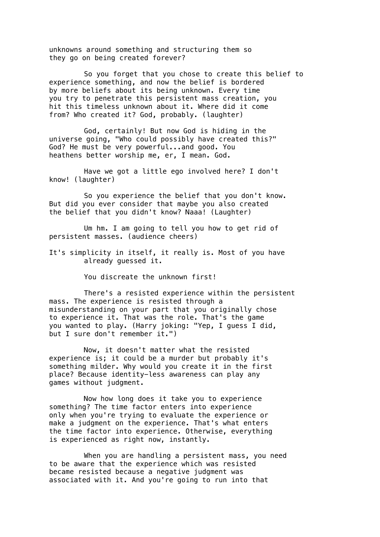unknowns around something and structuring them so they go on being created forever?

So you forget that you chose to create this belief to experience something, and now the belief is bordered by more beliefs about its being unknown. Every time you try to penetrate this persistent mass creation, you hit this timeless unknown about it. Where did it come from? Who created it? God, probably. (laughter)

God, certainly! But now God is hiding in the universe going, "Who could possibly have created this?" God? He must be very powerful...and good. You heathens better worship me, er, I mean. God.

Have we got a little ego involved here? I don't know! (laughter)

So you experience the belief that you don't know. But did you ever consider that maybe you also created the belief that you didn't know? Naaa! (Laughter)

Um hm. I am going to tell you how to get rid of persistent masses. (audience cheers)

It's simplicity in itself, it really is. Most of you have already guessed it.

You discreate the unknown first!

There's a resisted experience within the persistent mass. The experience is resisted through a misunderstanding on your part that you originally chose to experience it. That was the role. That's the game you wanted to play. (Harry joking: "Yep, I guess I did, but I sure don't remember it.")

Now, it doesn't matter what the resisted experience is; it could be a murder but probably it's something milder. Why would you create it in the first place? Because identity-less awareness can play any games without judgment.

Now how long does it take you to experience something? The time factor enters into experience only when you're trying to evaluate the experience or make a judgment on the experience. That's what enters the time factor into experience. Otherwise, everything is experienced as right now, instantly.

When you are handling a persistent mass, you need to be aware that the experience which was resisted became resisted because a negative judgment was associated with it. And you're going to run into that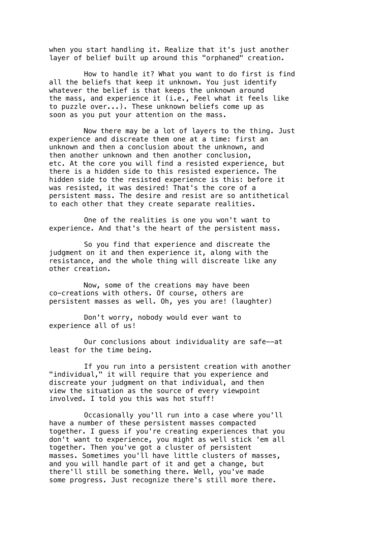when you start handling it. Realize that it's just another layer of belief built up around this "orphaned" creation.

How to handle it? What you want to do first is find all the beliefs that keep it unknown. You just identify whatever the belief is that keeps the unknown around the mass, and experience it (i.e., Feel what it feels like to puzzle over...). These unknown beliefs come up as soon as you put your attention on the mass.

Now there may be a lot of layers to the thing. Just experience and discreate them one at a time: first an unknown and then a conclusion about the unknown, and then another unknown and then another conclusion, etc. At the core you will find a resisted experience, but there is a hidden side to this resisted experience. The hidden side to the resisted experience is this: before it was resisted, it was desired! That's the core of a persistent mass. The desire and resist are so antithetical to each other that they create separate realities.

One of the realities is one you won't want to experience. And that's the heart of the persistent mass.

So you find that experience and discreate the judgment on it and then experience it, along with the resistance, and the whole thing will discreate like any other creation.

Now, some of the creations may have been co-creations with others. Of course, others are persistent masses as well. Oh, yes you are! (laughter)

Don't worry, nobody would ever want to experience all of us!

Our conclusions about individuality are safe--at least for the time being.

If you run into a persistent creation with another "individual," it will require that you experience and discreate your judgment on that individual, and then view the situation as the source of every viewpoint involved. I told you this was hot stuff!

Occasionally you'll run into a case where you'll have a number of these persistent masses compacted together. I guess if you're creating experiences that you don't want to experience, you might as well stick 'em all together. Then you've got a cluster of persistent masses. Sometimes you'll have little clusters of masses, and you will handle part of it and get a change, but there'll still be something there. Well, you've made some progress. Just recognize there's still more there.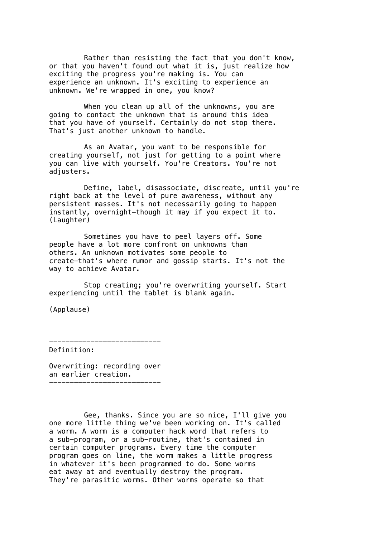Rather than resisting the fact that you don't know, or that you haven't found out what it is, just realize how exciting the progress you're making is. You can experience an unknown. It's exciting to experience an unknown. We're wrapped in one, you know?

When you clean up all of the unknowns, you are going to contact the unknown that is around this idea that you have of yourself. Certainly do not stop there. That's just another unknown to handle.

As an Avatar, you want to be responsible for creating yourself, not just for getting to a point where you can live with yourself. You're Creators. You're not adjusters.

Define, label, disassociate, discreate, until you're right back at the level of pure awareness, without any persistent masses. It's not necessarily going to happen instantly, overnight-though it may if you expect it to. (Laughter)

Sometimes you have to peel layers off. Some people have a lot more confront on unknowns than others. An unknown motivates some people to create-that's where rumor and gossip starts. It's not the way to achieve Avatar.

Stop creating; you're overwriting yourself. Start experiencing until the tablet is blank again.

(Applause)

--------------------------- Definition:

Overwriting: recording over an earlier creation. ---------------------------

Gee, thanks. Since you are so nice, I'll give you one more little thing we've been working on. It's called a worm. A worm is a computer hack word that refers to a sub-program, or a sub-routine, that's contained in certain computer programs. Every time the computer program goes on line, the worm makes a little progress in whatever it's been programmed to do. Some worms eat away at and eventually destroy the program. They're parasitic worms. Other worms operate so that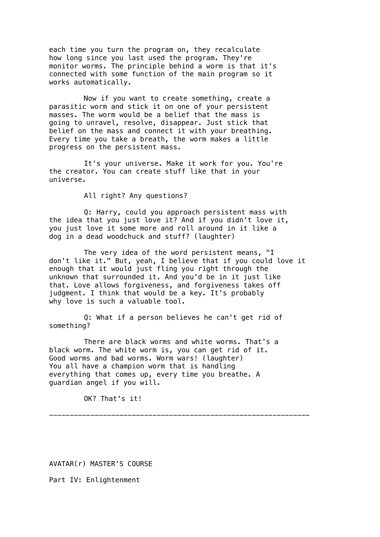each time you turn the program on, they recalculate how long since you last used the program. They're monitor worms. The principle behind a worm is that it's connected with some function of the main program so it works automatically.

Now if you want to create something, create a parasitic worm and stick it on one of your persistent masses. The worm would be a belief that the mass is going to unravel, resolve, disappear. Just stick that belief on the mass and connect it with your breathing. Every time you take a breath, the worm makes a little progress on the persistent mass.

It's your universe. Make it work for you. You're the creator. You can create stuff like that in your universe.

All right? Any questions?

Q: Harry, could you approach persistent mass with the idea that you just love it? And if you didn't love it, you just love it some more and roll around in it like a dog in a dead woodchuck and stuff? (laughter)

The very idea of the word persistent means, "I don't like it." But, yeah, I believe that if you could love it enough that it would just fling you right through the unknown that surrounded it. And you'd be in it just like that. Love allows forgiveness, and forgiveness takes off judgment. I think that would be a key. It's probably why love is such a valuable tool.

Q: What if a person believes he can't get rid of something?

There are black worms and white worms. That's a black worm. The white worm is, you can get rid of it. Good worms and bad worms. Worm wars! (laughter) You all have a champion worm that is handling everything that comes up, every time you breathe. A guardian angel if you will.

OK? That's it!

---------------------------------------------------------------

AVATAR(r) MASTER'S COURSE

Part IV: Enlightenment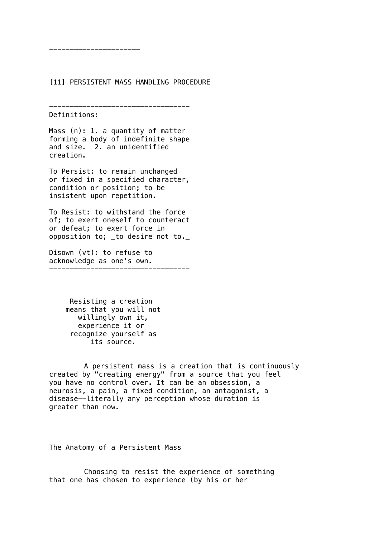# [11] PERSISTENT MASS HANDLING PROCEDURE

```
----------------------------------
```
Definitions:

----------------------

Mass (n): 1. a quantity of matter forming a body of indefinite shape and size. 2. an unidentified creation.

To Persist: to remain unchanged or fixed in a specified character, condition or position; to be insistent upon repetition.

To Resist: to withstand the force of; to exert oneself to counteract or defeat; to exert force in opposition to; \_to desire not to.\_

Disown (vt): to refuse to acknowledge as one's own.

----------------------------------

 Resisting a creation means that you will not willingly own it, experience it or recognize yourself as its source.

A persistent mass is a creation that is continuously created by "creating energy" from a source that you feel you have no control over. It can be an obsession, a neurosis, a pain, a fixed condition, an antagonist, a disease--literally any perception whose duration is greater than now.

The Anatomy of a Persistent Mass

Choosing to resist the experience of something that one has chosen to experience (by his or her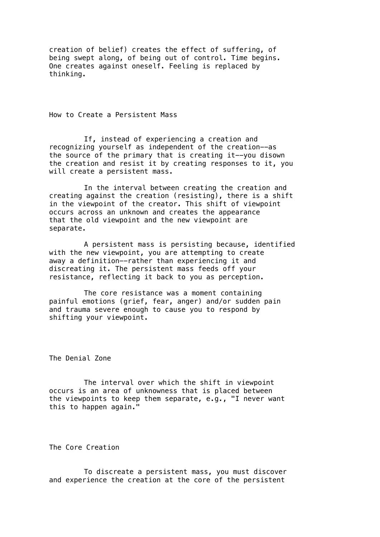creation of belief) creates the effect of suffering, of being swept along, of being out of control. Time begins. One creates against oneself. Feeling is replaced by thinking.

How to Create a Persistent Mass

If, instead of experiencing a creation and recognizing yourself as independent of the creation--as the source of the primary that is creating it--you disown the creation and resist it by creating responses to it, you will create a persistent mass.

In the interval between creating the creation and creating against the creation (resisting), there is a shift in the viewpoint of the creator. This shift of viewpoint occurs across an unknown and creates the appearance that the old viewpoint and the new viewpoint are separate.

A persistent mass is persisting because, identified with the new viewpoint, you are attempting to create away a definition--rather than experiencing it and discreating it. The persistent mass feeds off your resistance, reflecting it back to you as perception.

The core resistance was a moment containing painful emotions (grief, fear, anger) and/or sudden pain and trauma severe enough to cause you to respond by shifting your viewpoint.

The Denial Zone

The interval over which the shift in viewpoint occurs is an area of unknowness that is placed between the viewpoints to keep them separate, e.g., "I never want this to happen again."

The Core Creation

To discreate a persistent mass, you must discover and experience the creation at the core of the persistent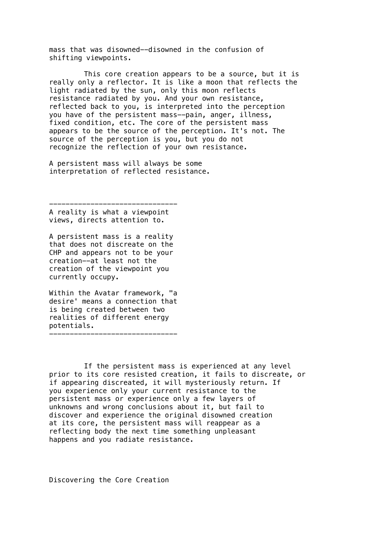mass that was disowned--disowned in the confusion of shifting viewpoints.

This core creation appears to be a source, but it is really only a reflector. It is like a moon that reflects the light radiated by the sun, only this moon reflects resistance radiated by you. And your own resistance, reflected back to you, is interpreted into the perception you have of the persistent mass--pain, anger, illness, fixed condition, etc. The core of the persistent mass appears to be the source of the perception. It's not. The source of the perception is you, but you do not recognize the reflection of your own resistance.

A persistent mass will always be some interpretation of reflected resistance.

A reality is what a viewpoint views, directs attention to.

-------------------------------

A persistent mass is a reality that does not discreate on the CHP and appears not to be your creation--at least not the creation of the viewpoint you currently occupy.

Within the Avatar framework, "a desire' means a connection that is being created between two realities of different energy potentials. -------------------------------

If the persistent mass is experienced at any level prior to its core resisted creation, it fails to discreate, or if appearing discreated, it will mysteriously return. If you experience only your current resistance to the persistent mass or experience only a few layers of unknowns and wrong conclusions about it, but fail to discover and experience the original disowned creation at its core, the persistent mass will reappear as a reflecting body the next time something unpleasant happens and you radiate resistance.

Discovering the Core Creation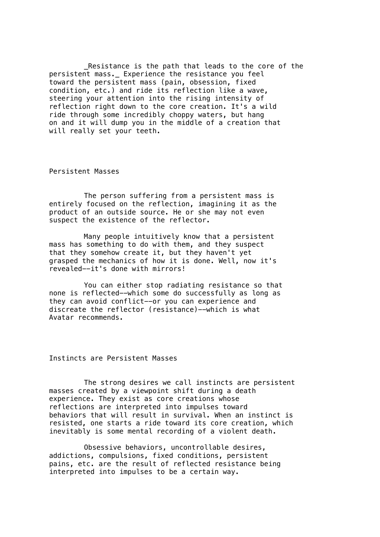Resistance is the path that leads to the core of the persistent mass.\_ Experience the resistance you feel toward the persistent mass (pain, obsession, fixed condition, etc.) and ride its reflection like a wave, steering your attention into the rising intensity of reflection right down to the core creation. It's a wild ride through some incredibly choppy waters, but hang on and it will dump you in the middle of a creation that will really set your teeth.

Persistent Masses

The person suffering from a persistent mass is entirely focused on the reflection, imagining it as the product of an outside source. He or she may not even suspect the existence of the reflector.

Many people intuitively know that a persistent mass has something to do with them, and they suspect that they somehow create it, but they haven't yet grasped the mechanics of how it is done. Well, now it's revealed--it's done with mirrors!

You can either stop radiating resistance so that none is reflected--which some do successfully as long as they can avoid conflict--or you can experience and discreate the reflector (resistance)--which is what Avatar recommends.

Instincts are Persistent Masses

The strong desires we call instincts are persistent masses created by a viewpoint shift during a death experience. They exist as core creations whose reflections are interpreted into impulses toward behaviors that will result in survival. When an instinct is resisted, one starts a ride toward its core creation, which inevitably is some mental recording of a violent death.

Obsessive behaviors, uncontrollable desires, addictions, compulsions, fixed conditions, persistent pains, etc. are the result of reflected resistance being interpreted into impulses to be a certain way.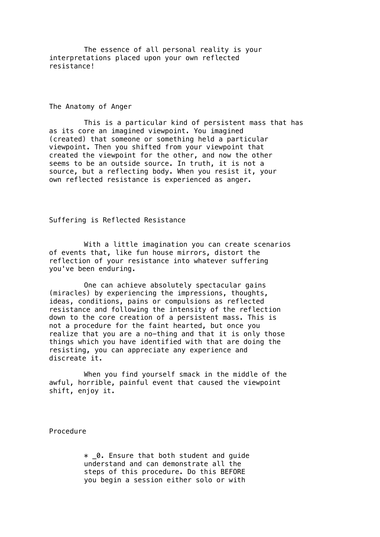The essence of all personal reality is your interpretations placed upon your own reflected resistance!

The Anatomy of Anger

This is a particular kind of persistent mass that has as its core an imagined viewpoint. You imagined (created) that someone or something held a particular viewpoint. Then you shifted from your viewpoint that created the viewpoint for the other, and now the other seems to be an outside source. In truth, it is not a source, but a reflecting body. When you resist it, your own reflected resistance is experienced as anger.

## Suffering is Reflected Resistance

With a little imagination you can create scenarios of events that, like fun house mirrors, distort the reflection of your resistance into whatever suffering you've been enduring.

One can achieve absolutely spectacular gains (miracles) by experiencing the impressions, thoughts, ideas, conditions, pains or compulsions as reflected resistance and following the intensity of the reflection down to the core creation of a persistent mass. This is not a procedure for the faint hearted, but once you realize that you are a no-thing and that it is only those things which you have identified with that are doing the resisting, you can appreciate any experience and discreate it.

When you find yourself smack in the middle of the awful, horrible, painful event that caused the viewpoint shift, enjoy it.

Procedure

 $*$  0. Ensure that both student and quide understand and can demonstrate all the steps of this procedure. Do this BEFORE you begin a session either solo or with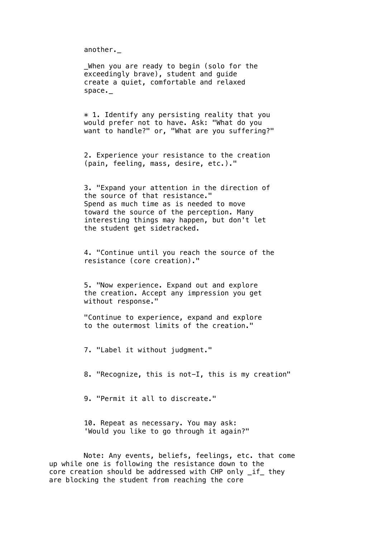another.\_

\_When you are ready to begin (solo for the exceedingly brave), student and guide create a quiet, comfortable and relaxed space.\_

 $*$  1. Identify any persisting reality that you would prefer not to have. Ask: "What do you want to handle?" or, "What are you suffering?"

2. Experience your resistance to the creation (pain, feeling, mass, desire, etc.)."

3. "Expand your attention in the direction of the source of that resistance." Spend as much time as is needed to move toward the source of the perception. Many interesting things may happen, but don't let the student get sidetracked.

4. "Continue until you reach the source of the resistance (core creation)."

5. "Now experience. Expand out and explore the creation. Accept any impression you get without response."

"Continue to experience, expand and explore to the outermost limits of the creation."

7. "Label it without judgment."

8. "Recognize, this is not-I, this is my creation"

9. "Permit it all to discreate."

10. Repeat as necessary. You may ask: 'Would you like to go through it again?"

Note: Any events, beliefs, feelings, etc. that come up while one is following the resistance down to the core creation should be addressed with CHP only if they are blocking the student from reaching the core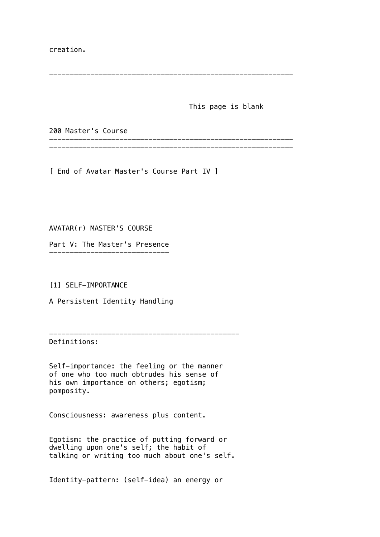creation.

This page is blank

200 Master's Course

----------------------------------------------------------- -----------------------------------------------------------

-----------------------------------------------------------

[ End of Avatar Master's Course Part IV ]

AVATAR(r) MASTER'S COURSE

Part V: The Master's Presence -----------------------------

[1] SELF-IMPORTANCE

A Persistent Identity Handling

----------------------------------------------

Definitions:

Self-importance: the feeling or the manner of one who too much obtrudes his sense of his own importance on others; egotism; pomposity.

Consciousness: awareness plus content.

Egotism: the practice of putting forward or dwelling upon one's self; the habit of talking or writing too much about one's self.

Identity-pattern: (self-idea) an energy or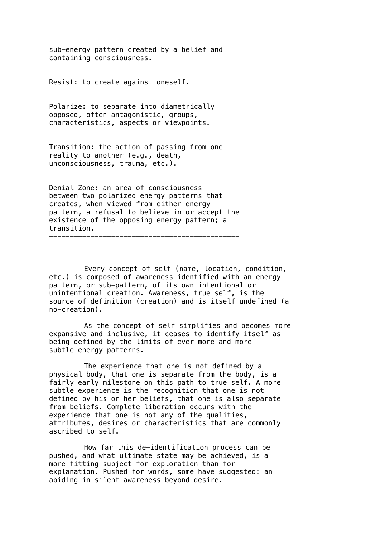sub-energy pattern created by a belief and containing consciousness.

Resist: to create against oneself.

Polarize: to separate into diametrically opposed, often antagonistic, groups, characteristics, aspects or viewpoints.

Transition: the action of passing from one reality to another (e.g., death, unconsciousness, trauma, etc.).

Denial Zone: an area of consciousness between two polarized energy patterns that creates, when viewed from either energy pattern, a refusal to believe in or accept the existence of the opposing energy pattern; a transition. ----------------------------------------------

Every concept of self (name, location, condition, etc.) is composed of awareness identified with an energy pattern, or sub-pattern, of its own intentional or unintentional creation. Awareness, true self, is the source of definition (creation) and is itself undefined (a no-creation).

As the concept of self simplifies and becomes more expansive and inclusive, it ceases to identify itself as being defined by the limits of ever more and more subtle energy patterns.

The experience that one is not defined by a physical body, that one is separate from the body, is a fairly early milestone on this path to true self. A more subtle experience is the recognition that one is not defined by his or her beliefs, that one is also separate from beliefs. Complete liberation occurs with the experience that one is not any of the qualities, attributes, desires or characteristics that are commonly ascribed to self.

How far this de-identification process can be pushed, and what ultimate state may be achieved, is a more fitting subject for exploration than for explanation. Pushed for words, some have suggested: an abiding in silent awareness beyond desire.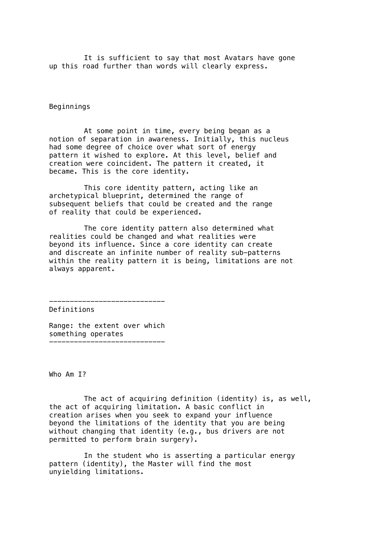It is sufficient to say that most Avatars have gone up this road further than words will clearly express.

Beginnings

At some point in time, every being began as a notion of separation in awareness. Initially, this nucleus had some degree of choice over what sort of energy pattern it wished to explore. At this level, belief and creation were coincident. The pattern it created, it became. This is the core identity.

This core identity pattern, acting like an archetypical blueprint, determined the range of subsequent beliefs that could be created and the range of reality that could be experienced.

The core identity pattern also determined what realities could be changed and what realities were beyond its influence. Since a core identity can create and discreate an infinite number of reality sub-patterns within the reality pattern it is being, limitations are not always apparent.

Definitions

Range: the extent over which something operates ----------------------------

----------------------------

Who Am T?

The act of acquiring definition (identity) is, as well, the act of acquiring limitation. A basic conflict in creation arises when you seek to expand your influence beyond the limitations of the identity that you are being without changing that identity (e.g., bus drivers are not permitted to perform brain surgery).

In the student who is asserting a particular energy pattern (identity), the Master will find the most unyielding limitations.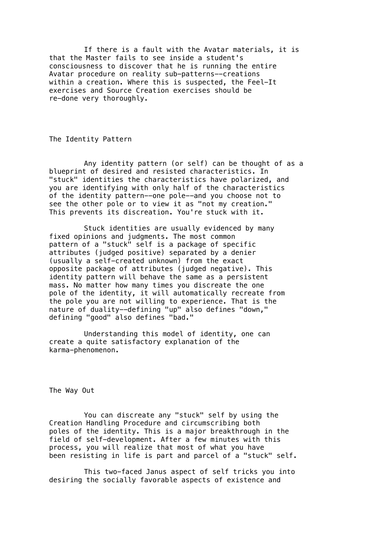If there is a fault with the Avatar materials, it is that the Master fails to see inside a student's consciousness to discover that he is running the entire Avatar procedure on reality sub-patterns--creations within a creation. Where this is suspected, the Feel-It exercises and Source Creation exercises should be re-done very thoroughly.

The Identity Pattern

Any identity pattern (or self) can be thought of as a blueprint of desired and resisted characteristics. In "stuck" identities the characteristics have polarized, and you are identifying with only half of the characteristics of the identity pattern--one pole--and you choose not to see the other pole or to view it as "not my creation." This prevents its discreation. You're stuck with it.

Stuck identities are usually evidenced by many fixed opinions and judgments. The most common pattern of a "stuck" self is a package of specific attributes (judged positive) separated by a denier (usually a self-created unknown) from the exact opposite package of attributes (judged negative). This identity pattern will behave the same as a persistent mass. No matter how many times you discreate the one pole of the identity, it will automatically recreate from the pole you are not willing to experience. That is the nature of duality--defining "up" also defines "down," defining "good" also defines "bad."

Understanding this model of identity, one can create a quite satisfactory explanation of the karma-phenomenon.

The Way Out

You can discreate any "stuck" self by using the Creation Handling Procedure and circumscribing both poles of the identity. This is a major breakthrough in the field of self-development. After a few minutes with this process, you will realize that most of what you have been resisting in life is part and parcel of a "stuck" self.

This two-faced Janus aspect of self tricks you into desiring the socially favorable aspects of existence and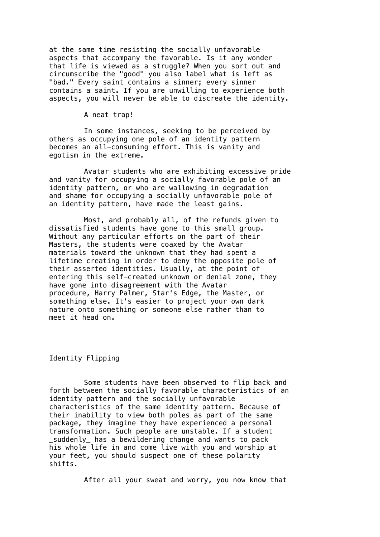at the same time resisting the socially unfavorable aspects that accompany the favorable. Is it any wonder that life is viewed as a struggle? When you sort out and circumscribe the "good" you also label what is left as "bad." Every saint contains a sinner; every sinner contains a saint. If you are unwilling to experience both aspects, you will never be able to discreate the identity.

#### A neat trap!

In some instances, seeking to be perceived by others as occupying one pole of an identity pattern becomes an all-consuming effort. This is vanity and egotism in the extreme.

Avatar students who are exhibiting excessive pride and vanity for occupying a socially favorable pole of an identity pattern, or who are wallowing in degradation and shame for occupying a socially unfavorable pole of an identity pattern, have made the least gains.

Most, and probably all, of the refunds given to dissatisfied students have gone to this small group. Without any particular efforts on the part of their Masters, the students were coaxed by the Avatar materials toward the unknown that they had spent a lifetime creating in order to deny the opposite pole of their asserted identities. Usually, at the point of entering this self-created unknown or denial zone, they have gone into disagreement with the Avatar procedure, Harry Palmer, Star's Edge, the Master, or something else. It's easier to project your own dark nature onto something or someone else rather than to meet it head on.

#### Identity Flipping

Some students have been observed to flip back and forth between the socially favorable characteristics of an identity pattern and the socially unfavorable characteristics of the same identity pattern. Because of their inability to view both poles as part of the same package, they imagine they have experienced a personal transformation. Such people are unstable. If a student \_suddenly\_ has a bewildering change and wants to pack his whole life in and come live with you and worship at your feet, you should suspect one of these polarity shifts.

After all your sweat and worry, you now know that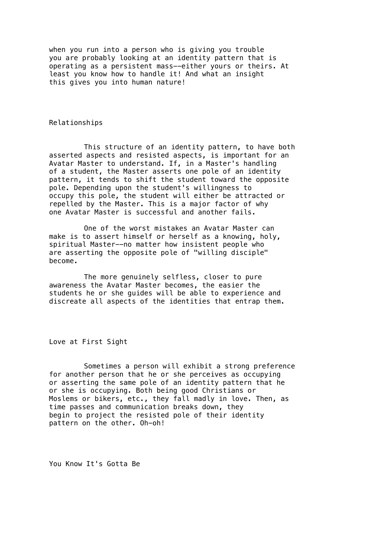when you run into a person who is giving you trouble you are probably looking at an identity pattern that is operating as a persistent mass--either yours or theirs. At least you know how to handle it! And what an insight this gives you into human nature!

Relationships

This structure of an identity pattern, to have both asserted aspects and resisted aspects, is important for an Avatar Master to understand. If, in a Master's handling of a student, the Master asserts one pole of an identity pattern, it tends to shift the student toward the opposite pole. Depending upon the student's willingness to occupy this pole, the student will either be attracted or repelled by the Master. This is a major factor of why one Avatar Master is successful and another fails.

One of the worst mistakes an Avatar Master can make is to assert himself or herself as a knowing, holy, spiritual Master--no matter how insistent people who are asserting the opposite pole of "willing disciple" become.

The more genuinely selfless, closer to pure awareness the Avatar Master becomes, the easier the students he or she guides will be able to experience and discreate all aspects of the identities that entrap them.

Love at First Sight

Sometimes a person will exhibit a strong preference for another person that he or she perceives as occupying or asserting the same pole of an identity pattern that he or she is occupying. Both being good Christians or Moslems or bikers, etc., they fall madly in love. Then, as time passes and communication breaks down, they begin to project the resisted pole of their identity pattern on the other. Oh-oh!

You Know It's Gotta Be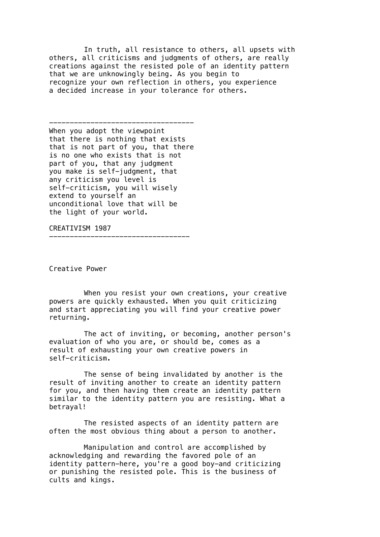In truth, all resistance to others, all upsets with others, all criticisms and judgments of others, are really creations against the resisted pole of an identity pattern that we are unknowingly being. As you begin to recognize your own reflection in others, you experience a decided increase in your tolerance for others.

----------------------------------- When you adopt the viewpoint that there is nothing that exists that is not part of you, that there is no one who exists that is not part of you, that any judgment you make is self-judgment, that any criticism you level is self-criticism, you will wisely extend to yourself an unconditional love that will be the light of your world.

----------------------------------

CREATIVISM 1987

Creative Power

When you resist your own creations, your creative powers are quickly exhausted. When you quit criticizing and start appreciating you will find your creative power returning.

The act of inviting, or becoming, another person's evaluation of who you are, or should be, comes as a result of exhausting your own creative powers in self-criticism.

The sense of being invalidated by another is the result of inviting another to create an identity pattern for you, and then having them create an identity pattern similar to the identity pattern you are resisting. What a betrayal!

The resisted aspects of an identity pattern are often the most obvious thing about a person to another.

Manipulation and control are accomplished by acknowledging and rewarding the favored pole of an identity pattern-here, you're a good boy-and criticizing or punishing the resisted pole. This is the business of cults and kings.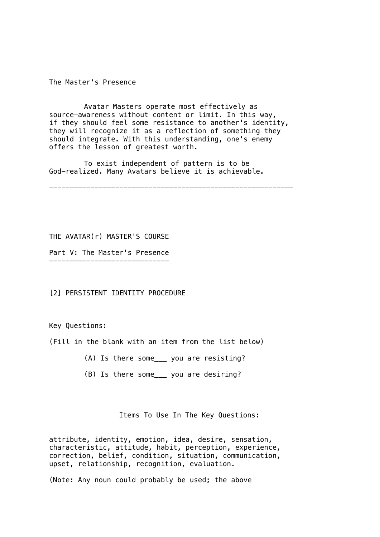The Master's Presence

Avatar Masters operate most effectively as source-awareness without content or limit. In this way, if they should feel some resistance to another's identity, they will recognize it as a reflection of something they should integrate. With this understanding, one's enemy offers the lesson of greatest worth.

To exist independent of pattern is to be God-realized. Many Avatars believe it is achievable.

-----------------------------------------------------------

THE AVATAR(r) MASTER'S COURSE

Part V: The Master's Presence

[2] PERSISTENT IDENTITY PROCEDURE

Key Questions:

 $-$ 

(Fill in the blank with an item from the list below)

- (A) Is there some\_\_\_ you are resisting?
- (B) Is there some\_\_\_ you are desiring?

Items To Use In The Key Questions:

attribute, identity, emotion, idea, desire, sensation, characteristic, attitude, habit, perception, experience, correction, belief, condition, situation, communication, upset, relationship, recognition, evaluation.

(Note: Any noun could probably be used; the above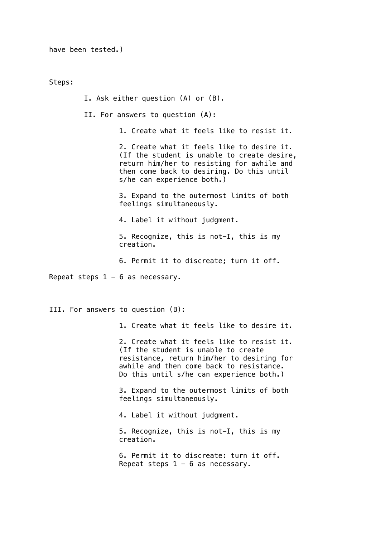have been tested.)

Steps:

I. Ask either question (A) or (B).

II. For answers to question (A):

1. Create what it feels like to resist it.

2. Create what it feels like to desire it. (If the student is unable to create desire, return him/her to resisting for awhile and then come back to desiring. Do this until s/he can experience both.)

3. Expand to the outermost limits of both feelings simultaneously.

4. Label it without judgment.

5. Recognize, this is not-I, this is my creation.

6. Permit it to discreate; turn it off.

Repeat steps  $1 - 6$  as necessary.

III. For answers to question (B):

1. Create what it feels like to desire it.

2. Create what it feels like to resist it. (If the student is unable to create resistance, return him/her to desiring for awhile and then come back to resistance. Do this until s/he can experience both.)

3. Expand to the outermost limits of both feelings simultaneously.

4. Label it without judgment.

5. Recognize, this is not-I, this is my creation.

6. Permit it to discreate: turn it off. Repeat steps  $1 - 6$  as necessary.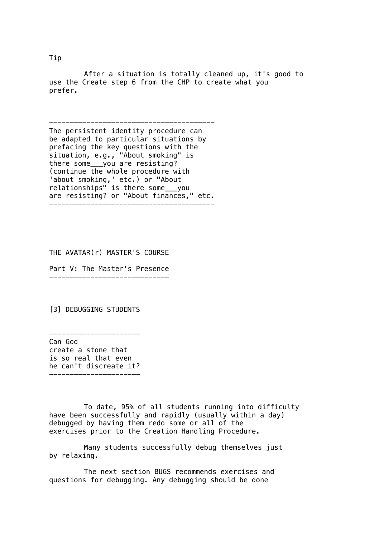After a situation is totally cleaned up, it's good to use the Create step 6 from the CHP to create what you prefer.

---------------------------------------- The persistent identity procedure can be adapted to particular situations by prefacing the key questions with the situation, e.g., "About smoking" is there some\_\_\_you are resisting? (continue the whole procedure with 'about smoking,' etc.) or "About relationships" is there some\_\_\_you are resisting? or "About finances," etc. ----------------------------------------

THE AVATAR(r) MASTER'S COURSE

Part V: The Master's Presence -----------------------------

[3] DEBUGGING STUDENTS

---------------------- Can God create a stone that is so real that even he can't discreate it? ----------------------

To date, 95% of all students running into difficulty have been successfully and rapidly (usually within a day) debugged by having them redo some or all of the exercises prior to the Creation Handling Procedure.

Many students successfully debug themselves just by relaxing.

The next section BUGS recommends exercises and questions for debugging. Any debugging should be done

Tip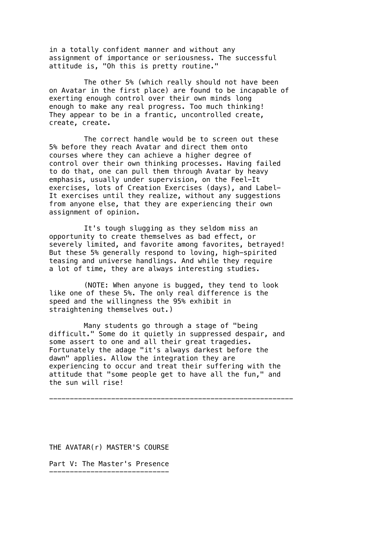in a totally confident manner and without any assignment of importance or seriousness. The successful attitude is, "Oh this is pretty routine."

The other 5% (which really should not have been on Avatar in the first place) are found to be incapable of exerting enough control over their own minds long enough to make any real progress. Too much thinking! They appear to be in a frantic, uncontrolled create, create, create.

The correct handle would be to screen out these 5% before they reach Avatar and direct them onto courses where they can achieve a higher degree of control over their own thinking processes. Having failed to do that, one can pull them through Avatar by heavy emphasis, usually under supervision, on the Feel-It exercises, lots of Creation Exercises (days), and Label-It exercises until they realize, without any suggestions from anyone else, that they are experiencing their own assignment of opinion.

It's tough slugging as they seldom miss an opportunity to create themselves as bad effect, or severely limited, and favorite among favorites, betrayed! But these 5% generally respond to loving, high-spirited teasing and universe handlings. And while they require a lot of time, they are always interesting studies.

(NOTE: When anyone is bugged, they tend to look like one of these 5%. The only real difference is the speed and the willingness the 95% exhibit in straightening themselves out.)

Many students go through a stage of "being difficult." Some do it quietly in suppressed despair, and some assert to one and all their great tragedies. Fortunately the adage "it's always darkest before the dawn" applies. Allow the integration they are experiencing to occur and treat their suffering with the attitude that "some people get to have all the fun," and the sun will rise!

-----------------------------------------------------------

THE AVATAR(r) MASTER'S COURSE

Part V: The Master's Presence -----------------------------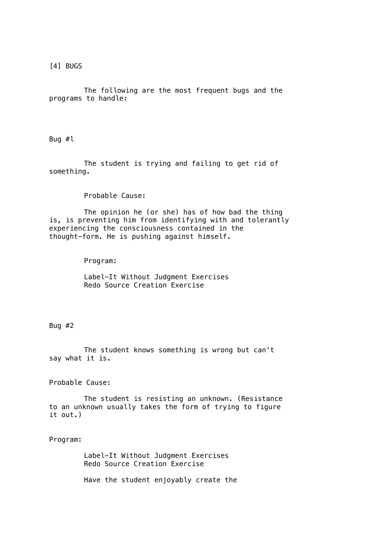[4] BUGS

The following are the most frequent bugs and the programs to handle:

Bug #l

The student is trying and failing to get rid of something.

Probable Cause:

The opinion he (or she) has of how bad the thing is, is preventing him from identifying with and tolerantly experiencing the consciousness contained in the thought-form. He is pushing against himself.

Program:

Label-It Without Judgment Exercises Redo Source Creation Exercise

Bug #2

The student knows something is wrong but can't say what it is.

Probable Cause:

The student is resisting an unknown. (Resistance to an unknown usually takes the form of trying to figure it out.)

Program:

Label-It Without Judgment Exercises Redo Source Creation Exercise

Have the student enjoyably create the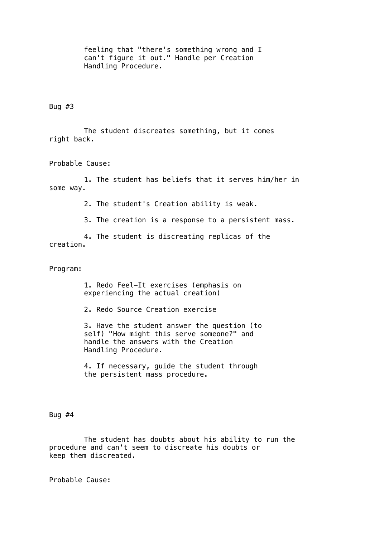feeling that "there's something wrong and I can't figure it out." Handle per Creation Handling Procedure.

Bug  $#3$ 

The student discreates something, but it comes right back.

Probable Cause:

1. The student has beliefs that it serves him/her in some way.

2. The student's Creation ability is weak.

3. The creation is a response to a persistent mass.

4. The student is discreating replicas of the creation.

Program:

1. Redo Feel-It exercises (emphasis on experiencing the actual creation)

2. Redo Source Creation exercise

3. Have the student answer the question (to self) "How might this serve someone?" and handle the answers with the Creation Handling Procedure.

4. If necessary, guide the student through the persistent mass procedure.

Bug #4

The student has doubts about his ability to run the procedure and can't seem to discreate his doubts or keep them discreated.

Probable Cause: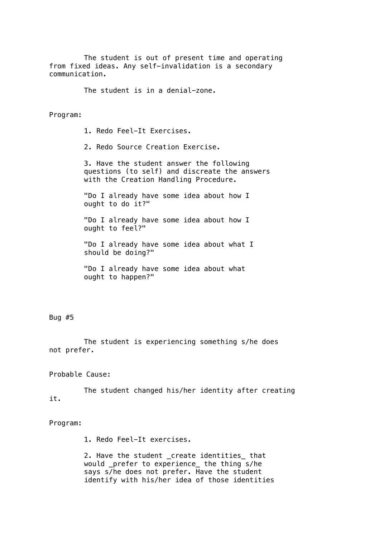The student is out of present time and operating from fixed ideas. Any self-invalidation is a secondary communication.

The student is in a denial-zone.

Program:

1. Redo Feel-It Exercises.

2. Redo Source Creation Exercise.

3. Have the student answer the following questions (to self) and discreate the answers with the Creation Handling Procedure.

"Do I already have some idea about how I ought to do it?"

"Do I already have some idea about how I ought to feel?"

"Do I already have some idea about what I should be doing?"

"Do I already have some idea about what ought to happen?"

Bug #5

The student is experiencing something s/he does not prefer.

Probable Cause:

The student changed his/her identity after creating it.

Program:

1. Redo Feel-It exercises.

2. Have the student \_create identities\_ that would \_prefer to experience\_ the thing s/he says s/he does not prefer. Have the student identify with his/her idea of those identities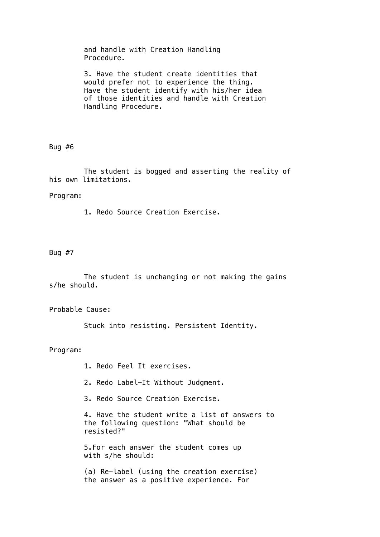and handle with Creation Handling Procedure.

3. Have the student create identities that would prefer not to experience the thing. Have the student identify with his/her idea of those identities and handle with Creation Handling Procedure.

### Bug #6

The student is bogged and asserting the reality of his own limitations.

### Program:

1. Redo Source Creation Exercise.

### Bug #7

The student is unchanging or not making the gains s/he should.

Probable Cause:

Stuck into resisting. Persistent Identity.

Program:

1. Redo Feel It exercises.

- 2. Redo Label-It Without Judgment.
- 3. Redo Source Creation Exercise.

4. Have the student write a list of answers to the following question: "What should be resisted?"

5.For each answer the student comes up with s/he should:

(a) Re-label (using the creation exercise) the answer as a positive experience. For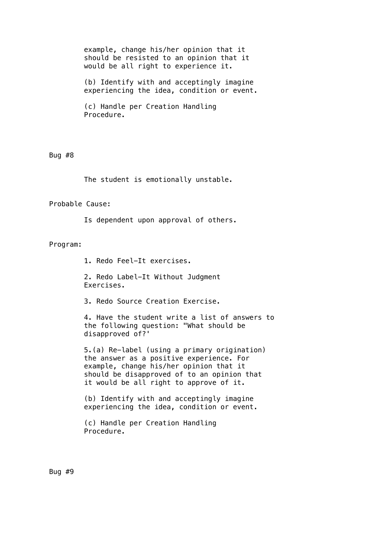example, change his/her opinion that it should be resisted to an opinion that it would be all right to experience it.

(b) Identify with and acceptingly imagine experiencing the idea, condition or event.

(c) Handle per Creation Handling Procedure.

Bug #8

The student is emotionally unstable.

Probable Cause:

Is dependent upon approval of others.

### Program:

1. Redo Feel-It exercises.

2. Redo Label-It Without Judgment Exercises.

3. Redo Source Creation Exercise.

4. Have the student write a list of answers to the following question: "What should be disapproved of?'

5.(a) Re-label (using a primary origination) the answer as a positive experience. For example, change his/her opinion that it should be disapproved of to an opinion that it would be all right to approve of it.

(b) Identify with and acceptingly imagine experiencing the idea, condition or event.

(c) Handle per Creation Handling Procedure.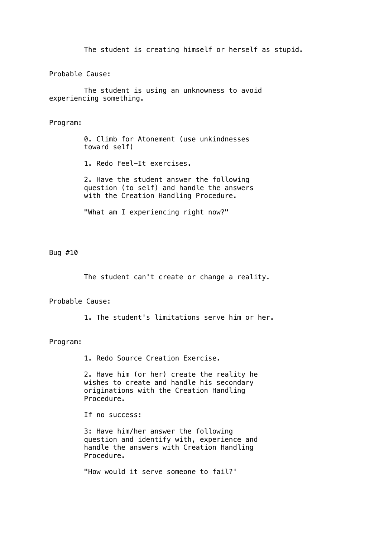The student is creating himself or herself as stupid.

Probable Cause:

The student is using an unknowness to avoid experiencing something.

# Program:

0. Climb for Atonement (use unkindnesses toward self)

1. Redo Feel-It exercises.

2. Have the student answer the following question (to self) and handle the answers with the Creation Handling Procedure.

"What am I experiencing right now?"

Bug #10

The student can't create or change a reality.

### Probable Cause:

1. The student's limitations serve him or her.

### Program:

1. Redo Source Creation Exercise.

2. Have him (or her) create the reality he wishes to create and handle his secondary originations with the Creation Handling Procedure.

If no success:

3: Have him/her answer the following question and identify with, experience and handle the answers with Creation Handling Procedure.

"How would it serve someone to fail?'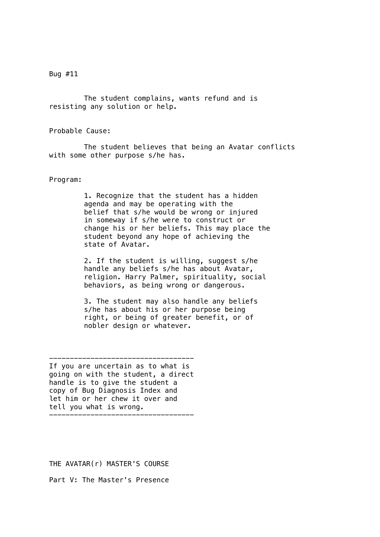Bug #11

The student complains, wants refund and is resisting any solution or help.

Probable Cause:

The student believes that being an Avatar conflicts with some other purpose s/he has.

Program:

1. Recognize that the student has a hidden agenda and may be operating with the belief that s/he would be wrong or injured in someway if s/he were to construct or change his or her beliefs. This may place the student beyond any hope of achieving the state of Avatar.

2. If the student is willing, suggest s/he handle any beliefs s/he has about Avatar, religion. Harry Palmer, spirituality, social behaviors, as being wrong or dangerous.

3. The student may also handle any beliefs s/he has about his or her purpose being right, or being of greater benefit, or of nobler design or whatever.

----------------------------------- If you are uncertain as to what is going on with the student, a direct handle is to give the student a copy of Bug Diagnosis Index and let him or her chew it over and tell you what is wrong. -----------------------------------

THE AVATAR(r) MASTER'S COURSE

Part V: The Master's Presence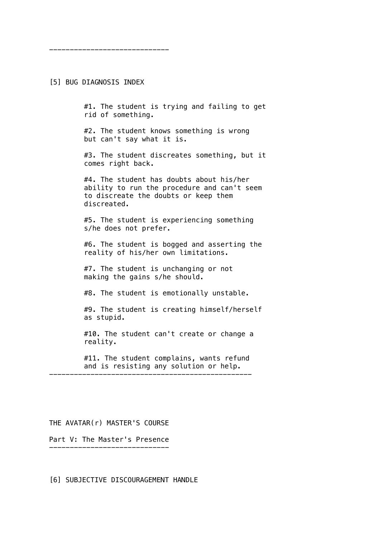[5] BUG DIAGNOSIS INDEX

-----------------------------

#1. The student is trying and failing to get rid of something.

#2. The student knows something is wrong but can't say what it is.

#3. The student discreates something, but it comes right back.

#4. The student has doubts about his/her ability to run the procedure and can't seem to discreate the doubts or keep them discreated.

#5. The student is experiencing something s/he does not prefer.

#6. The student is bogged and asserting the reality of his/her own limitations.

#7. The student is unchanging or not making the gains s/he should.

#8. The student is emotionally unstable.

#9. The student is creating himself/herself as stupid.

#10. The student can't create or change a reality.

#11. The student complains, wants refund and is resisting any solution or help. -------------------------------------------------

## THE AVATAR(r) MASTER'S COURSE

Part V: The Master's Presence -----------------------------

[6] SUBJECTIVE DISCOURAGEMENT HANDLE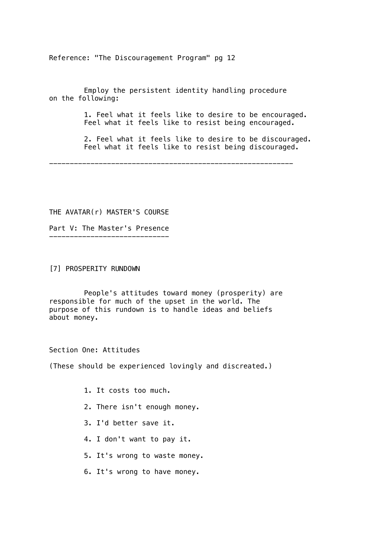Reference: "The Discouragement Program" pg 12

Employ the persistent identity handling procedure on the following:

> 1. Feel what it feels like to desire to be encouraged. Feel what it feels like to resist being encouraged.

2. Feel what it feels like to desire to be discouraged. Feel what it feels like to resist being discouraged.

-----------------------------------------------------------

THE AVATAR(r) MASTER'S COURSE

Part V: The Master's Presence -----------------------------

[7] PROSPERITY RUNDOWN

People's attitudes toward money (prosperity) are responsible for much of the upset in the world. The purpose of this rundown is to handle ideas and beliefs about money.

Section One: Attitudes

(These should be experienced lovingly and discreated.)

- 1. It costs too much.
- 2. There isn't enough money.
- 3. I'd better save it.
- 4. I don't want to pay it.
- 5. It's wrong to waste money.
- 6. It's wrong to have money.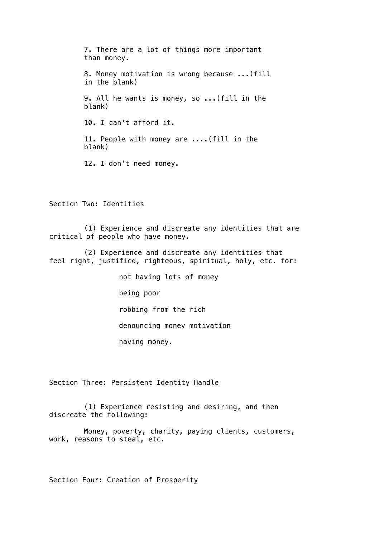7. There are a lot of things more important than money. 8. Money motivation is wrong because ...(fill in the blank) 9. All he wants is money, so ...(fill in the blank) 10. I can't afford it. 11. People with money are ....(fill in the blank) 12. I don't need money.

Section Two: Identities

(1) Experience and discreate any identities that are critical of people who have money.

(2) Experience and discreate any identities that feel right, justified, righteous, spiritual, holy, etc. for:

not having lots of money

being poor

robbing from the rich

denouncing money motivation

having money.

Section Three: Persistent Identity Handle

(1) Experience resisting and desiring, and then discreate the following:

Money, poverty, charity, paying clients, customers, work, reasons to steal, etc.

Section Four: Creation of Prosperity